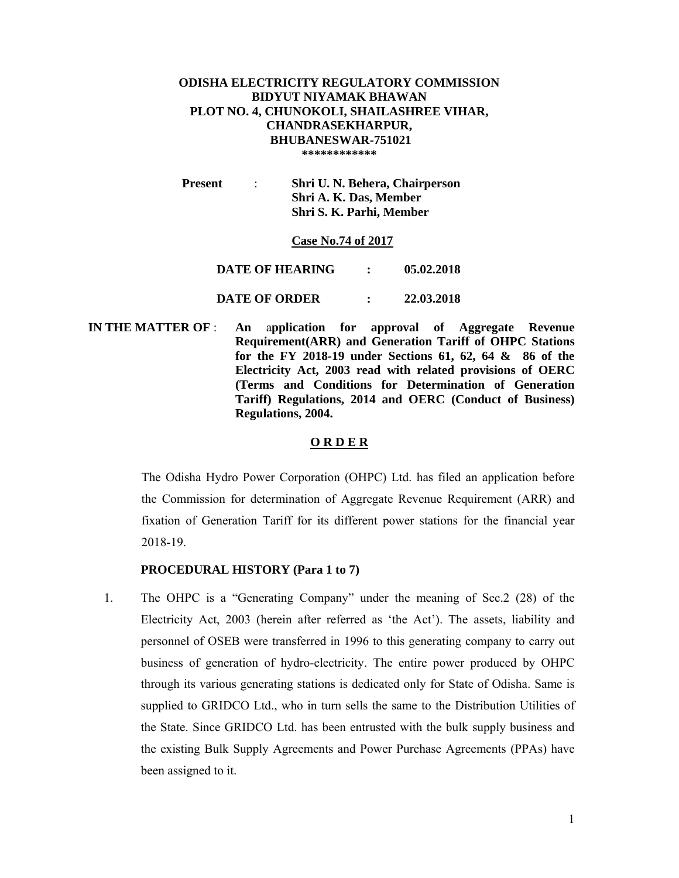#### **ODISHA ELECTRICITY REGULATORY COMMISSION BIDYUT NIYAMAK BHAWAN PLOT NO. 4, CHUNOKOLI, SHAILASHREE VIHAR, CHANDRASEKHARPUR, BHUBANESWAR-751021 \*\*\*\*\*\*\*\*\*\*\*\***

 **Present** : **Shri U. N. Behera, Chairperson Shri A. K. Das, Member Shri S. K. Parhi, Member** 

#### **Case No.74 of 2017**

**DATE OF HEARING : 05.02.2018** 

## **DATE OF ORDER : 22.03.2018**

 **IN THE MATTER OF** : **An** a**pplication for approval of Aggregate Revenue Requirement(ARR) and Generation Tariff of OHPC Stations for the FY 2018-19 under Sections 61, 62, 64 & 86 of the Electricity Act, 2003 read with related provisions of OERC (Terms and Conditions for Determination of Generation Tariff) Regulations, 2014 and OERC (Conduct of Business) Regulations, 2004.** 

## **O R D E R**

The Odisha Hydro Power Corporation (OHPC) Ltd. has filed an application before the Commission for determination of Aggregate Revenue Requirement (ARR) and fixation of Generation Tariff for its different power stations for the financial year 2018-19.

#### **PROCEDURAL HISTORY (Para 1 to 7)**

1. The OHPC is a "Generating Company" under the meaning of Sec.2 (28) of the Electricity Act, 2003 (herein after referred as 'the Act'). The assets, liability and personnel of OSEB were transferred in 1996 to this generating company to carry out business of generation of hydro-electricity. The entire power produced by OHPC through its various generating stations is dedicated only for State of Odisha. Same is supplied to GRIDCO Ltd., who in turn sells the same to the Distribution Utilities of the State. Since GRIDCO Ltd. has been entrusted with the bulk supply business and the existing Bulk Supply Agreements and Power Purchase Agreements (PPAs) have been assigned to it.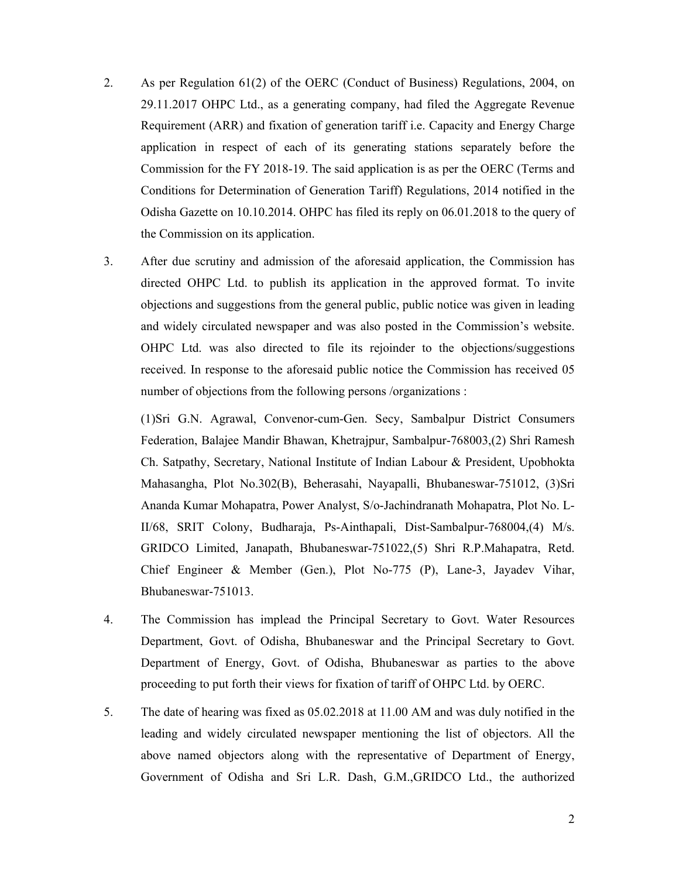- 2. As per Regulation 61(2) of the OERC (Conduct of Business) Regulations, 2004, on 29.11.2017 OHPC Ltd., as a generating company, had filed the Aggregate Revenue Requirement (ARR) and fixation of generation tariff i.e. Capacity and Energy Charge application in respect of each of its generating stations separately before the Commission for the FY 2018-19. The said application is as per the OERC (Terms and Conditions for Determination of Generation Tariff) Regulations, 2014 notified in the Odisha Gazette on 10.10.2014. OHPC has filed its reply on 06.01.2018 to the query of the Commission on its application.
- 3. After due scrutiny and admission of the aforesaid application, the Commission has directed OHPC Ltd. to publish its application in the approved format. To invite objections and suggestions from the general public, public notice was given in leading and widely circulated newspaper and was also posted in the Commission's website. OHPC Ltd. was also directed to file its rejoinder to the objections/suggestions received. In response to the aforesaid public notice the Commission has received 05 number of objections from the following persons /organizations :

(1)Sri G.N. Agrawal, Convenor-cum-Gen. Secy, Sambalpur District Consumers Federation, Balajee Mandir Bhawan, Khetrajpur, Sambalpur-768003,(2) Shri Ramesh Ch. Satpathy, Secretary, National Institute of Indian Labour & President, Upobhokta Mahasangha, Plot No.302(B), Beherasahi, Nayapalli, Bhubaneswar-751012, (3)Sri Ananda Kumar Mohapatra, Power Analyst, S/o-Jachindranath Mohapatra, Plot No. L-II/68, SRIT Colony, Budharaja, Ps-Ainthapali, Dist-Sambalpur-768004,(4) M/s. GRIDCO Limited, Janapath, Bhubaneswar-751022,(5) Shri R.P.Mahapatra, Retd. Chief Engineer & Member (Gen.), Plot No-775 (P), Lane-3, Jayadev Vihar, Bhubaneswar-751013.

- 4. The Commission has implead the Principal Secretary to Govt. Water Resources Department, Govt. of Odisha, Bhubaneswar and the Principal Secretary to Govt. Department of Energy, Govt. of Odisha, Bhubaneswar as parties to the above proceeding to put forth their views for fixation of tariff of OHPC Ltd. by OERC.
- 5. The date of hearing was fixed as 05.02.2018 at 11.00 AM and was duly notified in the leading and widely circulated newspaper mentioning the list of objectors. All the above named objectors along with the representative of Department of Energy, Government of Odisha and Sri L.R. Dash, G.M.,GRIDCO Ltd., the authorized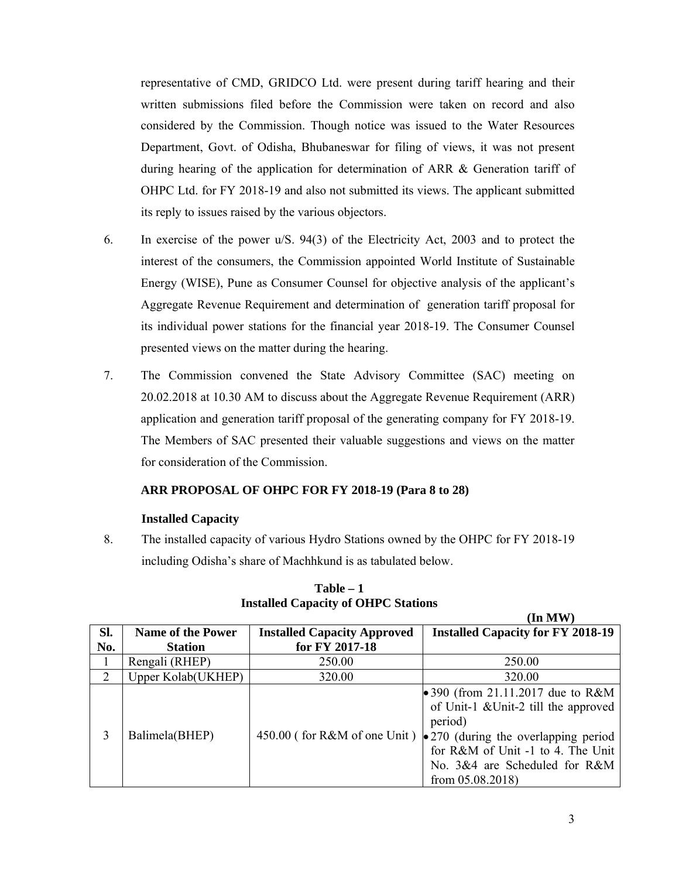representative of CMD, GRIDCO Ltd. were present during tariff hearing and their written submissions filed before the Commission were taken on record and also considered by the Commission. Though notice was issued to the Water Resources Department, Govt. of Odisha, Bhubaneswar for filing of views, it was not present during hearing of the application for determination of ARR & Generation tariff of OHPC Ltd. for FY 2018-19 and also not submitted its views. The applicant submitted its reply to issues raised by the various objectors.

- 6. In exercise of the power u/S. 94(3) of the Electricity Act, 2003 and to protect the interest of the consumers, the Commission appointed World Institute of Sustainable Energy (WISE), Pune as Consumer Counsel for objective analysis of the applicant's Aggregate Revenue Requirement and determination of generation tariff proposal for its individual power stations for the financial year 2018-19. The Consumer Counsel presented views on the matter during the hearing.
- 7. The Commission convened the State Advisory Committee (SAC) meeting on 20.02.2018 at 10.30 AM to discuss about the Aggregate Revenue Requirement (ARR) application and generation tariff proposal of the generating company for FY 2018-19. The Members of SAC presented their valuable suggestions and views on the matter for consideration of the Commission.

## **ARR PROPOSAL OF OHPC FOR FY 2018-19 (Para 8 to 28)**

## **Installed Capacity**

8. The installed capacity of various Hydro Stations owned by the OHPC for FY 2018-19 including Odisha's share of Machhkund is as tabulated below.

| SI.           | <b>Name of the Power</b> | <b>Installed Capacity Approved</b> | <b>Installed Capacity for FY 2018-19</b>                                                                                                                                                                                            |
|---------------|--------------------------|------------------------------------|-------------------------------------------------------------------------------------------------------------------------------------------------------------------------------------------------------------------------------------|
| No.           | <b>Station</b>           | for FY 2017-18                     |                                                                                                                                                                                                                                     |
|               | Rengali (RHEP)           | 250.00                             | 250.00                                                                                                                                                                                                                              |
| $\mathcal{D}$ | Upper Kolab(UKHEP)       | 320.00                             | 320.00                                                                                                                                                                                                                              |
| 3             | Balimela(BHEP)           | $450.00$ (for R&M of one Unit)     | • 390 (from 21.11.2017 due to $R&M$<br>of Unit-1 & Unit-2 till the approved<br>period)<br>$\bullet$ 270 (during the overlapping period<br>for R&M of Unit -1 to 4. The Unit<br>No. 3&4 are Scheduled for R&M<br>from $05.08.2018$ ) |

**Table – 1 Installed Capacity of OHPC Stations** 

**(In MW)**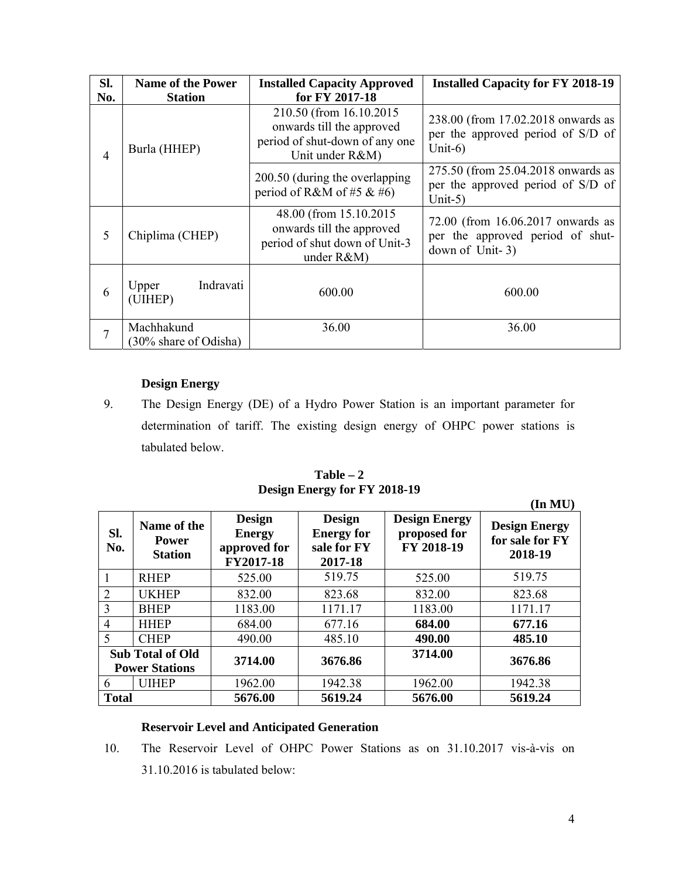| Sl.<br>No. | <b>Name of the Power</b><br><b>Station</b> | <b>Installed Capacity Approved</b><br>for FY 2017-18                                                       | <b>Installed Capacity for FY 2018-19</b>                                                 |
|------------|--------------------------------------------|------------------------------------------------------------------------------------------------------------|------------------------------------------------------------------------------------------|
| 4          | Burla (HHEP)                               | 210.50 (from 16.10.2015)<br>onwards till the approved<br>period of shut-down of any one<br>Unit under R&M) | 238.00 (from 17.02.2018 onwards as<br>per the approved period of S/D of<br>Unit- $6$ )   |
|            |                                            | 200.50 (during the overlapping)<br>period of R&M of #5 & #6)                                               | 275.50 (from 25.04.2018 onwards as<br>per the approved period of S/D of<br>Unit-5)       |
| 5          | Chiplima (CHEP)                            | 48.00 (from 15.10.2015)<br>onwards till the approved<br>period of shut down of Unit-3<br>under $R&M$ )     | 72.00 (from 16.06.2017 onwards as<br>per the approved period of shut-<br>down of Unit-3) |
| 6          | Indravati<br>Upper<br>(UIHEP)              | 600.00                                                                                                     | 600.00                                                                                   |
|            | Machhakund<br>(30% share of Odisha)        | 36.00                                                                                                      | 36.00                                                                                    |

# **Design Energy**

9. The Design Energy (DE) of a Hydro Power Station is an important parameter for determination of tariff. The existing design energy of OHPC power stations is tabulated below.

**Table – 2 Design Energy for FY 2018-19** 

|                                                             |                                                  |                                                             |                                                                                                                    |         | (In MU)                                            |
|-------------------------------------------------------------|--------------------------------------------------|-------------------------------------------------------------|--------------------------------------------------------------------------------------------------------------------|---------|----------------------------------------------------|
| Name of the<br>SI.<br><b>Power</b><br>No.<br><b>Station</b> |                                                  | <b>Design</b><br><b>Energy</b><br>approved for<br>FY2017-18 | <b>Design</b><br><b>Design Energy</b><br><b>Energy for</b><br>proposed for<br>FY 2018-19<br>sale for FY<br>2017-18 |         | <b>Design Energy</b><br>for sale for FY<br>2018-19 |
|                                                             | <b>RHEP</b>                                      | 525.00                                                      | 519.75                                                                                                             | 525.00  | 519.75                                             |
| 2                                                           | <b>UKHEP</b>                                     | 832.00                                                      | 823.68                                                                                                             | 832.00  | 823.68                                             |
| $\overline{3}$                                              | <b>BHEP</b>                                      | 1183.00                                                     | 1171.17                                                                                                            | 1183.00 | 1171.17                                            |
| $\overline{4}$                                              | <b>HHEP</b>                                      | 684.00                                                      | 677.16                                                                                                             | 684.00  | 677.16                                             |
| 5                                                           | <b>CHEP</b>                                      | 490.00                                                      | 485.10                                                                                                             | 490.00  | 485.10                                             |
|                                                             | <b>Sub Total of Old</b><br><b>Power Stations</b> | 3714.00                                                     | 3676.86                                                                                                            | 3714.00 | 3676.86                                            |
| 6                                                           | <b>UIHEP</b>                                     | 1962.00                                                     | 1942.38                                                                                                            | 1962.00 | 1942.38                                            |
| <b>Total</b>                                                |                                                  | 5676.00                                                     | 5619.24                                                                                                            | 5676.00 | 5619.24                                            |

# **Reservoir Level and Anticipated Generation**

10. The Reservoir Level of OHPC Power Stations as on 31.10.2017 vis-à-vis on 31.10.2016 is tabulated below: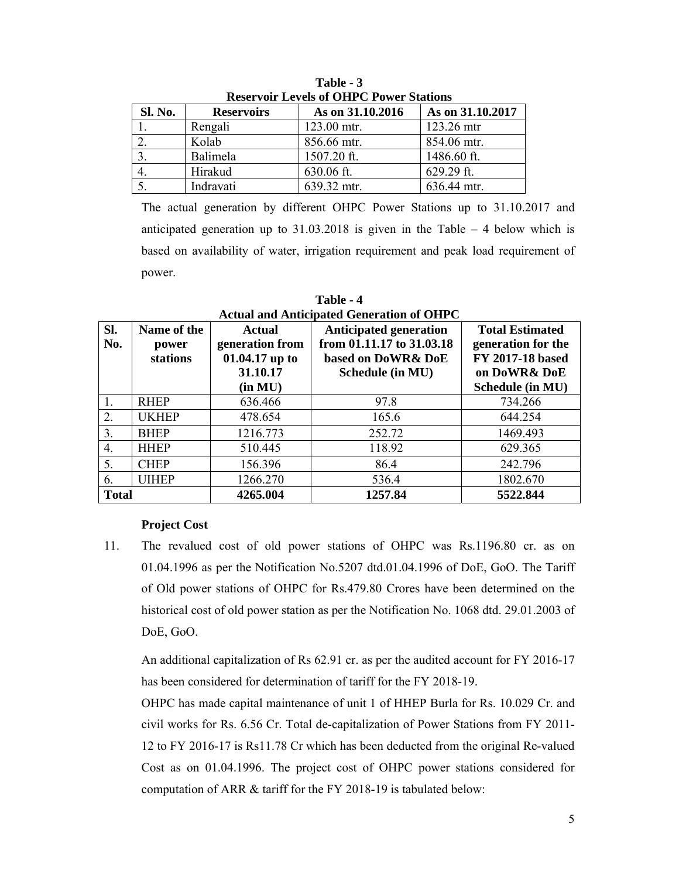| Reservoir Levels of OHPC Power Stations |                   |                  |                  |  |  |  |  |
|-----------------------------------------|-------------------|------------------|------------------|--|--|--|--|
| Sl. No.                                 | <b>Reservoirs</b> | As on 31.10.2016 | As on 31.10.2017 |  |  |  |  |
|                                         | Rengali           | 123.00 mtr.      | 123.26 mtr       |  |  |  |  |
|                                         | Kolab             | 856.66 mtr.      | 854.06 mtr.      |  |  |  |  |
|                                         | Balimela          | 1507.20 ft.      | 1486.60 ft.      |  |  |  |  |
|                                         | Hirakud           | 630.06 ft.       | 629.29 ft.       |  |  |  |  |
|                                         | Indravati         | 639.32 mtr.      | 636.44 mtr.      |  |  |  |  |

**Table - 3 Reservoir Levels of OHPC Power Stations** 

The actual generation by different OHPC Power Stations up to 31.10.2017 and anticipated generation up to  $31.03.2018$  is given in the Table  $-4$  below which is based on availability of water, irrigation requirement and peak load requirement of power.

| Sl.<br>No.       | Name of the<br>power<br>stations | Actual<br>generation from<br>01.04.17 up to<br>31.10.17<br>(in MU) | <b>Anticipated generation</b><br>from 01.11.17 to 31.03.18<br>based on DoWR& DoE<br>Schedule (in MU) | <b>Total Estimated</b><br>generation for the<br>FY 2017-18 based<br>on DoWR& DoE<br>Schedule (in MU) |
|------------------|----------------------------------|--------------------------------------------------------------------|------------------------------------------------------------------------------------------------------|------------------------------------------------------------------------------------------------------|
| 1.               | <b>RHEP</b>                      | 636.466                                                            | 97.8                                                                                                 | 734.266                                                                                              |
| 2.               | <b>UKHEP</b>                     | 478.654                                                            | 165.6                                                                                                | 644.254                                                                                              |
| 3.               | <b>BHEP</b>                      | 1216.773                                                           | 252.72                                                                                               | 1469.493                                                                                             |
| $\overline{4}$ . | <b>HHEP</b>                      | 510.445                                                            | 118.92                                                                                               | 629.365                                                                                              |
| 5.               | <b>CHEP</b>                      | 156.396                                                            | 86.4                                                                                                 | 242.796                                                                                              |
| 6.               | <b>UIHEP</b>                     | 1266.270                                                           | 536.4                                                                                                | 1802.670                                                                                             |
| <b>Total</b>     |                                  | 4265.004                                                           | 1257.84                                                                                              | 5522.844                                                                                             |

**Table - 4 Actual and Anticipated Generation of OHPC** 

## **Project Cost**

11. The revalued cost of old power stations of OHPC was Rs.1196.80 cr. as on 01.04.1996 as per the Notification No.5207 dtd.01.04.1996 of DoE, GoO. The Tariff of Old power stations of OHPC for Rs.479.80 Crores have been determined on the historical cost of old power station as per the Notification No. 1068 dtd. 29.01.2003 of DoE, GoO.

An additional capitalization of Rs 62.91 cr. as per the audited account for FY 2016-17 has been considered for determination of tariff for the FY 2018-19.

OHPC has made capital maintenance of unit 1 of HHEP Burla for Rs. 10.029 Cr. and civil works for Rs. 6.56 Cr. Total de-capitalization of Power Stations from FY 2011- 12 to FY 2016-17 is Rs11.78 Cr which has been deducted from the original Re-valued Cost as on 01.04.1996. The project cost of OHPC power stations considered for computation of ARR & tariff for the FY 2018-19 is tabulated below: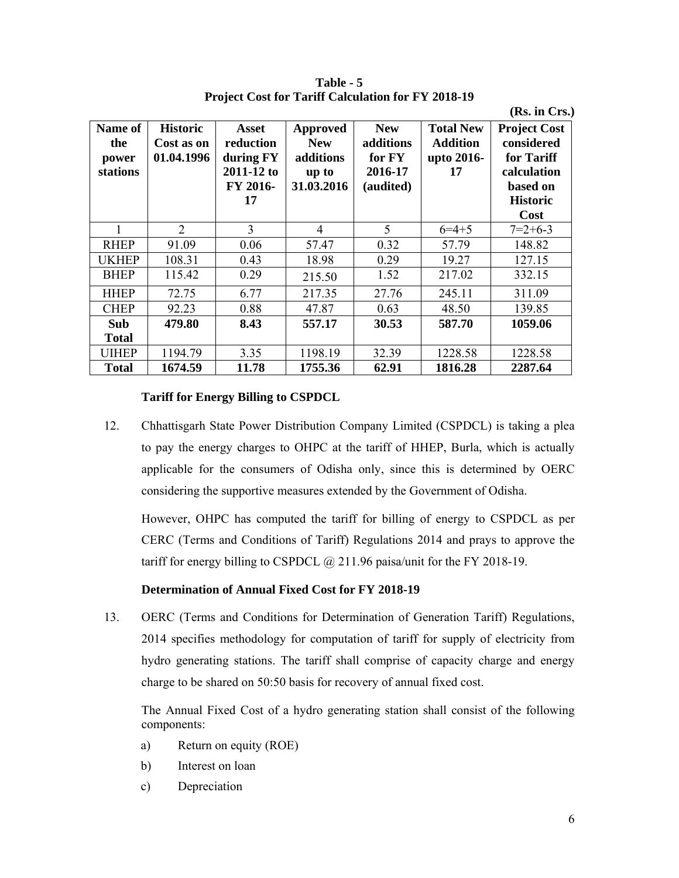**Table - 5 Project Cost for Tariff Calculation for FY 2018-19** 

 **(Rs. in Crs.)** 

| Name of<br>the<br>power<br>stations | <b>Historic</b><br>Cost as on<br>01.04.1996 | Asset<br>reduction<br>during FY<br>2011-12 to<br>FY 2016-<br>17 | <b>Approved</b><br><b>New</b><br>additions<br>up to<br>31.03.2016 | <b>New</b><br>additions<br>for FY<br>2016-17<br>(audited) | <b>Total New</b><br><b>Addition</b><br>upto 2016-<br>17 | <b>Project Cost</b><br>considered<br>for Tariff<br>calculation<br>based on<br><b>Historic</b><br>Cost |
|-------------------------------------|---------------------------------------------|-----------------------------------------------------------------|-------------------------------------------------------------------|-----------------------------------------------------------|---------------------------------------------------------|-------------------------------------------------------------------------------------------------------|
| 1                                   | $\overline{2}$                              | 3                                                               | $\overline{4}$                                                    | 5                                                         | $6=4+5$                                                 | $7=2+6-3$                                                                                             |
| <b>RHEP</b>                         | 91.09                                       | 0.06                                                            | 57.47                                                             | 0.32                                                      | 57.79                                                   | 148.82                                                                                                |
| <b>UKHEP</b>                        | 108.31                                      | 0.43                                                            | 18.98                                                             | 0.29                                                      | 19.27                                                   | 127.15                                                                                                |
| <b>BHEP</b>                         | 115.42                                      | 0.29                                                            | 215.50                                                            | 1.52                                                      | 217.02                                                  | 332.15                                                                                                |
| <b>HHEP</b>                         | 72.75                                       | 6.77                                                            | 217.35                                                            | 27.76                                                     | 245.11                                                  | 311.09                                                                                                |
| <b>CHEP</b>                         | 92.23                                       | 0.88                                                            | 47.87                                                             | 0.63                                                      | 48.50                                                   | 139.85                                                                                                |
| Sub                                 | 479.80                                      | 8.43                                                            | 557.17                                                            | 30.53                                                     | 587.70                                                  | 1059.06                                                                                               |
| <b>Total</b>                        |                                             |                                                                 |                                                                   |                                                           |                                                         |                                                                                                       |
| <b>UIHEP</b>                        | 1194.79                                     | 3.35                                                            | 1198.19                                                           | 32.39                                                     | 1228.58                                                 | 1228.58                                                                                               |
| <b>Total</b>                        | 1674.59                                     | 11.78                                                           | 1755.36                                                           | 62.91                                                     | 1816.28                                                 | 2287.64                                                                                               |

#### **Tariff for Energy Billing to CSPDCL**

12. Chhattisgarh State Power Distribution Company Limited (CSPDCL) is taking a plea to pay the energy charges to OHPC at the tariff of HHEP, Burla, which is actually applicable for the consumers of Odisha only, since this is determined by OERC considering the supportive measures extended by the Government of Odisha.

However, OHPC has computed the tariff for billing of energy to CSPDCL as per CERC (Terms and Conditions of Tariff) Regulations 2014 and prays to approve the tariff for energy billing to CSPDCL  $\omega$  211.96 paisa/unit for the FY 2018-19.

#### **Determination of Annual Fixed Cost for FY 2018-19**

13. OERC (Terms and Conditions for Determination of Generation Tariff) Regulations, 2014 specifies methodology for computation of tariff for supply of electricity from hydro generating stations. The tariff shall comprise of capacity charge and energy charge to be shared on 50:50 basis for recovery of annual fixed cost.

The Annual Fixed Cost of a hydro generating station shall consist of the following components:

- a) Return on equity (ROE)
- b) Interest on loan
- c) Depreciation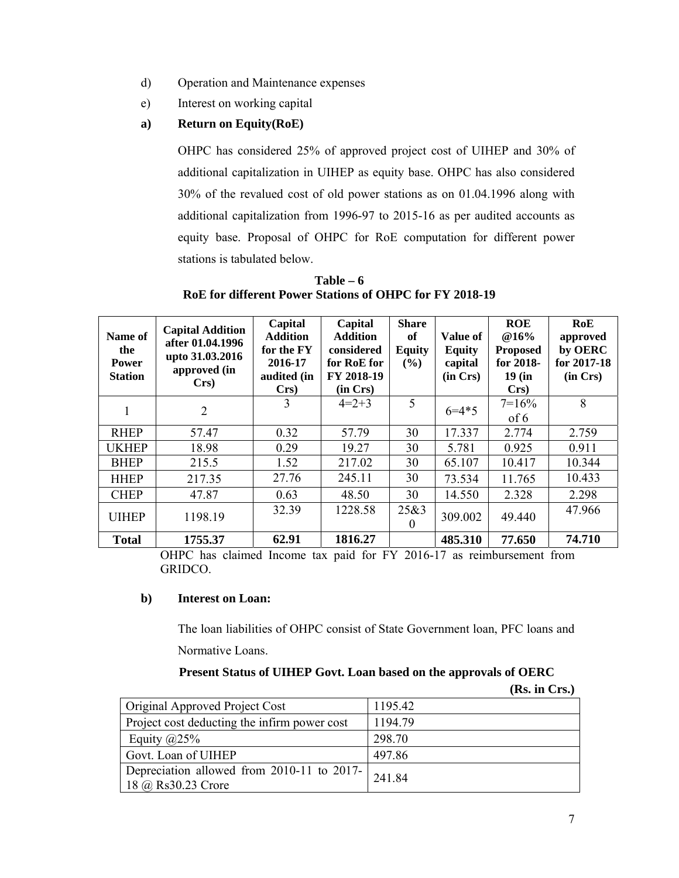- d) Operation and Maintenance expenses
- e) Interest on working capital

# **a) Return on Equity(RoE)**

OHPC has considered 25% of approved project cost of UIHEP and 30% of additional capitalization in UIHEP as equity base. OHPC has also considered 30% of the revalued cost of old power stations as on 01.04.1996 along with additional capitalization from 1996-97 to 2015-16 as per audited accounts as equity base. Proposal of OHPC for RoE computation for different power stations is tabulated below.

| Name of<br>the<br><b>Power</b><br><b>Station</b> | <b>Capital Addition</b><br>after 01.04.1996<br>upto 31.03.2016<br>approved (in<br>$Crs$ ) | Capital<br><b>Addition</b><br>for the FY<br>2016-17<br>audited (in<br>$Crs$ ) | Capital<br><b>Addition</b><br>considered<br>for RoE for<br>FY 2018-19<br>(in Crs) | <b>Share</b><br>of<br><b>Equity</b><br>$($ %) | Value of<br><b>Equity</b><br>capital<br>(in Crs) | <b>ROE</b><br>@16%<br><b>Proposed</b><br>for 2018-<br>$19$ (in<br>$Crs$ ) | RoE<br>approved<br>by OERC<br>for 2017-18<br>(in Crs) |
|--------------------------------------------------|-------------------------------------------------------------------------------------------|-------------------------------------------------------------------------------|-----------------------------------------------------------------------------------|-----------------------------------------------|--------------------------------------------------|---------------------------------------------------------------------------|-------------------------------------------------------|
|                                                  | $\overline{2}$                                                                            | 3                                                                             | $4=2+3$                                                                           | 5                                             | $6 = 4*5$                                        | $7=16%$<br>of 6                                                           | 8                                                     |
| <b>RHEP</b>                                      | 57.47                                                                                     | 0.32                                                                          | 57.79                                                                             | 30                                            | 17.337                                           | 2.774                                                                     | 2.759                                                 |
| <b>UKHEP</b>                                     | 18.98                                                                                     | 0.29                                                                          | 19.27                                                                             | 30                                            | 5.781                                            | 0.925                                                                     | 0.911                                                 |
| <b>BHEP</b>                                      | 215.5                                                                                     | 1.52                                                                          | 217.02                                                                            | 30                                            | 65.107                                           | 10.417                                                                    | 10.344                                                |
| <b>HHEP</b>                                      | 217.35                                                                                    | 27.76                                                                         | 245.11                                                                            | 30                                            | 73.534                                           | 11.765                                                                    | 10.433                                                |
| <b>CHEP</b>                                      | 47.87                                                                                     | 0.63                                                                          | 48.50                                                                             | 30                                            | 14.550                                           | 2.328                                                                     | 2.298                                                 |
| <b>UIHEP</b>                                     | 1198.19                                                                                   | 32.39                                                                         | 1228.58                                                                           | 25&3<br>$\Omega$                              | 309.002                                          | 49.440                                                                    | 47.966                                                |
| <b>Total</b>                                     | 1755.37                                                                                   | 62.91                                                                         | 1816.27                                                                           |                                               | 485.310                                          | 77.650                                                                    | 74.710                                                |

**Table – 6 RoE for different Power Stations of OHPC for FY 2018-19** 

OHPC has claimed Income tax paid for FY 2016-17 as reimbursement from GRIDCO.

# **b) Interest on Loan:**

The loan liabilities of OHPC consist of State Government loan, PFC loans and Normative Loans.

## **Present Status of UIHEP Govt. Loan based on the approvals of OERC**

|                                                           |         | (Rs. in Crs.) |
|-----------------------------------------------------------|---------|---------------|
| <b>Original Approved Project Cost</b>                     | 1195.42 |               |
| Project cost deducting the infirm power cost              | 1194.79 |               |
| Equity $(a)25%$                                           | 298.70  |               |
| Govt. Loan of UIHEP                                       | 497.86  |               |
| Depreciation allowed from 2010-11 to 2017- $\vert$ 241.84 |         |               |
| 18 @ Rs30.23 Crore                                        |         |               |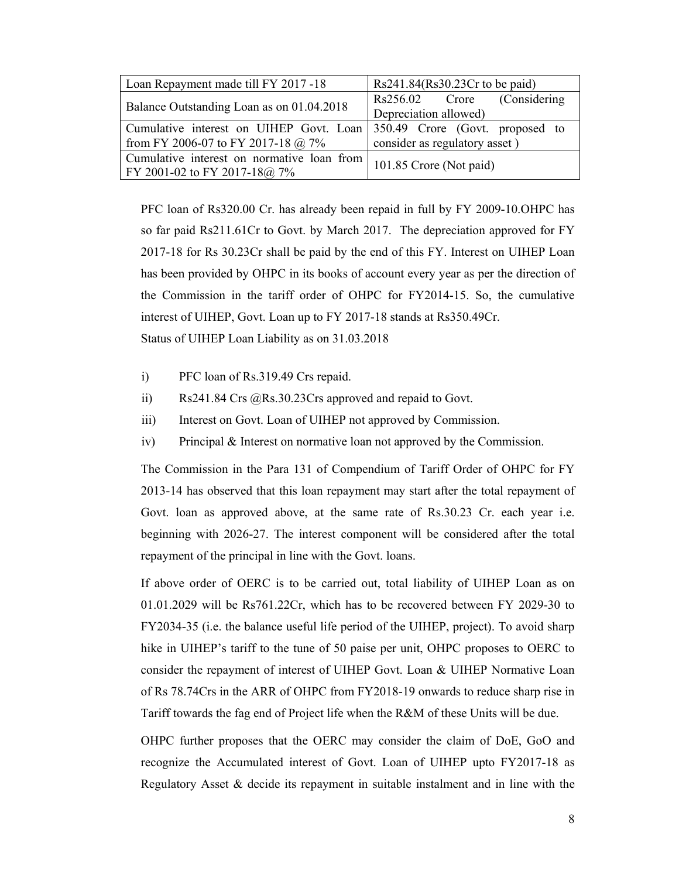| Loan Repayment made till FY 2017 -18       | $Rs241.84(Rs30.23Cr$ to be paid) |  |  |  |
|--------------------------------------------|----------------------------------|--|--|--|
| Balance Outstanding Loan as on 01.04.2018  | Rs256.02 Crore (Considering      |  |  |  |
|                                            | Depreciation allowed)            |  |  |  |
| Cumulative interest on UIHEP Govt. Loan    | 350.49 Crore (Govt. proposed to  |  |  |  |
| from FY 2006-07 to FY 2017-18 @ 7%         | consider as regulatory asset)    |  |  |  |
| Cumulative interest on normative loan from |                                  |  |  |  |
| FY 2001-02 to FY 2017-18@ 7%               | 101.85 Crore (Not paid)          |  |  |  |

PFC loan of Rs320.00 Cr. has already been repaid in full by FY 2009-10.OHPC has so far paid Rs211.61Cr to Govt. by March 2017. The depreciation approved for FY 2017-18 for Rs 30.23Cr shall be paid by the end of this FY. Interest on UIHEP Loan has been provided by OHPC in its books of account every year as per the direction of the Commission in the tariff order of OHPC for FY2014-15. So, the cumulative interest of UIHEP, Govt. Loan up to FY 2017-18 stands at Rs350.49Cr. Status of UIHEP Loan Liability as on 31.03.2018

- i) PFC loan of Rs.319.49 Crs repaid.
- ii) Rs241.84 Crs @Rs.30.23Crs approved and repaid to Govt.
- iii) Interest on Govt. Loan of UIHEP not approved by Commission.
- iv) Principal & Interest on normative loan not approved by the Commission.

The Commission in the Para 131 of Compendium of Tariff Order of OHPC for FY 2013-14 has observed that this loan repayment may start after the total repayment of Govt. loan as approved above, at the same rate of Rs.30.23 Cr. each year i.e. beginning with 2026-27. The interest component will be considered after the total repayment of the principal in line with the Govt. loans.

If above order of OERC is to be carried out, total liability of UIHEP Loan as on 01.01.2029 will be Rs761.22Cr, which has to be recovered between FY 2029-30 to FY2034-35 (i.e. the balance useful life period of the UIHEP, project). To avoid sharp hike in UIHEP's tariff to the tune of 50 paise per unit, OHPC proposes to OERC to consider the repayment of interest of UIHEP Govt. Loan & UIHEP Normative Loan of Rs 78.74Crs in the ARR of OHPC from FY2018-19 onwards to reduce sharp rise in Tariff towards the fag end of Project life when the R&M of these Units will be due.

OHPC further proposes that the OERC may consider the claim of DoE, GoO and recognize the Accumulated interest of Govt. Loan of UIHEP upto FY2017-18 as Regulatory Asset & decide its repayment in suitable instalment and in line with the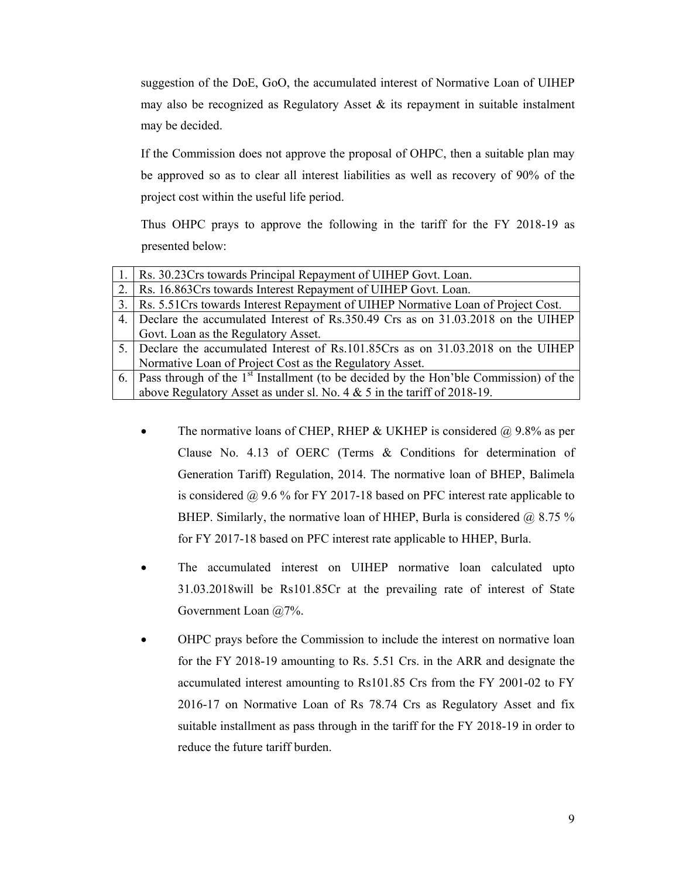suggestion of the DoE, GoO, the accumulated interest of Normative Loan of UIHEP may also be recognized as Regulatory Asset  $\&$  its repayment in suitable instalment may be decided.

If the Commission does not approve the proposal of OHPC, then a suitable plan may be approved so as to clear all interest liabilities as well as recovery of 90% of the project cost within the useful life period.

Thus OHPC prays to approve the following in the tariff for the FY 2018-19 as presented below:

|    | 1.   Rs. 30.23Crs towards Principal Repayment of UIHEP Govt. Loan.                               |
|----|--------------------------------------------------------------------------------------------------|
|    | 2.   Rs. 16.863Crs towards Interest Repayment of UIHEP Govt. Loan.                               |
|    | 3.   Rs. 5.51 Crs towards Interest Repayment of UIHEP Normative Loan of Project Cost.            |
|    | 4. Declare the accumulated Interest of Rs.350.49 Crs as on 31.03.2018 on the UIHEP               |
|    | Govt. Loan as the Regulatory Asset.                                                              |
|    | 5. Declare the accumulated Interest of Rs.101.85Crs as on 31.03.2018 on the UIHEP                |
|    | Normative Loan of Project Cost as the Regulatory Asset.                                          |
| 6. | Pass through of the 1 <sup>st</sup> Installment (to be decided by the Hon'ble Commission) of the |
|    | above Regulatory Asset as under sl. No. $4 \& 5$ in the tariff of 2018-19.                       |

- The normative loans of CHEP, RHEP & UKHEP is considered  $\omega$  9.8% as per Clause No. 4.13 of OERC (Terms & Conditions for determination of Generation Tariff) Regulation, 2014. The normative loan of BHEP, Balimela is considered @ 9.6 % for FY 2017-18 based on PFC interest rate applicable to BHEP. Similarly, the normative loan of HHEP, Burla is considered  $\omega$  8.75 % for FY 2017-18 based on PFC interest rate applicable to HHEP, Burla.
- The accumulated interest on UIHEP normative loan calculated upto 31.03.2018will be Rs101.85Cr at the prevailing rate of interest of State Government Loan @7%.
- OHPC prays before the Commission to include the interest on normative loan for the FY 2018-19 amounting to Rs. 5.51 Crs. in the ARR and designate the accumulated interest amounting to Rs101.85 Crs from the FY 2001-02 to FY 2016-17 on Normative Loan of Rs 78.74 Crs as Regulatory Asset and fix suitable installment as pass through in the tariff for the FY 2018-19 in order to reduce the future tariff burden.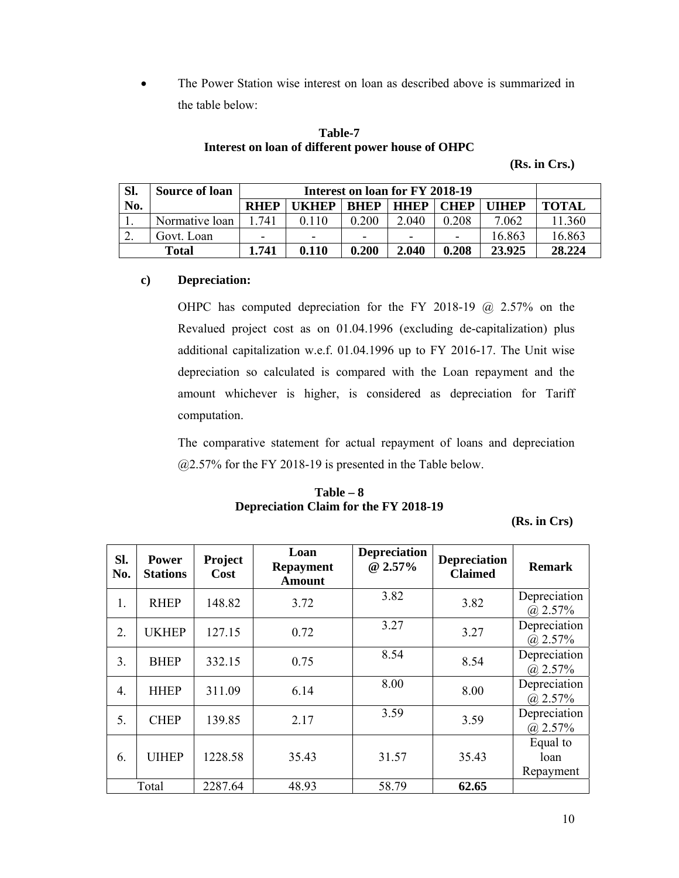The Power Station wise interest on loan as described above is summarized in the table below:

# **Table-7 Interest on loan of different power house of OHPC**

**(Rs. in Crs.)** 

| SI. | <b>Source of loan</b> |                          | Interest on loan for FY 2018-19 |             |             |                          |        |              |  |
|-----|-----------------------|--------------------------|---------------------------------|-------------|-------------|--------------------------|--------|--------------|--|
| No. |                       | <b>RHEP</b>              | <b>IKHEP</b>                    | <b>RHEP</b> | <b>HHEP</b> | <b>CHEP</b>              | THEP   | <b>TOTAL</b> |  |
|     | Normative loan        | 741                      | 0.110                           | 0.200       | 2.040       | 0.208                    | 7.062  | 1.360        |  |
| ـ ت | Govt. Loan            | $\overline{\phantom{0}}$ | -                               | -           | -           | $\overline{\phantom{0}}$ | 16.863 | 16.863       |  |
|     | Total                 | 1.741                    | 0.110                           | 0.200       | 2.040       | 0.208                    | 23.925 | 28.224       |  |

# **c) Depreciation:**

OHPC has computed depreciation for the FY 2018-19 @ 2.57% on the Revalued project cost as on 01.04.1996 (excluding de-capitalization) plus additional capitalization w.e.f. 01.04.1996 up to FY 2016-17. The Unit wise depreciation so calculated is compared with the Loan repayment and the amount whichever is higher, is considered as depreciation for Tariff computation.

The comparative statement for actual repayment of loans and depreciation @2.57% for the FY 2018-19 is presented in the Table below.

# **Table – 8 Depreciation Claim for the FY 2018-19**

**(Rs. in Crs)** 

| Sl.<br>No.       | <b>Power</b><br><b>Stations</b> | Project<br>Cost | Loan<br><b>Repayment</b><br><b>Amount</b> | <b>Depreciation</b><br>@ $2.57\%$ | <b>Depreciation</b><br><b>Claimed</b> | <b>Remark</b>                 |
|------------------|---------------------------------|-----------------|-------------------------------------------|-----------------------------------|---------------------------------------|-------------------------------|
| 1.               | <b>RHEP</b>                     | 148.82          | 3.72                                      | 3.82                              | 3.82                                  | Depreciation<br>$(a)$ 2.57%   |
| 2.               | <b>UKHEP</b>                    | 127.15          | 0.72                                      | 3.27                              | 3.27                                  | Depreciation<br>$(a)$ 2.57%   |
| 3 <sub>1</sub>   | <b>BHEP</b>                     | 332.15          | 0.75                                      | 8.54                              | 8.54                                  | Depreciation<br>$(a)$ 2.57%   |
| $\overline{4}$ . | <b>HHEP</b>                     | 311.09          | 6.14                                      | 8.00                              | 8.00                                  | Depreciation<br>$(a)$ 2.57%   |
| 5.               | <b>CHEP</b>                     | 139.85          | 2.17                                      | 3.59                              | 3.59                                  | Depreciation<br>$(a)$ 2.57%   |
| 6.               | <b>UIHEP</b>                    | 1228.58         | 35.43                                     | 31.57                             | 35.43                                 | Equal to<br>loan<br>Repayment |
|                  | Total                           | 2287.64         | 48.93                                     | 58.79                             | 62.65                                 |                               |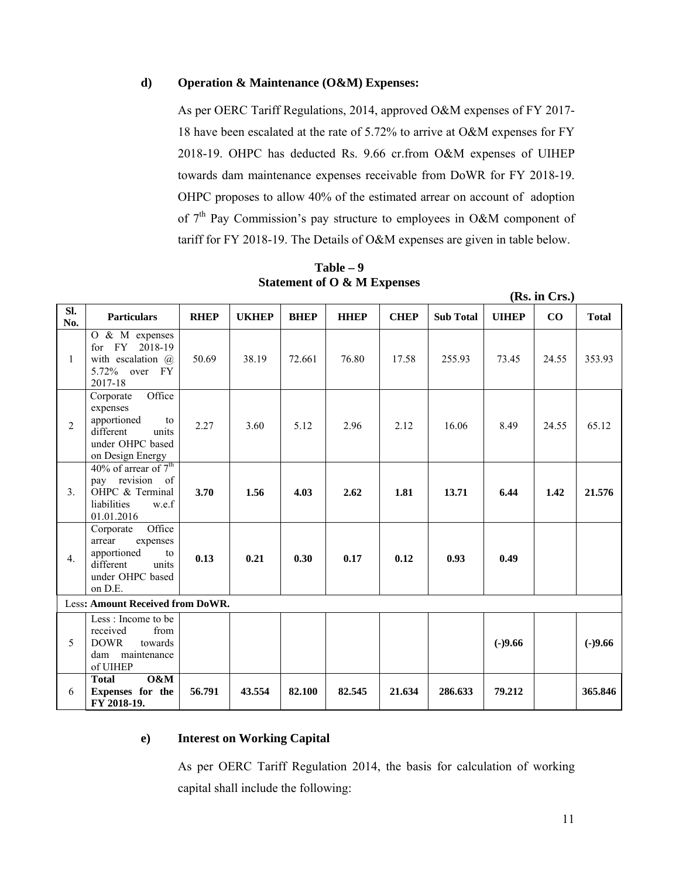#### **d) Operation & Maintenance (O&M) Expenses:**

As per OERC Tariff Regulations, 2014, approved O&M expenses of FY 2017- 18 have been escalated at the rate of 5.72% to arrive at O&M expenses for FY 2018-19. OHPC has deducted Rs. 9.66 cr.from O&M expenses of UIHEP towards dam maintenance expenses receivable from DoWR for FY 2018-19. OHPC proposes to allow 40% of the estimated arrear on account of adoption of  $7<sup>th</sup>$  Pay Commission's pay structure to employees in O&M component of tariff for FY 2018-19. The Details of O&M expenses are given in table below.

| $\overline{\text{SL}}$<br>No. | <b>Particulars</b>                                                                                                   | <b>RHEP</b> | <b>UKHEP</b> | <b>BHEP</b> | <b>HHEP</b> | <b>CHEP</b> | <b>Sub Total</b> | <b>UIHEP</b> | CO    | <b>Total</b> |
|-------------------------------|----------------------------------------------------------------------------------------------------------------------|-------------|--------------|-------------|-------------|-------------|------------------|--------------|-------|--------------|
| $\mathbf{1}$                  | O & M expenses<br>FY 2018-19<br>for<br>with escalation $(a)$<br>5.72% over<br><b>FY</b><br>2017-18                   | 50.69       | 38.19        | 72.661      | 76.80       | 17.58       | 255.93           | 73.45        | 24.55 | 353.93       |
| 2                             | Office<br>Corporate<br>expenses<br>apportioned<br>to<br>different<br>units<br>under OHPC based<br>on Design Energy   | 2.27        | 3.60         | 5.12        | 2.96        | 2.12        | 16.06            | 8.49         | 24.55 | 65.12        |
| 3 <sub>1</sub>                | 40% of arrear of $7th$<br>pay revision of<br>OHPC & Terminal<br>liabilities<br>w.e.f<br>01.01.2016                   | 3.70        | 1.56         | 4.03        | 2.62        | 1.81        | 13.71            | 6.44         | 1.42  | 21.576       |
| 4 <sub>1</sub>                | Office<br>Corporate<br>expenses<br>arrear<br>apportioned<br>to<br>different<br>units<br>under OHPC based<br>on D.E.  | 0.13        | 0.21         | 0.30        | 0.17        | 0.12        | 0.93             | 0.49         |       |              |
|                               | Less: Amount Received from DoWR.                                                                                     |             |              |             |             |             |                  |              |       |              |
| 5                             | $\overline{\text{Less}}$ : Income to be<br>from<br>received<br><b>DOWR</b><br>towards<br>dam maintenance<br>of UIHEP |             |              |             |             |             |                  | $(-)9.66$    |       | $(-)9.66$    |
| 6                             | 0&M<br><b>Total</b><br>Expenses for the<br>FY 2018-19.                                                               | 56.791      | 43.554       | 82.100      | 82.545      | 21.634      | 286.633          | 79.212       |       | 365,846      |

**Table – 9 Statement of O & M Expenses** 

#### **e) Interest on Working Capital**

As per OERC Tariff Regulation 2014, the basis for calculation of working capital shall include the following:

**(Rs. in Crs.)**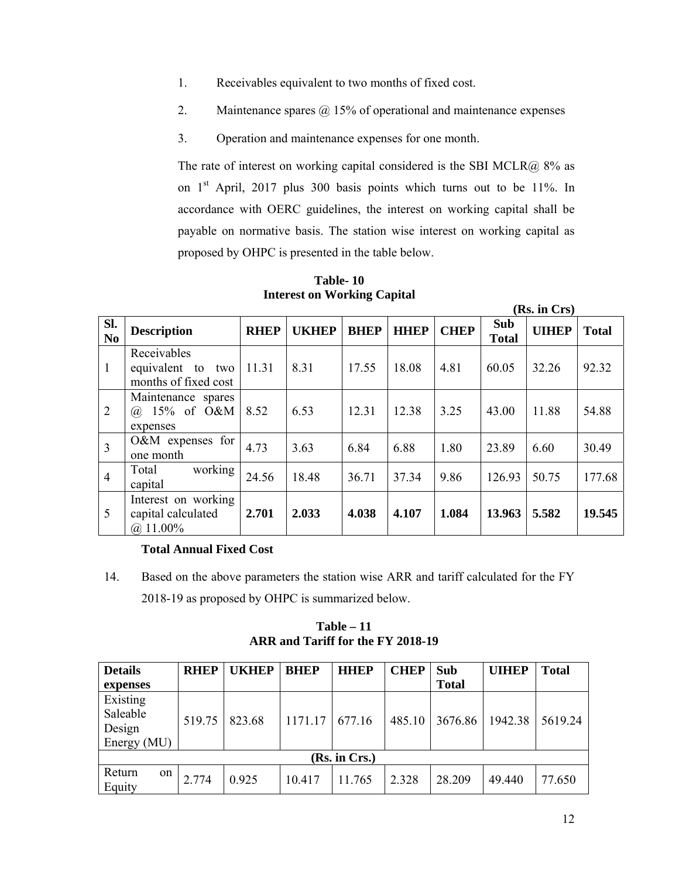- 1. Receivables equivalent to two months of fixed cost.
- 2. Maintenance spares  $\omega$  15% of operational and maintenance expenses
- 3. Operation and maintenance expenses for one month.

The rate of interest on working capital considered is the SBI MCLR $@$  8% as on 1<sup>st</sup> April, 2017 plus 300 basis points which turns out to be 11%. In accordance with OERC guidelines, the interest on working capital shall be payable on normative basis. The station wise interest on working capital as proposed by OHPC is presented in the table below.

|                       |                                                             |             |              |             |             |             |                            | (Rs. in Crs) |              |
|-----------------------|-------------------------------------------------------------|-------------|--------------|-------------|-------------|-------------|----------------------------|--------------|--------------|
| SI.<br>N <sub>0</sub> | <b>Description</b>                                          | <b>RHEP</b> | <b>UKHEP</b> | <b>BHEP</b> | <b>HHEP</b> | <b>CHEP</b> | <b>Sub</b><br><b>Total</b> | <b>UIHEP</b> | <b>Total</b> |
| 1                     | Receivables<br>equivalent to<br>two<br>months of fixed cost | 11.31       | 8.31         | 17.55       | 18.08       | 4.81        | 60.05                      | 32.26        | 92.32        |
| $\overline{2}$        | Maintenance spares<br>$15\%$ of O&M<br>(a)<br>expenses      | 8.52        | 6.53         | 12.31       | 12.38       | 3.25        | 43.00                      | 11.88        | 54.88        |
| $\overline{3}$        | O&M expenses for<br>one month                               | 4.73        | 3.63         | 6.84        | 6.88        | 1.80        | 23.89                      | 6.60         | 30.49        |
| $\overline{4}$        | working<br>Total<br>capital                                 | 24.56       | 18.48        | 36.71       | 37.34       | 9.86        | 126.93                     | 50.75        | 177.68       |
| 5                     | Interest on working<br>capital calculated<br>$(a)$ 11.00%   | 2.701       | 2.033        | 4.038       | 4.107       | 1.084       | 13.963                     | 5.582        | 19.545       |

**Table- 10 Interest on Working Capital** 

# **Total Annual Fixed Cost**

14. Based on the above parameters the station wise ARR and tariff calculated for the FY 2018-19 as proposed by OHPC is summarized below.

**Table – 11 ARR and Tariff for the FY 2018-19** 

| <b>Details</b> | <b>RHEP</b> | <b>UKHEP</b> | <b>BHEP</b> | <b>HHEP</b>   | <b>CHEP</b> | Sub          | <b>UIHEP</b> | <b>Total</b> |
|----------------|-------------|--------------|-------------|---------------|-------------|--------------|--------------|--------------|
| expenses       |             |              |             |               |             | <b>Total</b> |              |              |
| Existing       |             |              |             |               |             |              |              |              |
| Saleable       | 519.75      | 823.68       | 1171.17     | 677.16        | 485.10      | 3676.86      | 1942.38      | 5619.24      |
| Design         |             |              |             |               |             |              |              |              |
| Energy (MU)    |             |              |             |               |             |              |              |              |
|                |             |              |             | (Rs. in Crs.) |             |              |              |              |
| Return<br>on   | 2.774       | 0.925        |             |               | 2.328       | 28.209       |              |              |
| Equity         |             |              | 10.417      | 11.765        |             |              | 49.440       | 77.650       |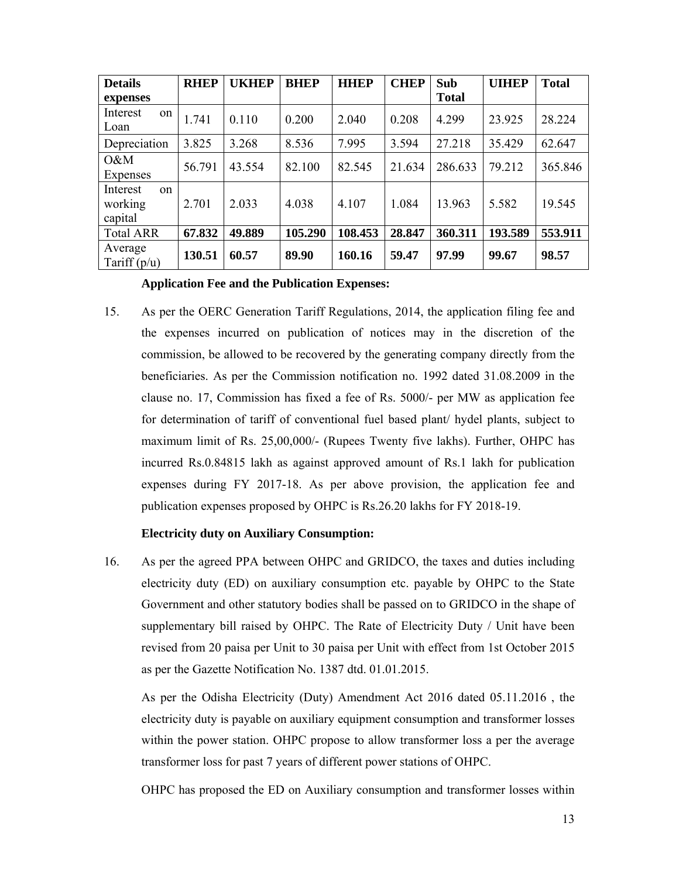| <b>Details</b>                       | <b>RHEP</b> | <b>UKHEP</b> | <b>BHEP</b> | <b>HHEP</b> | <b>CHEP</b> | Sub          | <b>UIHEP</b> | <b>Total</b> |
|--------------------------------------|-------------|--------------|-------------|-------------|-------------|--------------|--------------|--------------|
| expenses                             |             |              |             |             |             | <b>Total</b> |              |              |
| Interest<br>on<br>Loan               | 1.741       | 0.110        | 0.200       | 2.040       | 0.208       | 4.299        | 23.925       | 28.224       |
| Depreciation                         | 3.825       | 3.268        | 8.536       | 7.995       | 3.594       | 27.218       | 35.429       | 62.647       |
| $0\&M$<br>Expenses                   | 56.791      | 43.554       | 82.100      | 82.545      | 21.634      | 286.633      | 79.212       | 365.846      |
| Interest<br>on<br>working<br>capital | 2.701       | 2.033        | 4.038       | 4.107       | 1.084       | 13.963       | 5.582        | 19.545       |
| <b>Total ARR</b>                     | 67.832      | 49.889       | 105.290     | 108.453     | 28.847      | 360.311      | 193.589      | 553.911      |
| Average<br>Tariff $(p/u)$            | 130.51      | 60.57        | 89.90       | 160.16      | 59.47       | 97.99        | 99.67        | 98.57        |

#### **Application Fee and the Publication Expenses:**

15. As per the OERC Generation Tariff Regulations, 2014, the application filing fee and the expenses incurred on publication of notices may in the discretion of the commission, be allowed to be recovered by the generating company directly from the beneficiaries. As per the Commission notification no. 1992 dated 31.08.2009 in the clause no. 17, Commission has fixed a fee of Rs. 5000/- per MW as application fee for determination of tariff of conventional fuel based plant/ hydel plants, subject to maximum limit of Rs. 25,00,000/- (Rupees Twenty five lakhs). Further, OHPC has incurred Rs.0.84815 lakh as against approved amount of Rs.1 lakh for publication expenses during FY 2017-18. As per above provision, the application fee and publication expenses proposed by OHPC is Rs.26.20 lakhs for FY 2018-19.

#### **Electricity duty on Auxiliary Consumption:**

16. As per the agreed PPA between OHPC and GRIDCO, the taxes and duties including electricity duty (ED) on auxiliary consumption etc. payable by OHPC to the State Government and other statutory bodies shall be passed on to GRIDCO in the shape of supplementary bill raised by OHPC. The Rate of Electricity Duty / Unit have been revised from 20 paisa per Unit to 30 paisa per Unit with effect from 1st October 2015 as per the Gazette Notification No. 1387 dtd. 01.01.2015.

As per the Odisha Electricity (Duty) Amendment Act 2016 dated 05.11.2016 , the electricity duty is payable on auxiliary equipment consumption and transformer losses within the power station. OHPC propose to allow transformer loss a per the average transformer loss for past 7 years of different power stations of OHPC.

OHPC has proposed the ED on Auxiliary consumption and transformer losses within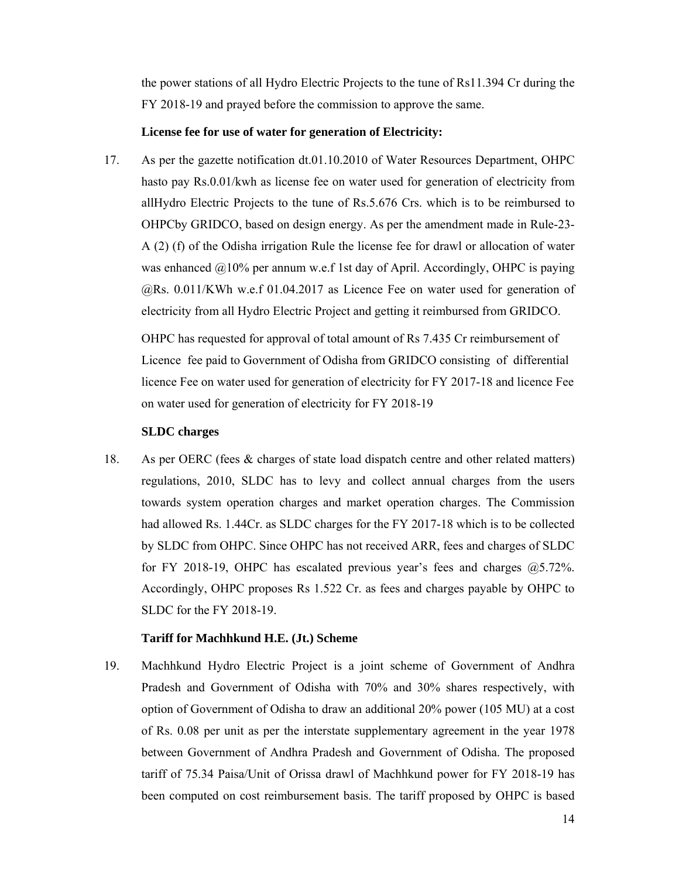the power stations of all Hydro Electric Projects to the tune of Rs11.394 Cr during the FY 2018-19 and prayed before the commission to approve the same.

#### **License fee for use of water for generation of Electricity:**

17. As per the gazette notification dt.01.10.2010 of Water Resources Department, OHPC hasto pay Rs.0.01/kwh as license fee on water used for generation of electricity from allHydro Electric Projects to the tune of Rs.5.676 Crs. which is to be reimbursed to OHPCby GRIDCO, based on design energy. As per the amendment made in Rule-23- A (2) (f) of the Odisha irrigation Rule the license fee for drawl or allocation of water was enhanced  $@10\%$  per annum w.e.f 1st day of April. Accordingly, OHPC is paying @Rs. 0.011/KWh w.e.f 01.04.2017 as Licence Fee on water used for generation of electricity from all Hydro Electric Project and getting it reimbursed from GRIDCO.

OHPC has requested for approval of total amount of Rs 7.435 Cr reimbursement of Licence fee paid to Government of Odisha from GRIDCO consisting of differential licence Fee on water used for generation of electricity for FY 2017-18 and licence Fee on water used for generation of electricity for FY 2018-19

#### **SLDC charges**

18. As per OERC (fees & charges of state load dispatch centre and other related matters) regulations, 2010, SLDC has to levy and collect annual charges from the users towards system operation charges and market operation charges. The Commission had allowed Rs. 1.44Cr. as SLDC charges for the FY 2017-18 which is to be collected by SLDC from OHPC. Since OHPC has not received ARR, fees and charges of SLDC for FY 2018-19, OHPC has escalated previous year's fees and charges @5.72%. Accordingly, OHPC proposes Rs 1.522 Cr. as fees and charges payable by OHPC to SLDC for the FY 2018-19.

#### **Tariff for Machhkund H.E. (Jt.) Scheme**

19. Machhkund Hydro Electric Project is a joint scheme of Government of Andhra Pradesh and Government of Odisha with 70% and 30% shares respectively, with option of Government of Odisha to draw an additional 20% power (105 MU) at a cost of Rs. 0.08 per unit as per the interstate supplementary agreement in the year 1978 between Government of Andhra Pradesh and Government of Odisha. The proposed tariff of 75.34 Paisa/Unit of Orissa drawl of Machhkund power for FY 2018-19 has been computed on cost reimbursement basis. The tariff proposed by OHPC is based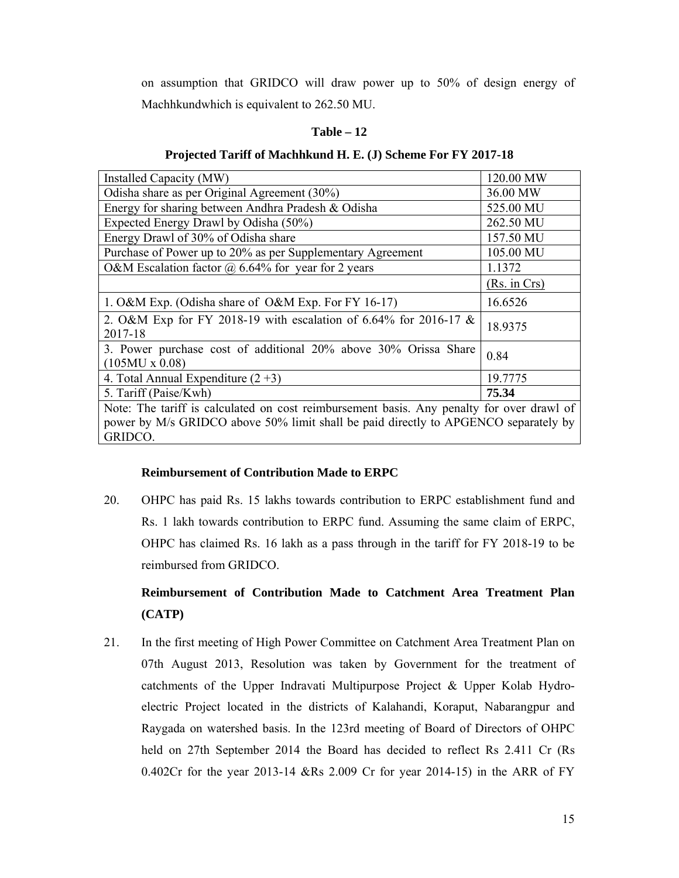on assumption that GRIDCO will draw power up to 50% of design energy of Machhkundwhich is equivalent to 262.50 MU.

#### **Table – 12**

#### **Projected Tariff of Machhkund H. E. (J) Scheme For FY 2017-18**

| Installed Capacity (MW)                                                                        | 120.00 MW    |  |  |  |
|------------------------------------------------------------------------------------------------|--------------|--|--|--|
| Odisha share as per Original Agreement (30%)                                                   | 36.00 MW     |  |  |  |
| Energy for sharing between Andhra Pradesh & Odisha                                             | 525.00 MU    |  |  |  |
| Expected Energy Drawl by Odisha (50%)                                                          | 262.50 MU    |  |  |  |
| Energy Drawl of 30% of Odisha share                                                            | 157.50 MU    |  |  |  |
| Purchase of Power up to 20% as per Supplementary Agreement                                     | 105.00 MU    |  |  |  |
| O&M Escalation factor $\omega$ 6.64% for year for 2 years                                      | 1.1372       |  |  |  |
|                                                                                                | (Rs. in Crs) |  |  |  |
| 1. O&M Exp. (Odisha share of O&M Exp. For FY 16-17)                                            | 16.6526      |  |  |  |
| 2. O&M Exp for FY 2018-19 with escalation of 6.64% for 2016-17 &<br>2017-18                    | 18.9375      |  |  |  |
| 3. Power purchase cost of additional 20% above 30% Orissa Share<br>$(105MU \times 0.08)$       | 0.84         |  |  |  |
| 4. Total Annual Expenditure $(2+3)$                                                            | 19.7775      |  |  |  |
| 5. Tariff (Paise/Kwh)                                                                          | 75.34        |  |  |  |
| Note: The tariff is calculated on cost reimbursement basis. Any penalty for over drawl of      |              |  |  |  |
| power by M/s GRIDCO above 50% limit shall be paid directly to APGENCO separately by<br>GRIDCO. |              |  |  |  |
|                                                                                                |              |  |  |  |

## **Reimbursement of Contribution Made to ERPC**

20. OHPC has paid Rs. 15 lakhs towards contribution to ERPC establishment fund and Rs. 1 lakh towards contribution to ERPC fund. Assuming the same claim of ERPC, OHPC has claimed Rs. 16 lakh as a pass through in the tariff for FY 2018-19 to be reimbursed from GRIDCO.

# **Reimbursement of Contribution Made to Catchment Area Treatment Plan (CATP)**

21. In the first meeting of High Power Committee on Catchment Area Treatment Plan on 07th August 2013, Resolution was taken by Government for the treatment of catchments of the Upper Indravati Multipurpose Project & Upper Kolab Hydroelectric Project located in the districts of Kalahandi, Koraput, Nabarangpur and Raygada on watershed basis. In the 123rd meeting of Board of Directors of OHPC held on 27th September 2014 the Board has decided to reflect Rs 2.411 Cr (Rs 0.402Cr for the year 2013-14 &Rs 2.009 Cr for year 2014-15) in the ARR of FY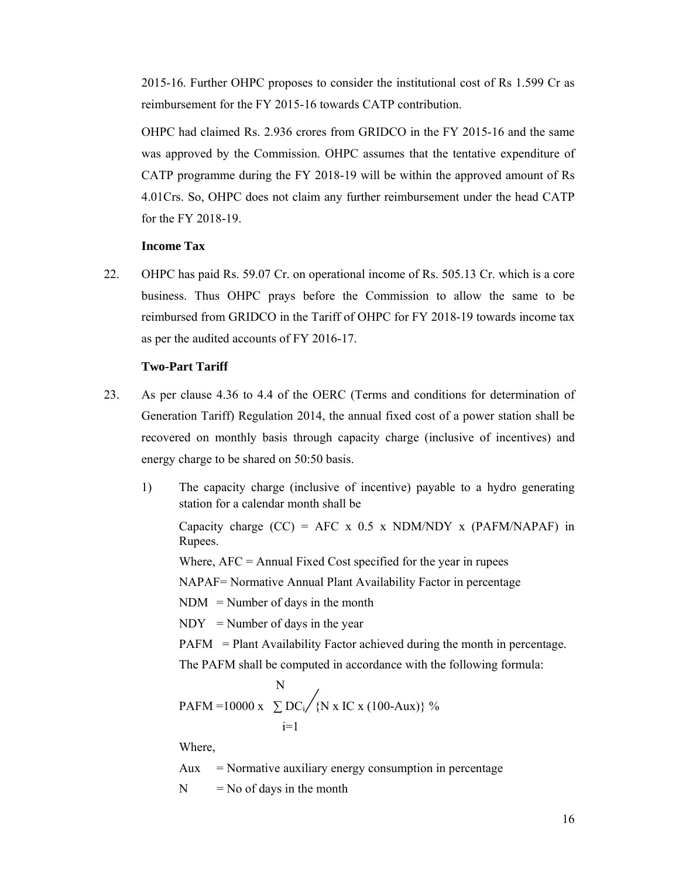2015-16. Further OHPC proposes to consider the institutional cost of Rs 1.599 Cr as reimbursement for the FY 2015-16 towards CATP contribution.

OHPC had claimed Rs. 2.936 crores from GRIDCO in the FY 2015-16 and the same was approved by the Commission. OHPC assumes that the tentative expenditure of CATP programme during the FY 2018-19 will be within the approved amount of Rs 4.01Crs. So, OHPC does not claim any further reimbursement under the head CATP for the FY 2018-19.

# **Income Tax**

22. OHPC has paid Rs. 59.07 Cr. on operational income of Rs. 505.13 Cr. which is a core business. Thus OHPC prays before the Commission to allow the same to be reimbursed from GRIDCO in the Tariff of OHPC for FY 2018-19 towards income tax as per the audited accounts of FY 2016-17.

#### **Two-Part Tariff**

- 23. As per clause 4.36 to 4.4 of the OERC (Terms and conditions for determination of Generation Tariff) Regulation 2014, the annual fixed cost of a power station shall be recovered on monthly basis through capacity charge (inclusive of incentives) and energy charge to be shared on 50:50 basis.
	- 1) The capacity charge (inclusive of incentive) payable to a hydro generating station for a calendar month shall be

Capacity charge  $(CC) = AFC \times 0.5 \times NDM/NDY \times (PAFM/NAPAF)$  in Rupees.

Where,  $AFC = Annual Fixed Cost specified for the year in rupees$ 

NAPAF= Normative Annual Plant Availability Factor in percentage

 $NDM = Number of days in the month$ 

 $NDY = Number of days in the year$ 

PAFM = Plant Availability Factor achieved during the month in percentage.

The PAFM shall be computed in accordance with the following formula:

$$
N
$$
  
PAFM = 10000 x  $\sum_{i=1}^{N} DC_i / {N x IC x (100-Aux)}$  %

Where,

Aux = Normative auxiliary energy consumption in percentage

 $N = No$  of days in the month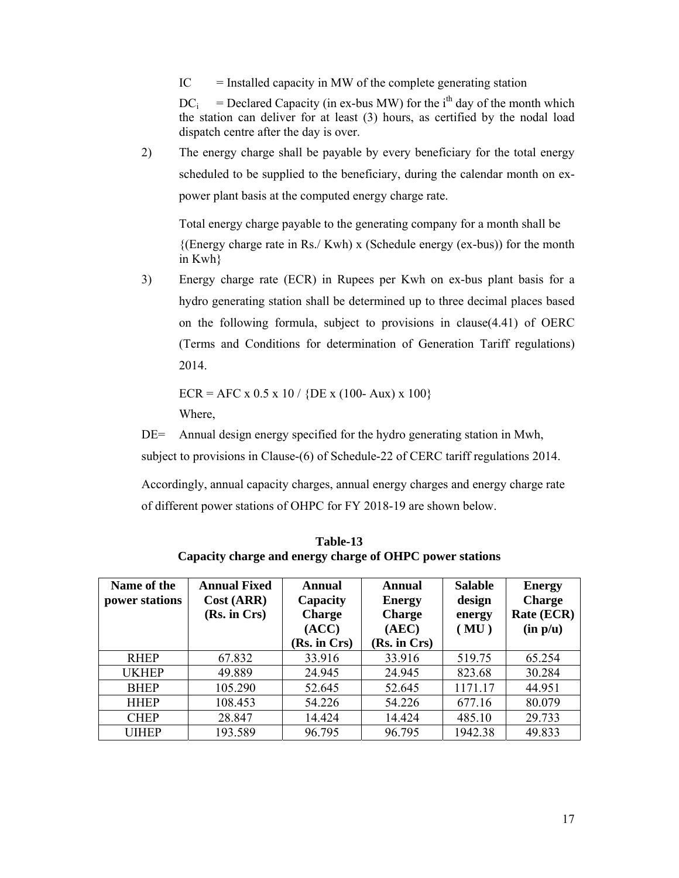$IC =$  Installed capacity in MW of the complete generating station

 $DC_i$  = Declared Capacity (in ex-bus MW) for the i<sup>th</sup> day of the month which the station can deliver for at least (3) hours, as certified by the nodal load dispatch centre after the day is over.

2) The energy charge shall be payable by every beneficiary for the total energy scheduled to be supplied to the beneficiary, during the calendar month on expower plant basis at the computed energy charge rate.

Total energy charge payable to the generating company for a month shall be  ${({\rm Energy~charge~rate~in~Rs./~Kwh}) \times (Schedule~energy~(ex-bus))~for~the~month}$ in Kwh}

3) Energy charge rate (ECR) in Rupees per Kwh on ex-bus plant basis for a hydro generating station shall be determined up to three decimal places based on the following formula, subject to provisions in clause(4.41) of OERC (Terms and Conditions for determination of Generation Tariff regulations) 2014.

 $ECR = AFC \times 0.5 \times 10 / \{DE \times (100 - Aux) \times 100\}$ 

Where,

DE= Annual design energy specified for the hydro generating station in Mwh,

subject to provisions in Clause-(6) of Schedule-22 of CERC tariff regulations 2014.

Accordingly, annual capacity charges, annual energy charges and energy charge rate of different power stations of OHPC for FY 2018-19 are shown below.

| Name of the<br>power stations | <b>Annual Fixed</b><br>Cost (ARR)<br>(Rs. in Crs) | Annual<br>Capacity<br><b>Charge</b><br>(ACC)<br>(Rs. in Crs) | Annual<br><b>Energy</b><br><b>Charge</b><br>(AEC)<br>(Rs. in Crs) | <b>Salable</b><br>design<br>energy<br>(MU) | <b>Energy</b><br><b>Charge</b><br>Rate (ECR)<br>(in p/u) |
|-------------------------------|---------------------------------------------------|--------------------------------------------------------------|-------------------------------------------------------------------|--------------------------------------------|----------------------------------------------------------|
| <b>RHEP</b>                   | 67.832                                            | 33.916                                                       | 33.916                                                            | 519.75                                     | 65.254                                                   |
| <b>UKHEP</b>                  | 49.889                                            | 24.945                                                       | 24.945                                                            | 823.68                                     | 30.284                                                   |
| <b>BHEP</b>                   | 105.290                                           | 52.645                                                       | 52.645                                                            | 1171.17                                    | 44.951                                                   |
| <b>HHEP</b>                   | 108.453                                           | 54.226                                                       | 54.226                                                            | 677.16                                     | 80.079                                                   |
| <b>CHEP</b>                   | 28.847                                            | 14.424                                                       | 14.424                                                            | 485.10                                     | 29.733                                                   |
| UIHEP                         | 193.589                                           | 96.795                                                       | 96.795                                                            | 1942.38                                    | 49.833                                                   |

**Table-13 Capacity charge and energy charge of OHPC power stations**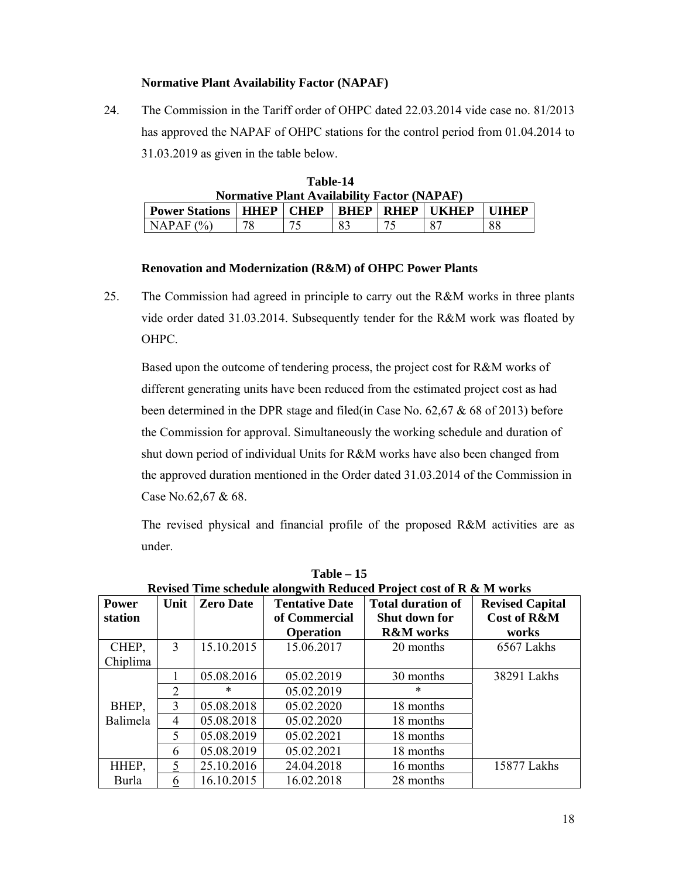# **Normative Plant Availability Factor (NAPAF)**

24. The Commission in the Tariff order of OHPC dated 22.03.2014 vide case no. 81/2013 has approved the NAPAF of OHPC stations for the control period from 01.04.2014 to 31.03.2019 as given in the table below.

| Table-14                                           |                                                                                                  |  |  |  |  |  |  |
|----------------------------------------------------|--------------------------------------------------------------------------------------------------|--|--|--|--|--|--|
| <b>Normative Plant Availability Factor (NAPAF)</b> |                                                                                                  |  |  |  |  |  |  |
|                                                    | <b>HHEP CHEP</b><br><b>BHEP</b><br><b>RHEP   UKHEP</b><br><b>Power Stations</b><br><b>TITHEP</b> |  |  |  |  |  |  |
| 83<br>88<br>NAPAF (%)                              |                                                                                                  |  |  |  |  |  |  |

# **Renovation and Modernization (R&M) of OHPC Power Plants**

25. The Commission had agreed in principle to carry out the R&M works in three plants vide order dated 31.03.2014. Subsequently tender for the R&M work was floated by OHPC.

Based upon the outcome of tendering process, the project cost for R&M works of different generating units have been reduced from the estimated project cost as had been determined in the DPR stage and filed(in Case No. 62,67 & 68 of 2013) before the Commission for approval. Simultaneously the working schedule and duration of shut down period of individual Units for R&M works have also been changed from the approved duration mentioned in the Order dated 31.03.2014 of the Commission in Case No.62,67 & 68.

The revised physical and financial profile of the proposed R&M activities are as under.

|              | Revised Time schedule alongwith Reduced Project cost of R & M works |                  |                       |                          |                        |  |  |
|--------------|---------------------------------------------------------------------|------------------|-----------------------|--------------------------|------------------------|--|--|
| <b>Power</b> | Unit                                                                | <b>Zero Date</b> | <b>Tentative Date</b> | <b>Total duration of</b> | <b>Revised Capital</b> |  |  |
| station      |                                                                     |                  | of Commercial         | Shut down for            | <b>Cost of R&amp;M</b> |  |  |
|              |                                                                     |                  | <b>Operation</b>      | <b>R&amp;M</b> works     | works                  |  |  |
| CHEP,        | 3                                                                   | 15.10.2015       | 15.06.2017            | 20 months                | 6567 Lakhs             |  |  |
| Chiplima     |                                                                     |                  |                       |                          |                        |  |  |
|              |                                                                     | 05.08.2016       | 05.02.2019            | 30 months                | 38291 Lakhs            |  |  |
|              | 2                                                                   | *                | 05.02.2019            | $\ast$                   |                        |  |  |
| BHEP,        | 3                                                                   | 05.08.2018       | 05.02.2020            | 18 months                |                        |  |  |
| Balimela     | 4                                                                   | 05.08.2018       | 05.02.2020            | 18 months                |                        |  |  |
|              | 5                                                                   | 05.08.2019       | 05.02.2021            | 18 months                |                        |  |  |
|              | 6                                                                   | 05.08.2019       | 05.02.2021            | 18 months                |                        |  |  |
| HHEP,        | 5                                                                   | 25.10.2016       | 24.04.2018            | 16 months                | 15877 Lakhs            |  |  |
| Burla        | 6                                                                   | 16.10.2015       | 16.02.2018            | 28 months                |                        |  |  |

**Table – 15**   $\mathbf{r}$  and  $\mathbf{r}$  **D**  $\mathbf{R}$  **M**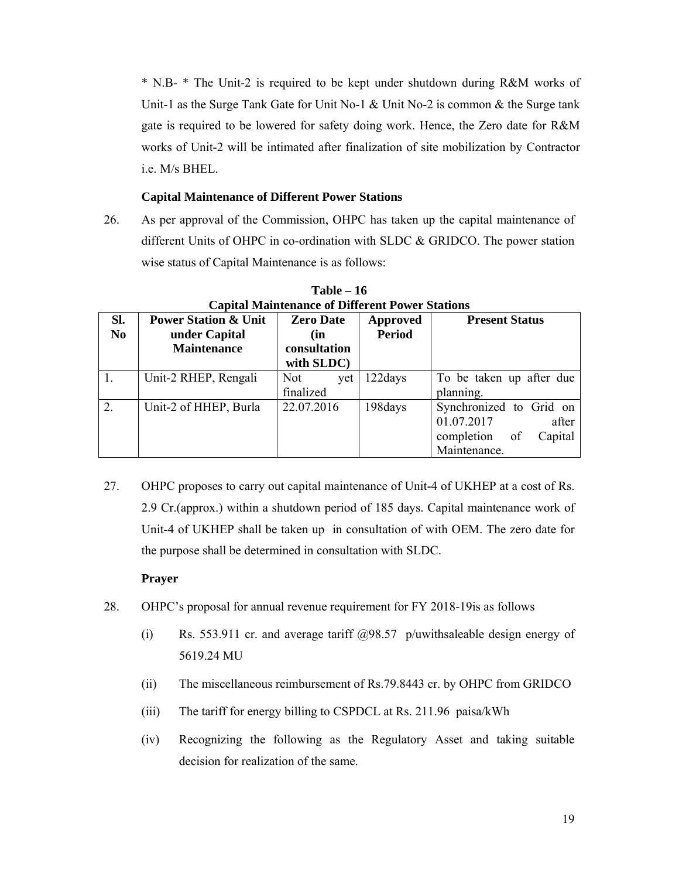\* N.B- \* The Unit-2 is required to be kept under shutdown during R&M works of Unit-1 as the Surge Tank Gate for Unit No-1  $\&$  Unit No-2 is common  $\&$  the Surge tank gate is required to be lowered for safety doing work. Hence, the Zero date for R&M works of Unit-2 will be intimated after finalization of site mobilization by Contractor i.e. M/s BHEL.

# **Capital Maintenance of Different Power Stations**

26. As per approval of the Commission, OHPC has taken up the capital maintenance of different Units of OHPC in co-ordination with SLDC & GRIDCO. The power station wise status of Capital Maintenance is as follows:

|                | Capital Maillichance of Dhiel che i owel biations |                  |               |                             |
|----------------|---------------------------------------------------|------------------|---------------|-----------------------------|
| SI.            | <b>Power Station &amp; Unit</b>                   | <b>Zero Date</b> | Approved      | <b>Present Status</b>       |
| N <sub>0</sub> | under Capital                                     | (in              | <b>Period</b> |                             |
|                | <b>Maintenance</b>                                | consultation     |               |                             |
|                |                                                   | with SLDC)       |               |                             |
| 1.             | Unit-2 RHEP, Rengali                              | Not:<br>vet      | 122days       | To be taken up after due    |
|                |                                                   | finalized        |               | planning.                   |
| 2.             | Unit-2 of HHEP, Burla                             | 22.07.2016       | 198days       | Synchronized to Grid on     |
|                |                                                   |                  |               | 01.07.2017<br>after         |
|                |                                                   |                  |               | completion<br>Capital<br>of |
|                |                                                   |                  |               | Maintenance.                |

**Table – 16 Capital Maintenance of Different Power Stations** 

27. OHPC proposes to carry out capital maintenance of Unit-4 of UKHEP at a cost of Rs. 2.9 Cr.(approx.) within a shutdown period of 185 days. Capital maintenance work of Unit-4 of UKHEP shall be taken up in consultation of with OEM. The zero date for the purpose shall be determined in consultation with SLDC.

## **Prayer**

- 28. OHPC's proposal for annual revenue requirement for FY 2018-19is as follows
	- (i) Rs. 553.911 cr. and average tariff  $\omega$ 98.57 p/uwithsaleable design energy of 5619.24 MU
	- (ii) The miscellaneous reimbursement of Rs.79.8443 cr. by OHPC from GRIDCO
	- (iii) The tariff for energy billing to CSPDCL at Rs. 211.96 paisa/kWh
	- (iv) Recognizing the following as the Regulatory Asset and taking suitable decision for realization of the same.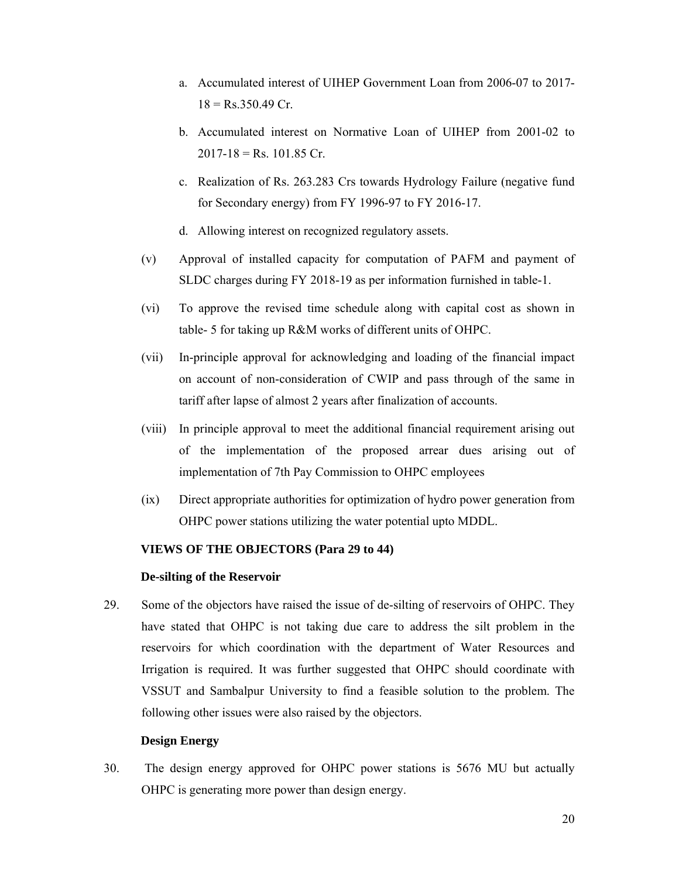- a. Accumulated interest of UIHEP Government Loan from 2006-07 to 2017-  $18 = Rs.350.49$  Cr.
- b. Accumulated interest on Normative Loan of UIHEP from 2001-02 to  $2017 - 18 =$  Rs. 101.85 Cr.
- c. Realization of Rs. 263.283 Crs towards Hydrology Failure (negative fund for Secondary energy) from FY 1996-97 to FY 2016-17.
- d. Allowing interest on recognized regulatory assets.
- (v) Approval of installed capacity for computation of PAFM and payment of SLDC charges during FY 2018-19 as per information furnished in table-1.
- (vi) To approve the revised time schedule along with capital cost as shown in table- 5 for taking up R&M works of different units of OHPC.
- (vii) In-principle approval for acknowledging and loading of the financial impact on account of non-consideration of CWIP and pass through of the same in tariff after lapse of almost 2 years after finalization of accounts.
- (viii) In principle approval to meet the additional financial requirement arising out of the implementation of the proposed arrear dues arising out of implementation of 7th Pay Commission to OHPC employees
- (ix) Direct appropriate authorities for optimization of hydro power generation from OHPC power stations utilizing the water potential upto MDDL.

## **VIEWS OF THE OBJECTORS (Para 29 to 44)**

## **De-silting of the Reservoir**

29. Some of the objectors have raised the issue of de-silting of reservoirs of OHPC. They have stated that OHPC is not taking due care to address the silt problem in the reservoirs for which coordination with the department of Water Resources and Irrigation is required. It was further suggested that OHPC should coordinate with VSSUT and Sambalpur University to find a feasible solution to the problem. The following other issues were also raised by the objectors.

## **Design Energy**

30. The design energy approved for OHPC power stations is 5676 MU but actually OHPC is generating more power than design energy.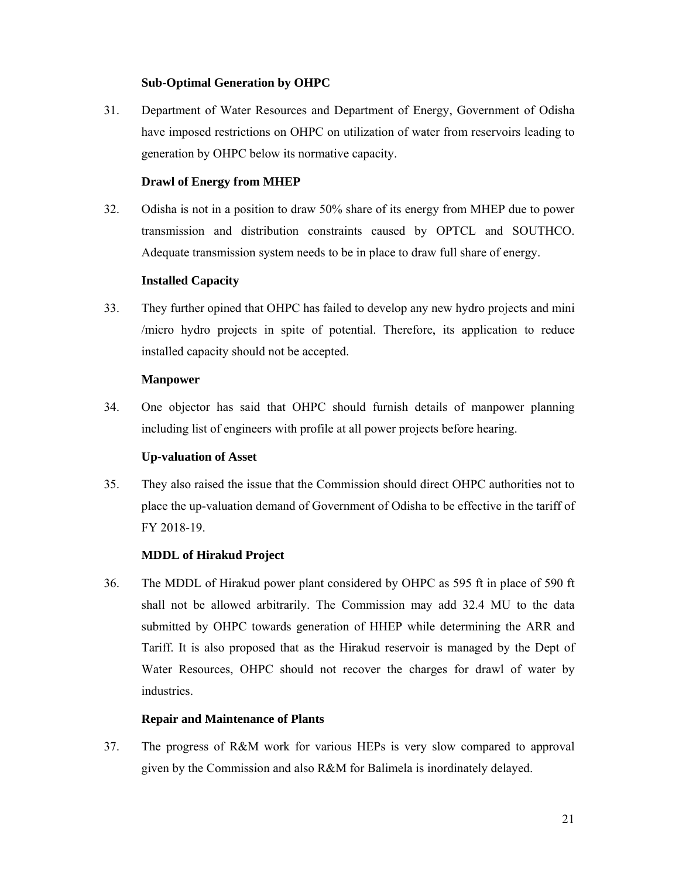# **Sub-Optimal Generation by OHPC**

31. Department of Water Resources and Department of Energy, Government of Odisha have imposed restrictions on OHPC on utilization of water from reservoirs leading to generation by OHPC below its normative capacity.

# **Drawl of Energy from MHEP**

32. Odisha is not in a position to draw 50% share of its energy from MHEP due to power transmission and distribution constraints caused by OPTCL and SOUTHCO. Adequate transmission system needs to be in place to draw full share of energy.

# **Installed Capacity**

33. They further opined that OHPC has failed to develop any new hydro projects and mini /micro hydro projects in spite of potential. Therefore, its application to reduce installed capacity should not be accepted.

## **Manpower**

34. One objector has said that OHPC should furnish details of manpower planning including list of engineers with profile at all power projects before hearing.

## **Up-valuation of Asset**

35. They also raised the issue that the Commission should direct OHPC authorities not to place the up-valuation demand of Government of Odisha to be effective in the tariff of FY 2018-19.

# **MDDL of Hirakud Project**

36. The MDDL of Hirakud power plant considered by OHPC as 595 ft in place of 590 ft shall not be allowed arbitrarily. The Commission may add 32.4 MU to the data submitted by OHPC towards generation of HHEP while determining the ARR and Tariff. It is also proposed that as the Hirakud reservoir is managed by the Dept of Water Resources, OHPC should not recover the charges for drawl of water by industries.

## **Repair and Maintenance of Plants**

37. The progress of R&M work for various HEPs is very slow compared to approval given by the Commission and also R&M for Balimela is inordinately delayed.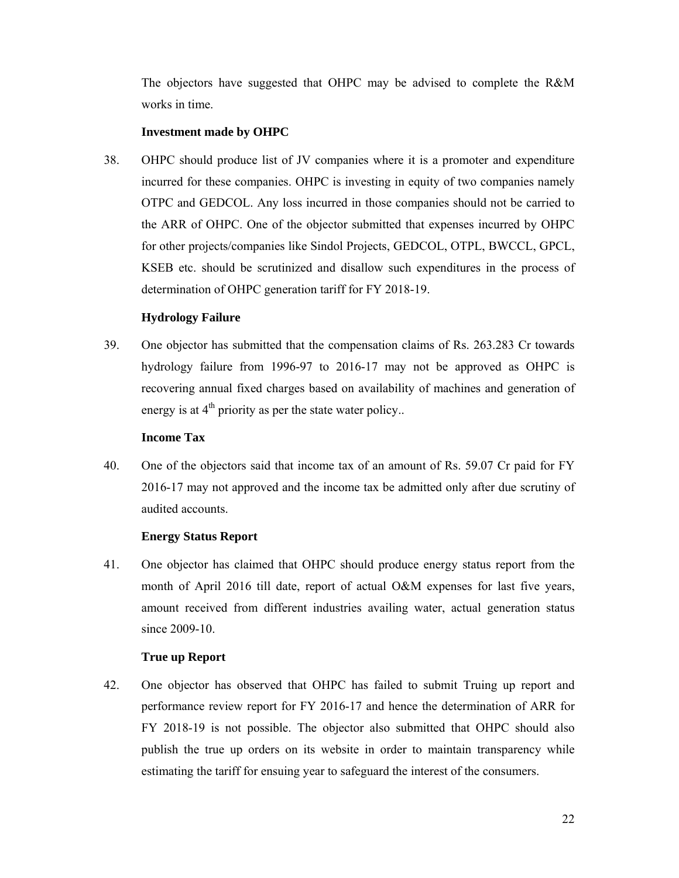The objectors have suggested that OHPC may be advised to complete the R&M works in time.

#### **Investment made by OHPC**

38. OHPC should produce list of JV companies where it is a promoter and expenditure incurred for these companies. OHPC is investing in equity of two companies namely OTPC and GEDCOL. Any loss incurred in those companies should not be carried to the ARR of OHPC. One of the objector submitted that expenses incurred by OHPC for other projects/companies like Sindol Projects, GEDCOL, OTPL, BWCCL, GPCL, KSEB etc. should be scrutinized and disallow such expenditures in the process of determination of OHPC generation tariff for FY 2018-19.

## **Hydrology Failure**

39. One objector has submitted that the compensation claims of Rs. 263.283 Cr towards hydrology failure from 1996-97 to 2016-17 may not be approved as OHPC is recovering annual fixed charges based on availability of machines and generation of energy is at  $4<sup>th</sup>$  priority as per the state water policy..

#### **Income Tax**

40. One of the objectors said that income tax of an amount of Rs. 59.07 Cr paid for FY 2016-17 may not approved and the income tax be admitted only after due scrutiny of audited accounts.

## **Energy Status Report**

41. One objector has claimed that OHPC should produce energy status report from the month of April 2016 till date, report of actual O&M expenses for last five years, amount received from different industries availing water, actual generation status since 2009-10.

## **True up Report**

42. One objector has observed that OHPC has failed to submit Truing up report and performance review report for FY 2016-17 and hence the determination of ARR for FY 2018-19 is not possible. The objector also submitted that OHPC should also publish the true up orders on its website in order to maintain transparency while estimating the tariff for ensuing year to safeguard the interest of the consumers.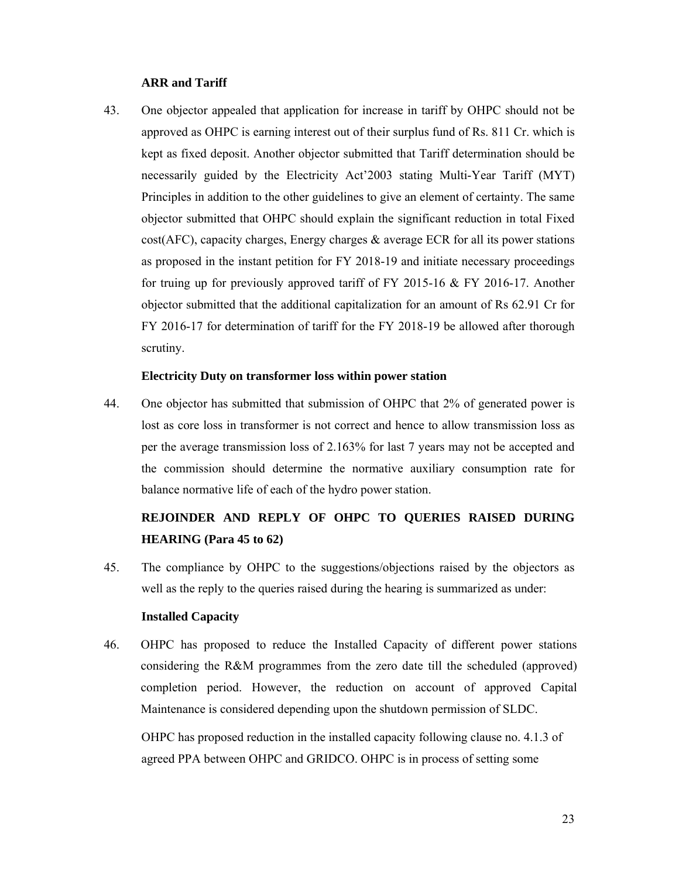#### **ARR and Tariff**

43. One objector appealed that application for increase in tariff by OHPC should not be approved as OHPC is earning interest out of their surplus fund of Rs. 811 Cr. which is kept as fixed deposit. Another objector submitted that Tariff determination should be necessarily guided by the Electricity Act'2003 stating Multi-Year Tariff (MYT) Principles in addition to the other guidelines to give an element of certainty. The same objector submitted that OHPC should explain the significant reduction in total Fixed  $cost(AFC)$ , capacity charges, Energy charges & average ECR for all its power stations as proposed in the instant petition for FY 2018-19 and initiate necessary proceedings for truing up for previously approved tariff of FY 2015-16 & FY 2016-17. Another objector submitted that the additional capitalization for an amount of Rs 62.91 Cr for FY 2016-17 for determination of tariff for the FY 2018-19 be allowed after thorough scrutiny.

#### **Electricity Duty on transformer loss within power station**

44. One objector has submitted that submission of OHPC that 2% of generated power is lost as core loss in transformer is not correct and hence to allow transmission loss as per the average transmission loss of 2.163% for last 7 years may not be accepted and the commission should determine the normative auxiliary consumption rate for balance normative life of each of the hydro power station.

# **REJOINDER AND REPLY OF OHPC TO QUERIES RAISED DURING HEARING (Para 45 to 62)**

45. The compliance by OHPC to the suggestions/objections raised by the objectors as well as the reply to the queries raised during the hearing is summarized as under:

#### **Installed Capacity**

46. OHPC has proposed to reduce the Installed Capacity of different power stations considering the R&M programmes from the zero date till the scheduled (approved) completion period. However, the reduction on account of approved Capital Maintenance is considered depending upon the shutdown permission of SLDC.

OHPC has proposed reduction in the installed capacity following clause no. 4.1.3 of agreed PPA between OHPC and GRIDCO. OHPC is in process of setting some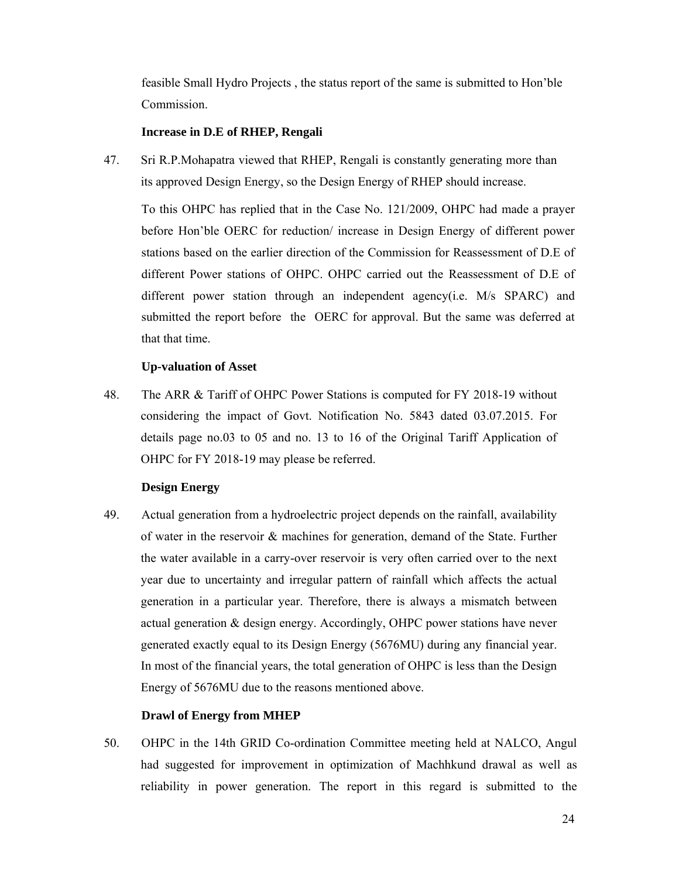feasible Small Hydro Projects , the status report of the same is submitted to Hon'ble Commission.

#### **Increase in D.E of RHEP, Rengali**

47. Sri R.P.Mohapatra viewed that RHEP, Rengali is constantly generating more than its approved Design Energy, so the Design Energy of RHEP should increase.

To this OHPC has replied that in the Case No. 121/2009, OHPC had made a prayer before Hon'ble OERC for reduction/ increase in Design Energy of different power stations based on the earlier direction of the Commission for Reassessment of D.E of different Power stations of OHPC. OHPC carried out the Reassessment of D.E of different power station through an independent agency(i.e. M/s SPARC) and submitted the report before the OERC for approval. But the same was deferred at that that time.

## **Up-valuation of Asset**

48. The ARR & Tariff of OHPC Power Stations is computed for FY 2018-19 without considering the impact of Govt. Notification No. 5843 dated 03.07.2015. For details page no.03 to 05 and no. 13 to 16 of the Original Tariff Application of OHPC for FY 2018-19 may please be referred.

## **Design Energy**

49. Actual generation from a hydroelectric project depends on the rainfall, availability of water in the reservoir & machines for generation, demand of the State. Further the water available in a carry-over reservoir is very often carried over to the next year due to uncertainty and irregular pattern of rainfall which affects the actual generation in a particular year. Therefore, there is always a mismatch between actual generation & design energy. Accordingly, OHPC power stations have never generated exactly equal to its Design Energy (5676MU) during any financial year. In most of the financial years, the total generation of OHPC is less than the Design Energy of 5676MU due to the reasons mentioned above.

## **Drawl of Energy from MHEP**

50. OHPC in the 14th GRID Co-ordination Committee meeting held at NALCO, Angul had suggested for improvement in optimization of Machhkund drawal as well as reliability in power generation. The report in this regard is submitted to the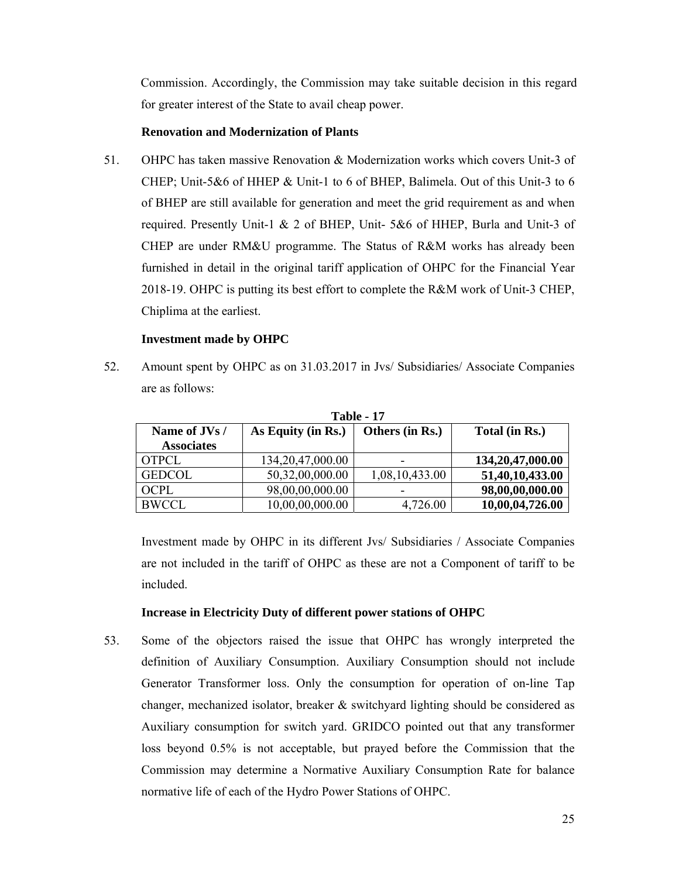Commission. Accordingly, the Commission may take suitable decision in this regard for greater interest of the State to avail cheap power.

## **Renovation and Modernization of Plants**

51. OHPC has taken massive Renovation & Modernization works which covers Unit-3 of CHEP; Unit-5&6 of HHEP & Unit-1 to 6 of BHEP, Balimela. Out of this Unit-3 to 6 of BHEP are still available for generation and meet the grid requirement as and when required. Presently Unit-1 & 2 of BHEP, Unit- 5&6 of HHEP, Burla and Unit-3 of CHEP are under RM&U programme. The Status of R&M works has already been furnished in detail in the original tariff application of OHPC for the Financial Year 2018-19. OHPC is putting its best effort to complete the R&M work of Unit-3 CHEP, Chiplima at the earliest.

# **Investment made by OHPC**

52. Amount spent by OHPC as on 31.03.2017 in Jvs/ Subsidiaries/ Associate Companies are as follows:

| 1 adie - 17       |                     |                 |                  |  |  |
|-------------------|---------------------|-----------------|------------------|--|--|
| Name of JVs /     | As Equity (in Rs.)  | Others (in Rs.) | Total (in Rs.)   |  |  |
| <b>Associates</b> |                     |                 |                  |  |  |
| <b>OTPCL</b>      | 134, 20, 47, 000.00 |                 | 134,20,47,000.00 |  |  |
| <b>GEDCOL</b>     | 50,32,00,000.00     | 1,08,10,433.00  | 51,40,10,433.00  |  |  |
| OCPL              | 98,00,00,000.00     |                 | 98,00,00,000.00  |  |  |
| <b>BWCCL</b>      | 10,00,00,000.00     | 4,726.00        | 10,00,04,726.00  |  |  |

**Table - 17** 

Investment made by OHPC in its different Jvs/ Subsidiaries / Associate Companies are not included in the tariff of OHPC as these are not a Component of tariff to be included.

# **Increase in Electricity Duty of different power stations of OHPC**

53. Some of the objectors raised the issue that OHPC has wrongly interpreted the definition of Auxiliary Consumption. Auxiliary Consumption should not include Generator Transformer loss. Only the consumption for operation of on-line Tap changer, mechanized isolator, breaker & switchyard lighting should be considered as Auxiliary consumption for switch yard. GRIDCO pointed out that any transformer loss beyond 0.5% is not acceptable, but prayed before the Commission that the Commission may determine a Normative Auxiliary Consumption Rate for balance normative life of each of the Hydro Power Stations of OHPC.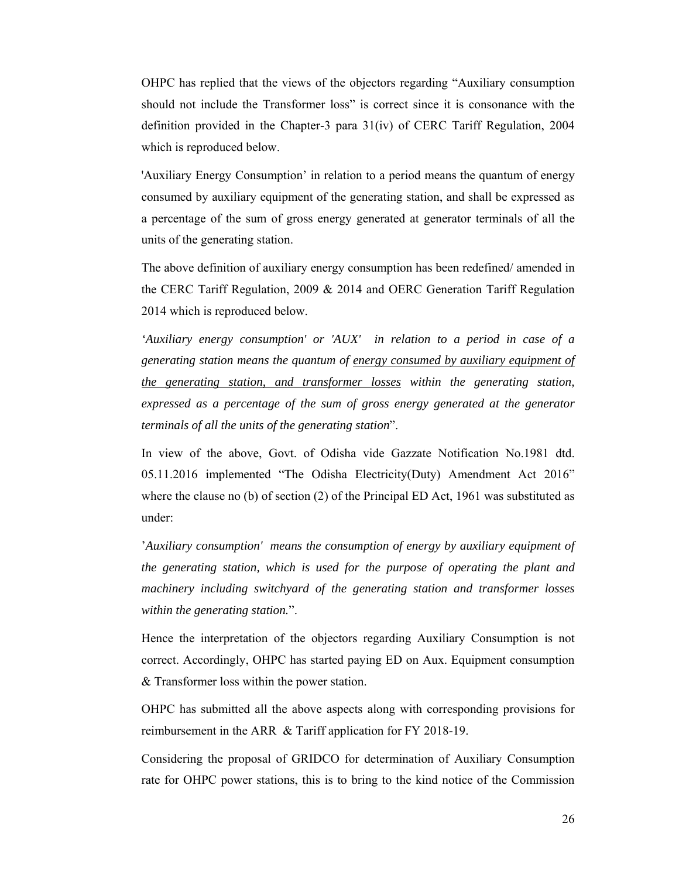OHPC has replied that the views of the objectors regarding "Auxiliary consumption should not include the Transformer loss" is correct since it is consonance with the definition provided in the Chapter-3 para 31(iv) of CERC Tariff Regulation, 2004 which is reproduced below.

'Auxiliary Energy Consumption' in relation to a period means the quantum of energy consumed by auxiliary equipment of the generating station, and shall be expressed as a percentage of the sum of gross energy generated at generator terminals of all the units of the generating station.

The above definition of auxiliary energy consumption has been redefined/ amended in the CERC Tariff Regulation, 2009 & 2014 and OERC Generation Tariff Regulation 2014 which is reproduced below.

*'Auxiliary energy consumption' or 'AUX' in relation to a period in case of a generating station means the quantum of energy consumed by auxiliary equipment of the generating station, and transformer losses within the generating station, expressed as a percentage of the sum of gross energy generated at the generator terminals of all the units of the generating station*".

In view of the above, Govt. of Odisha vide Gazzate Notification No.1981 dtd. 05.11.2016 implemented "The Odisha Electricity(Duty) Amendment Act 2016" where the clause no (b) of section (2) of the Principal ED Act, 1961 was substituted as under:

'*Auxiliary consumption' means the consumption of energy by auxiliary equipment of the generating station, which is used for the purpose of operating the plant and machinery including switchyard of the generating station and transformer losses within the generating station.*".

Hence the interpretation of the objectors regarding Auxiliary Consumption is not correct. Accordingly, OHPC has started paying ED on Aux. Equipment consumption & Transformer loss within the power station.

OHPC has submitted all the above aspects along with corresponding provisions for reimbursement in the ARR & Tariff application for FY 2018-19.

Considering the proposal of GRIDCO for determination of Auxiliary Consumption rate for OHPC power stations, this is to bring to the kind notice of the Commission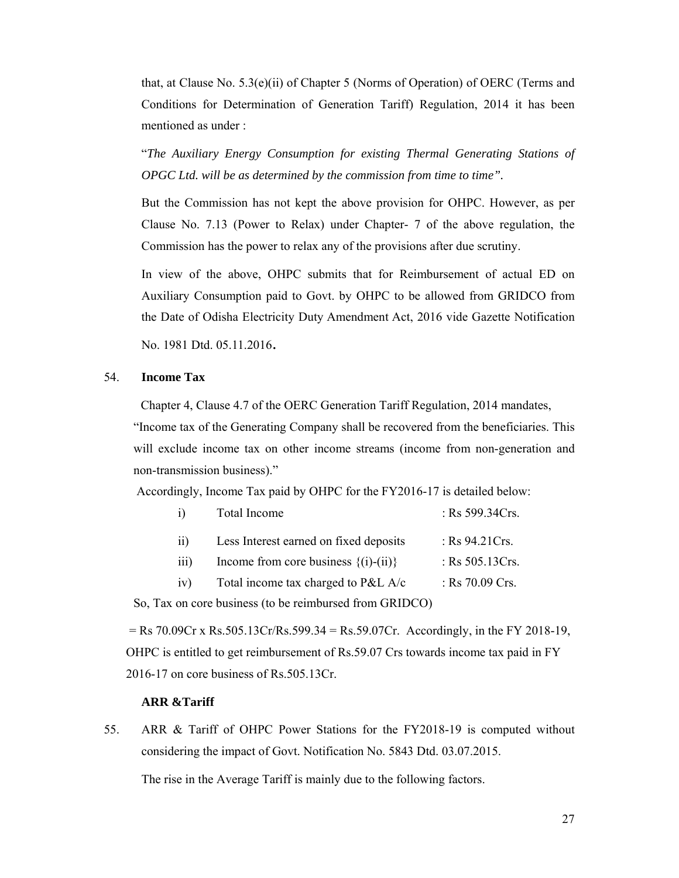that, at Clause No.  $5.3(e)(ii)$  of Chapter 5 (Norms of Operation) of OERC (Terms and Conditions for Determination of Generation Tariff) Regulation, 2014 it has been mentioned as under :

"*The Auxiliary Energy Consumption for existing Thermal Generating Stations of OPGC Ltd. will be as determined by the commission from time to time".* 

But the Commission has not kept the above provision for OHPC. However, as per Clause No. 7.13 (Power to Relax) under Chapter- 7 of the above regulation, the Commission has the power to relax any of the provisions after due scrutiny.

In view of the above, OHPC submits that for Reimbursement of actual ED on Auxiliary Consumption paid to Govt. by OHPC to be allowed from GRIDCO from the Date of Odisha Electricity Duty Amendment Act, 2016 vide Gazette Notification

No. 1981 Dtd. 05.11.2016.

#### 54. **Income Tax**

Chapter 4, Clause 4.7 of the OERC Generation Tariff Regulation, 2014 mandates,

"Income tax of the Generating Company shall be recovered from the beneficiaries. This will exclude income tax on other income streams (income from non-generation and non-transmission business)."

Accordingly, Income Tax paid by OHPC for the FY2016-17 is detailed below:

| i)            | Total Income                             | : Rs 599.34Crs.    |
|---------------|------------------------------------------|--------------------|
| 11)           | Less Interest earned on fixed deposits   | : $Rs\,94.21Crs.$  |
| 111)          | Income from core business $\{(i)-(ii)\}$ | : Rs $505.13Crs$ . |
| $\mathbf{iv}$ | Total income tax charged to $P&LA/c$     | : Rs $70.09$ Crs.  |
|               |                                          |                    |

So, Tax on core business (to be reimbursed from GRIDCO)

 $=$  Rs 70.09Cr x Rs.505.13Cr/Rs.599.34 = Rs.59.07Cr. Accordingly, in the FY 2018-19, OHPC is entitled to get reimbursement of Rs.59.07 Crs towards income tax paid in FY 2016-17 on core business of Rs.505.13Cr.

#### **ARR &Tariff**

55. ARR & Tariff of OHPC Power Stations for the FY2018-19 is computed without considering the impact of Govt. Notification No. 5843 Dtd. 03.07.2015.

The rise in the Average Tariff is mainly due to the following factors.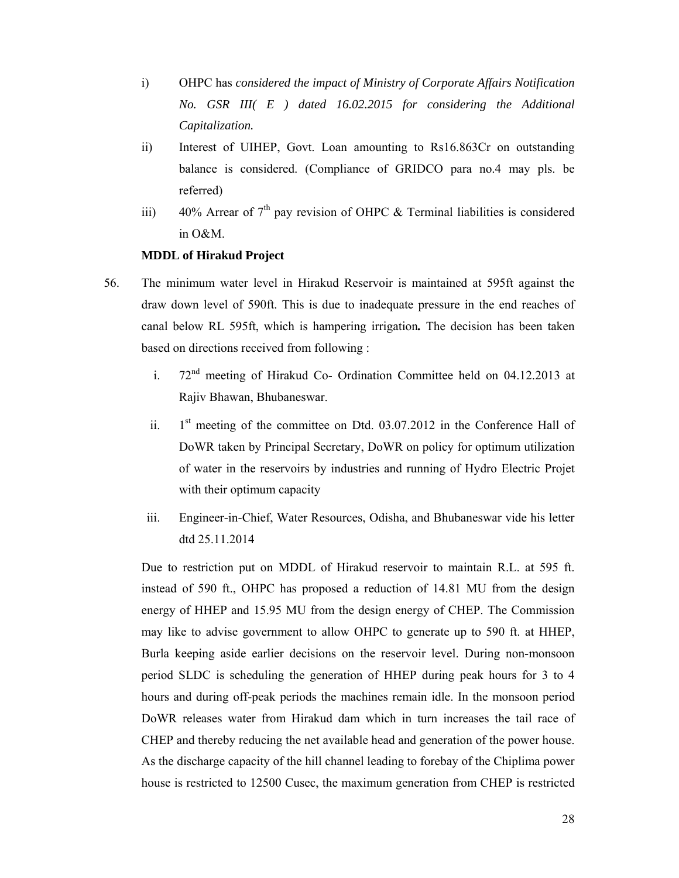- i) OHPC has *considered the impact of Ministry of Corporate Affairs Notification No. GSR III( E ) dated 16.02.2015 for considering the Additional Capitalization.*
- ii) Interest of UIHEP, Govt. Loan amounting to Rs16.863Cr on outstanding balance is considered. (Compliance of GRIDCO para no.4 may pls. be referred)
- iii) 40% Arrear of  $7<sup>th</sup>$  pay revision of OHPC & Terminal liabilities is considered in O&M.

# **MDDL of Hirakud Project**

- 56. The minimum water level in Hirakud Reservoir is maintained at 595ft against the draw down level of 590ft. This is due to inadequate pressure in the end reaches of canal below RL 595ft, which is hampering irrigation*.* The decision has been taken based on directions received from following :
	- i.  $72<sup>nd</sup>$  meeting of Hirakud Co- Ordination Committee held on 04.12.2013 at Rajiv Bhawan, Bhubaneswar.
	- ii.  $1<sup>st</sup>$  meeting of the committee on Dtd. 03.07.2012 in the Conference Hall of DoWR taken by Principal Secretary, DoWR on policy for optimum utilization of water in the reservoirs by industries and running of Hydro Electric Projet with their optimum capacity
	- iii. Engineer-in-Chief, Water Resources, Odisha, and Bhubaneswar vide his letter dtd 25.11.2014

Due to restriction put on MDDL of Hirakud reservoir to maintain R.L. at 595 ft. instead of 590 ft., OHPC has proposed a reduction of 14.81 MU from the design energy of HHEP and 15.95 MU from the design energy of CHEP. The Commission may like to advise government to allow OHPC to generate up to 590 ft. at HHEP, Burla keeping aside earlier decisions on the reservoir level. During non-monsoon period SLDC is scheduling the generation of HHEP during peak hours for 3 to 4 hours and during off-peak periods the machines remain idle. In the monsoon period DoWR releases water from Hirakud dam which in turn increases the tail race of CHEP and thereby reducing the net available head and generation of the power house. As the discharge capacity of the hill channel leading to forebay of the Chiplima power house is restricted to 12500 Cusec, the maximum generation from CHEP is restricted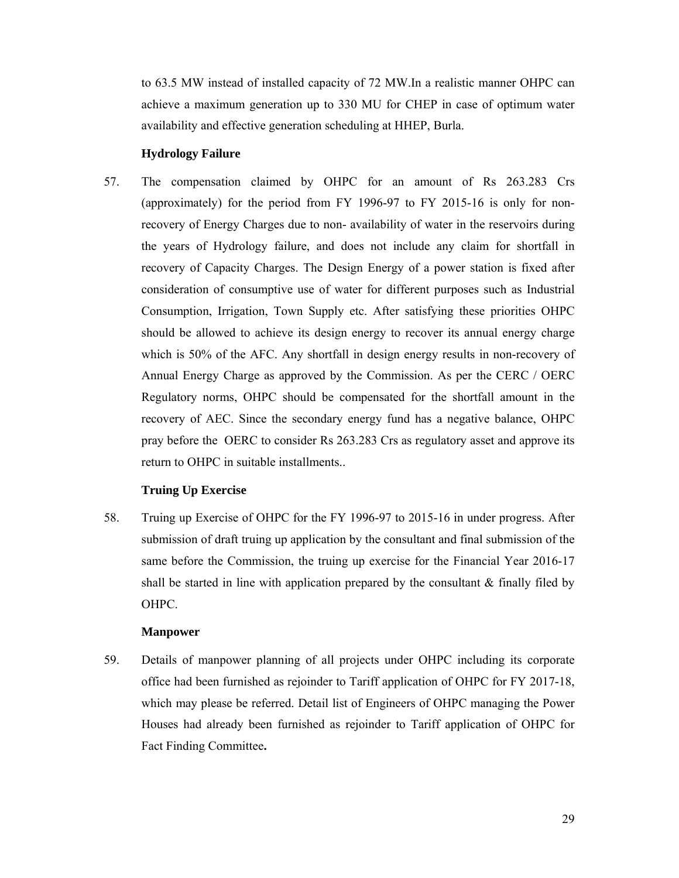to 63.5 MW instead of installed capacity of 72 MW.In a realistic manner OHPC can achieve a maximum generation up to 330 MU for CHEP in case of optimum water availability and effective generation scheduling at HHEP, Burla.

#### **Hydrology Failure**

57. The compensation claimed by OHPC for an amount of Rs 263.283 Crs (approximately) for the period from FY 1996-97 to FY 2015-16 is only for nonrecovery of Energy Charges due to non- availability of water in the reservoirs during the years of Hydrology failure, and does not include any claim for shortfall in recovery of Capacity Charges. The Design Energy of a power station is fixed after consideration of consumptive use of water for different purposes such as Industrial Consumption, Irrigation, Town Supply etc. After satisfying these priorities OHPC should be allowed to achieve its design energy to recover its annual energy charge which is 50% of the AFC. Any shortfall in design energy results in non-recovery of Annual Energy Charge as approved by the Commission. As per the CERC / OERC Regulatory norms, OHPC should be compensated for the shortfall amount in the recovery of AEC. Since the secondary energy fund has a negative balance, OHPC pray before the OERC to consider Rs 263.283 Crs as regulatory asset and approve its return to OHPC in suitable installments..

## **Truing Up Exercise**

58. Truing up Exercise of OHPC for the FY 1996-97 to 2015-16 in under progress. After submission of draft truing up application by the consultant and final submission of the same before the Commission, the truing up exercise for the Financial Year 2016-17 shall be started in line with application prepared by the consultant  $\&$  finally filed by OHPC.

## **Manpower**

59. Details of manpower planning of all projects under OHPC including its corporate office had been furnished as rejoinder to Tariff application of OHPC for FY 2017-18, which may please be referred. Detail list of Engineers of OHPC managing the Power Houses had already been furnished as rejoinder to Tariff application of OHPC for Fact Finding Committee**.**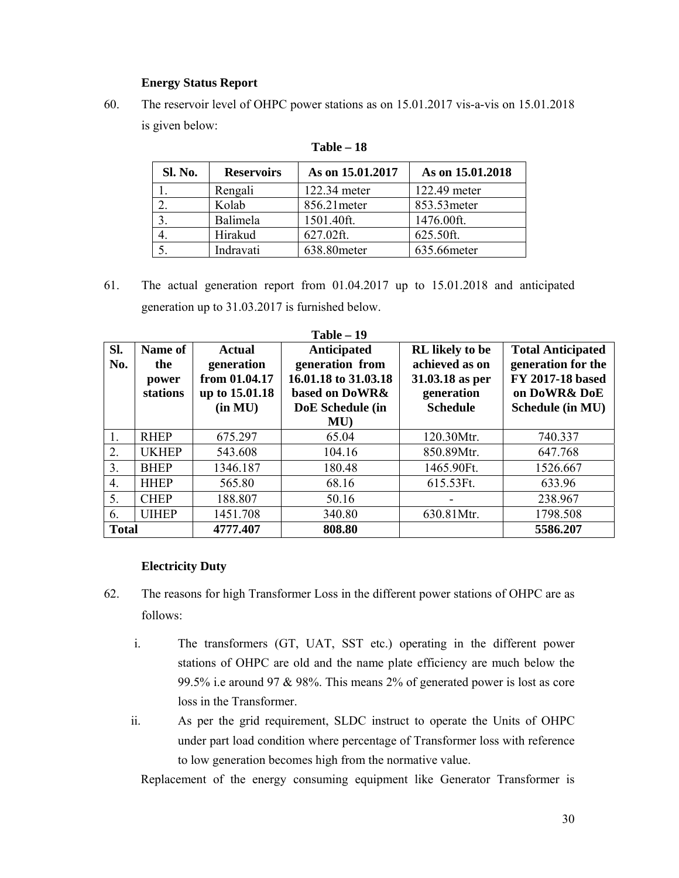# **Energy Status Report**

60. The reservoir level of OHPC power stations as on 15.01.2017 vis-a-vis on 15.01.2018 is given below:

| Sl. No. | <b>Reservoirs</b> | As on 15.01.2017 | As on 15.01.2018 |
|---------|-------------------|------------------|------------------|
|         | Rengali           | 122.34 meter     | 122.49 meter     |
|         | Kolab             | 856.21 meter     | 853.53 meter     |
|         | Balimela          | 1501.40ft.       | 1476.00ft.       |
|         | Hirakud           | 627.02ft.        | 625.50ft.        |
|         | Indravati         | 638.80 meter     | 635.66 meter     |

**Table – 18** 

61. The actual generation report from 01.04.2017 up to 15.01.2018 and anticipated generation up to 31.03.2017 is furnished below.

| $Table - 19$     |                                     |                                                                    |                                                                                                    |                                                                                       |                                                                                                        |  |  |  |
|------------------|-------------------------------------|--------------------------------------------------------------------|----------------------------------------------------------------------------------------------------|---------------------------------------------------------------------------------------|--------------------------------------------------------------------------------------------------------|--|--|--|
| Sl.<br>No.       | Name of<br>the<br>power<br>stations | Actual<br>generation<br>from 01.04.17<br>up to 15.01.18<br>(in MU) | Anticipated<br>generation from<br>16.01.18 to 31.03.18<br>based on DoWR&<br>DoE Schedule (in<br>MU | RL likely to be<br>achieved as on<br>31.03.18 as per<br>generation<br><b>Schedule</b> | <b>Total Anticipated</b><br>generation for the<br>FY 2017-18 based<br>on DoWR& DoE<br>Schedule (in MU) |  |  |  |
| 1.               | <b>RHEP</b>                         | 675.297                                                            | 65.04                                                                                              | 120.30Mtr.                                                                            | 740.337                                                                                                |  |  |  |
| 2.               | <b>UKHEP</b>                        | 543.608                                                            | 104.16                                                                                             | 850.89Mtr.                                                                            | 647.768                                                                                                |  |  |  |
| 3.               | <b>BHEP</b>                         | 1346.187                                                           | 180.48                                                                                             | 1465.90Ft.                                                                            | 1526.667                                                                                               |  |  |  |
| $\overline{4}$ . | <b>HHEP</b>                         | 565.80                                                             | 68.16                                                                                              | 615.53Ft.                                                                             | 633.96                                                                                                 |  |  |  |
| 5.               | <b>CHEP</b>                         | 188.807                                                            | 50.16                                                                                              |                                                                                       | 238.967                                                                                                |  |  |  |
| 6.               | <b>UIHEP</b>                        | 1451.708                                                           | 340.80                                                                                             | 630.81Mtr.                                                                            | 1798.508                                                                                               |  |  |  |
| <b>Total</b>     |                                     | 4777.407                                                           | 808.80                                                                                             |                                                                                       | 5586.207                                                                                               |  |  |  |

## **Electricity Duty**

- 62. The reasons for high Transformer Loss in the different power stations of OHPC are as follows:
	- i. The transformers (GT, UAT, SST etc.) operating in the different power stations of OHPC are old and the name plate efficiency are much below the 99.5% i.e around 97 & 98%. This means 2% of generated power is lost as core loss in the Transformer.
	- ii. As per the grid requirement, SLDC instruct to operate the Units of OHPC under part load condition where percentage of Transformer loss with reference to low generation becomes high from the normative value.

Replacement of the energy consuming equipment like Generator Transformer is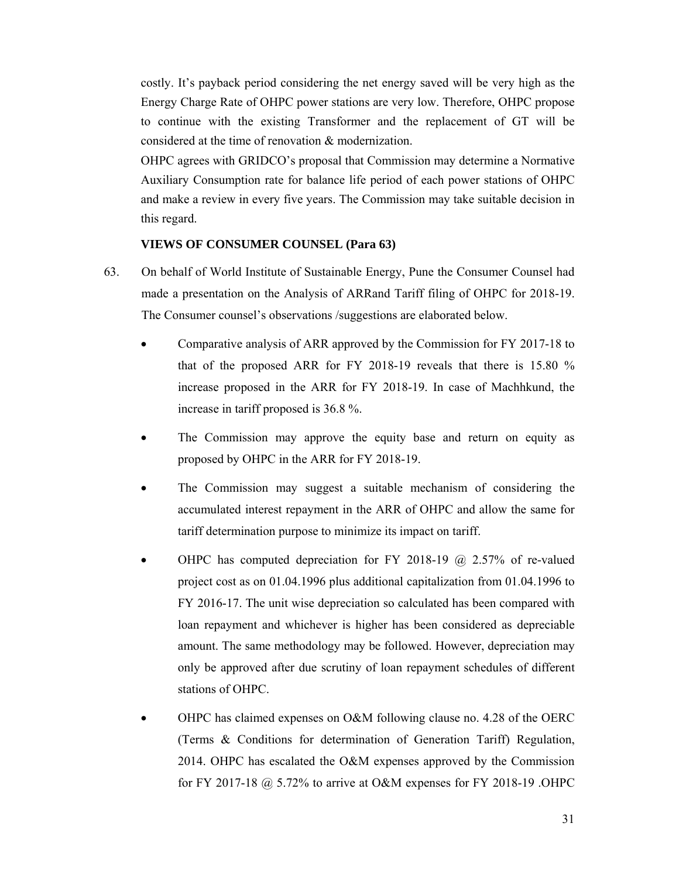costly. It's payback period considering the net energy saved will be very high as the Energy Charge Rate of OHPC power stations are very low. Therefore, OHPC propose to continue with the existing Transformer and the replacement of GT will be considered at the time of renovation & modernization.

OHPC agrees with GRIDCO's proposal that Commission may determine a Normative Auxiliary Consumption rate for balance life period of each power stations of OHPC and make a review in every five years. The Commission may take suitable decision in this regard.

## **VIEWS OF CONSUMER COUNSEL (Para 63)**

- 63. On behalf of World Institute of Sustainable Energy, Pune the Consumer Counsel had made a presentation on the Analysis of ARRand Tariff filing of OHPC for 2018-19. The Consumer counsel's observations /suggestions are elaborated below.
	- Comparative analysis of ARR approved by the Commission for FY 2017-18 to that of the proposed ARR for FY 2018-19 reveals that there is 15.80 % increase proposed in the ARR for FY 2018-19. In case of Machhkund, the increase in tariff proposed is 36.8 %.
	- The Commission may approve the equity base and return on equity as proposed by OHPC in the ARR for FY 2018-19.
	- The Commission may suggest a suitable mechanism of considering the accumulated interest repayment in the ARR of OHPC and allow the same for tariff determination purpose to minimize its impact on tariff.
	- OHPC has computed depreciation for FY 2018-19  $\omega$  2.57% of re-valued project cost as on 01.04.1996 plus additional capitalization from 01.04.1996 to FY 2016-17. The unit wise depreciation so calculated has been compared with loan repayment and whichever is higher has been considered as depreciable amount. The same methodology may be followed. However, depreciation may only be approved after due scrutiny of loan repayment schedules of different stations of OHPC.
	- OHPC has claimed expenses on O&M following clause no. 4.28 of the OERC (Terms & Conditions for determination of Generation Tariff) Regulation, 2014. OHPC has escalated the O&M expenses approved by the Commission for FY 2017-18 @ 5.72% to arrive at O&M expenses for FY 2018-19 .OHPC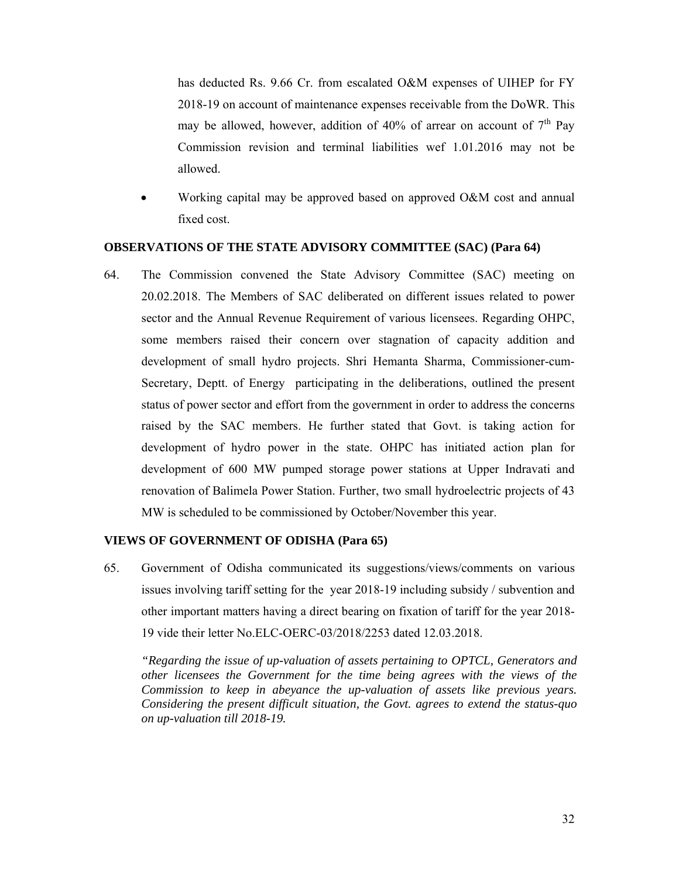has deducted Rs. 9.66 Cr. from escalated O&M expenses of UIHEP for FY 2018-19 on account of maintenance expenses receivable from the DoWR. This may be allowed, however, addition of  $40\%$  of arrear on account of  $7<sup>th</sup>$  Pay Commission revision and terminal liabilities wef 1.01.2016 may not be allowed.

• Working capital may be approved based on approved O&M cost and annual fixed cost.

#### **OBSERVATIONS OF THE STATE ADVISORY COMMITTEE (SAC) (Para 64)**

64. The Commission convened the State Advisory Committee (SAC) meeting on 20.02.2018. The Members of SAC deliberated on different issues related to power sector and the Annual Revenue Requirement of various licensees. Regarding OHPC, some members raised their concern over stagnation of capacity addition and development of small hydro projects. Shri Hemanta Sharma, Commissioner-cum-Secretary, Deptt. of Energy participating in the deliberations, outlined the present status of power sector and effort from the government in order to address the concerns raised by the SAC members. He further stated that Govt. is taking action for development of hydro power in the state. OHPC has initiated action plan for development of 600 MW pumped storage power stations at Upper Indravati and renovation of Balimela Power Station. Further, two small hydroelectric projects of 43 MW is scheduled to be commissioned by October/November this year.

#### **VIEWS OF GOVERNMENT OF ODISHA (Para 65)**

65. Government of Odisha communicated its suggestions/views/comments on various issues involving tariff setting for the year 2018-19 including subsidy / subvention and other important matters having a direct bearing on fixation of tariff for the year 2018- 19 vide their letter No.ELC-OERC-03/2018/2253 dated 12.03.2018.

*"Regarding the issue of up-valuation of assets pertaining to OPTCL, Generators and other licensees the Government for the time being agrees with the views of the Commission to keep in abeyance the up-valuation of assets like previous years. Considering the present difficult situation, the Govt. agrees to extend the status-quo on up-valuation till 2018-19.*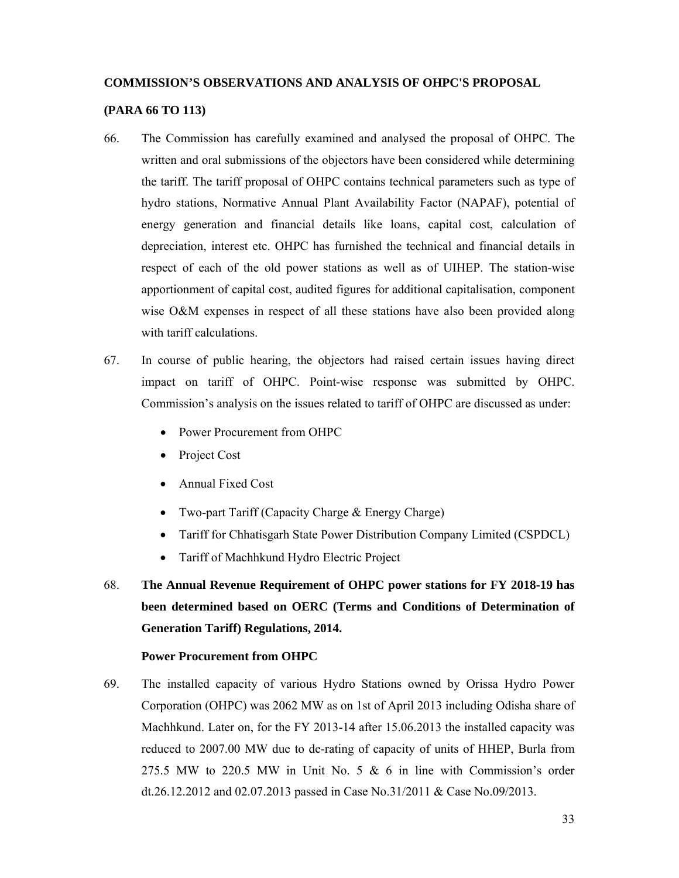# **COMMISSION'S OBSERVATIONS AND ANALYSIS OF OHPC'S PROPOSAL**

#### **(PARA 66 TO 113)**

- 66. The Commission has carefully examined and analysed the proposal of OHPC. The written and oral submissions of the objectors have been considered while determining the tariff. The tariff proposal of OHPC contains technical parameters such as type of hydro stations, Normative Annual Plant Availability Factor (NAPAF), potential of energy generation and financial details like loans, capital cost, calculation of depreciation, interest etc. OHPC has furnished the technical and financial details in respect of each of the old power stations as well as of UIHEP. The station-wise apportionment of capital cost, audited figures for additional capitalisation, component wise O&M expenses in respect of all these stations have also been provided along with tariff calculations.
- 67. In course of public hearing, the objectors had raised certain issues having direct impact on tariff of OHPC. Point-wise response was submitted by OHPC. Commission's analysis on the issues related to tariff of OHPC are discussed as under:
	- Power Procurement from OHPC
	- Project Cost
	- Annual Fixed Cost
	- Two-part Tariff (Capacity Charge & Energy Charge)
	- Tariff for Chhatisgarh State Power Distribution Company Limited (CSPDCL)
	- Tariff of Machhkund Hydro Electric Project
- 68. **The Annual Revenue Requirement of OHPC power stations for FY 2018-19 has been determined based on OERC (Terms and Conditions of Determination of Generation Tariff) Regulations, 2014.**

#### **Power Procurement from OHPC**

69. The installed capacity of various Hydro Stations owned by Orissa Hydro Power Corporation (OHPC) was 2062 MW as on 1st of April 2013 including Odisha share of Machhkund. Later on, for the FY 2013-14 after 15.06.2013 the installed capacity was reduced to 2007.00 MW due to de-rating of capacity of units of HHEP, Burla from 275.5 MW to 220.5 MW in Unit No. 5  $\&$  6 in line with Commission's order dt.26.12.2012 and 02.07.2013 passed in Case No.31/2011 & Case No.09/2013.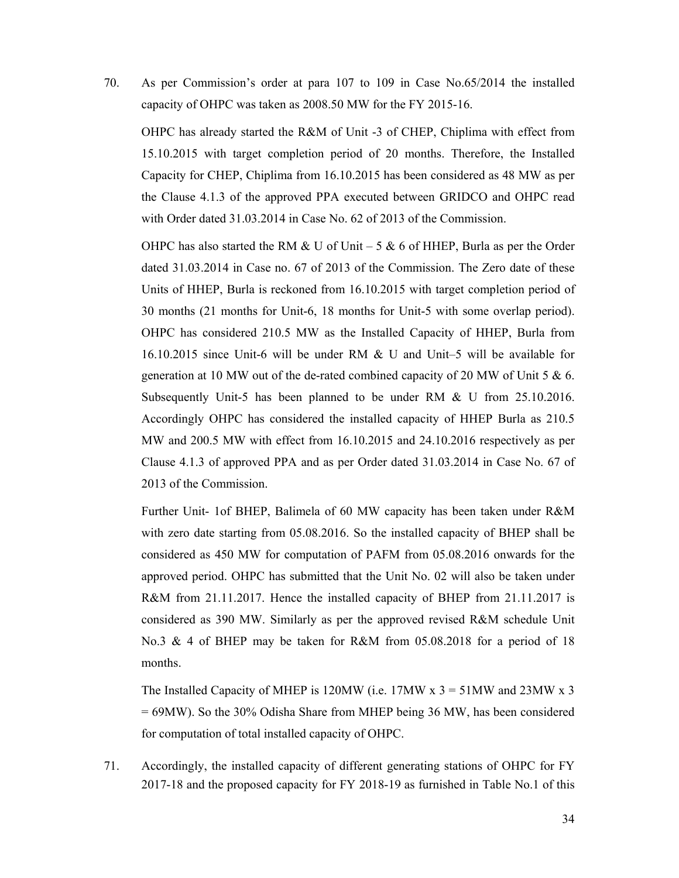70. As per Commission's order at para 107 to 109 in Case No.65/2014 the installed capacity of OHPC was taken as 2008.50 MW for the FY 2015-16.

OHPC has already started the R&M of Unit -3 of CHEP, Chiplima with effect from 15.10.2015 with target completion period of 20 months. Therefore, the Installed Capacity for CHEP, Chiplima from 16.10.2015 has been considered as 48 MW as per the Clause 4.1.3 of the approved PPA executed between GRIDCO and OHPC read with Order dated 31.03.2014 in Case No. 62 of 2013 of the Commission.

OHPC has also started the RM & U of Unit – 5 & 6 of HHEP, Burla as per the Order dated 31.03.2014 in Case no. 67 of 2013 of the Commission. The Zero date of these Units of HHEP, Burla is reckoned from 16.10.2015 with target completion period of 30 months (21 months for Unit-6, 18 months for Unit-5 with some overlap period). OHPC has considered 210.5 MW as the Installed Capacity of HHEP, Burla from 16.10.2015 since Unit-6 will be under RM & U and Unit–5 will be available for generation at 10 MW out of the de-rated combined capacity of 20 MW of Unit 5 & 6. Subsequently Unit-5 has been planned to be under RM & U from 25.10.2016. Accordingly OHPC has considered the installed capacity of HHEP Burla as 210.5 MW and 200.5 MW with effect from 16.10.2015 and 24.10.2016 respectively as per Clause 4.1.3 of approved PPA and as per Order dated 31.03.2014 in Case No. 67 of 2013 of the Commission.

Further Unit- 1of BHEP, Balimela of 60 MW capacity has been taken under R&M with zero date starting from 05.08.2016. So the installed capacity of BHEP shall be considered as 450 MW for computation of PAFM from 05.08.2016 onwards for the approved period. OHPC has submitted that the Unit No. 02 will also be taken under R&M from 21.11.2017. Hence the installed capacity of BHEP from 21.11.2017 is considered as 390 MW. Similarly as per the approved revised R&M schedule Unit No.3 & 4 of BHEP may be taken for R&M from 05.08.2018 for a period of 18 months.

The Installed Capacity of MHEP is 120MW (i.e. 17MW  $x = 3$  = 51MW and 23MW  $x = 3$ ) = 69MW). So the 30% Odisha Share from MHEP being 36 MW, has been considered for computation of total installed capacity of OHPC.

71. Accordingly, the installed capacity of different generating stations of OHPC for FY 2017-18 and the proposed capacity for FY 2018-19 as furnished in Table No.1 of this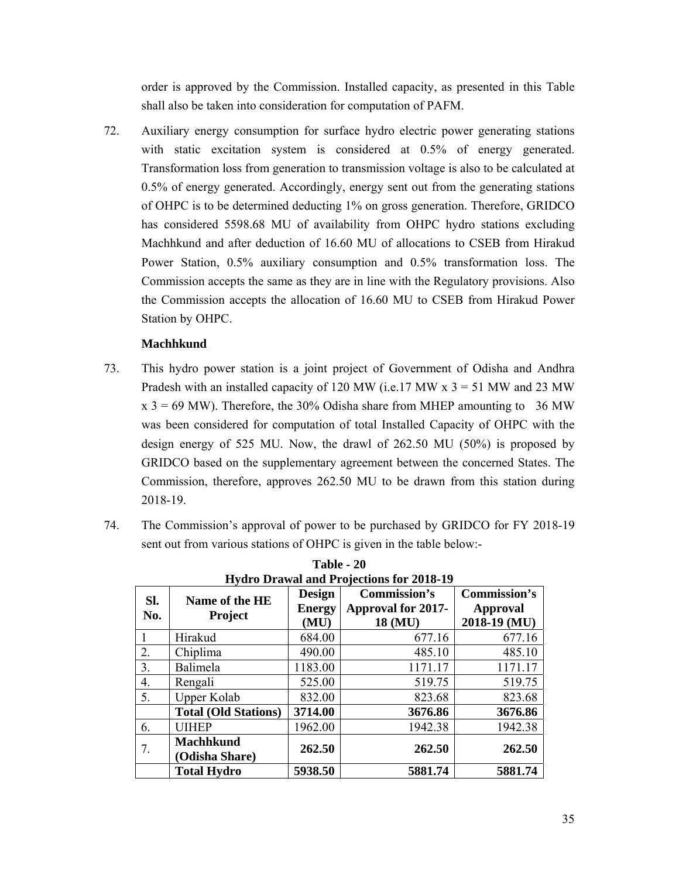order is approved by the Commission. Installed capacity, as presented in this Table shall also be taken into consideration for computation of PAFM.

72. Auxiliary energy consumption for surface hydro electric power generating stations with static excitation system is considered at 0.5% of energy generated. Transformation loss from generation to transmission voltage is also to be calculated at 0.5% of energy generated. Accordingly, energy sent out from the generating stations of OHPC is to be determined deducting 1% on gross generation. Therefore, GRIDCO has considered 5598.68 MU of availability from OHPC hydro stations excluding Machhkund and after deduction of 16.60 MU of allocations to CSEB from Hirakud Power Station, 0.5% auxiliary consumption and 0.5% transformation loss. The Commission accepts the same as they are in line with the Regulatory provisions. Also the Commission accepts the allocation of 16.60 MU to CSEB from Hirakud Power Station by OHPC.

# **Machhkund**

- 73. This hydro power station is a joint project of Government of Odisha and Andhra Pradesh with an installed capacity of 120 MW (i.e. 17 MW  $x$  3 = 51 MW and 23 MW  $x$  3 = 69 MW). Therefore, the 30% Odisha share from MHEP amounting to 36 MW was been considered for computation of total Installed Capacity of OHPC with the design energy of 525 MU. Now, the drawl of 262.50 MU (50%) is proposed by GRIDCO based on the supplementary agreement between the concerned States. The Commission, therefore, approves 262.50 MU to be drawn from this station during 2018-19.
- 74. The Commission's approval of power to be purchased by GRIDCO for FY 2018-19 sent out from various stations of OHPC is given in the table below:-

|            |                                    |                         | Hydro Drawai and Frojections for 2016-19<br>Commission's | <b>Commission's</b> |
|------------|------------------------------------|-------------------------|----------------------------------------------------------|---------------------|
| SI.<br>No. | Name of the HE<br><b>Project</b>   | Design<br><b>Energy</b> | <b>Approval for 2017-</b>                                | Approval            |
|            |                                    | (MU)                    | 18 (MU)                                                  | 2018-19 (MU)        |
|            | Hirakud                            | 684.00                  | 677.16                                                   | 677.16              |
| 2.         | Chiplima                           | 490.00                  | 485.10                                                   | 485.10              |
| 3.         | Balimela                           | 1183.00                 | 1171.17                                                  | 1171.17             |
| 4.         | Rengali                            | 525.00                  | 519.75                                                   | 519.75              |
| 5.         | <b>Upper Kolab</b>                 | 832.00                  | 823.68                                                   | 823.68              |
|            | <b>Total (Old Stations)</b>        | 3714.00                 | 3676.86                                                  | 3676.86             |
| 6.         | <b>UIHEP</b>                       | 1962.00                 | 1942.38                                                  | 1942.38             |
| 7.         | <b>Machhkund</b><br>(Odisha Share) | 262.50                  | 262.50                                                   | 262.50              |
|            | <b>Total Hydro</b>                 | 5938.50                 | 5881.74                                                  | 5881.74             |

**Table - 20 Hydro Drawal and Projections for 2018-19**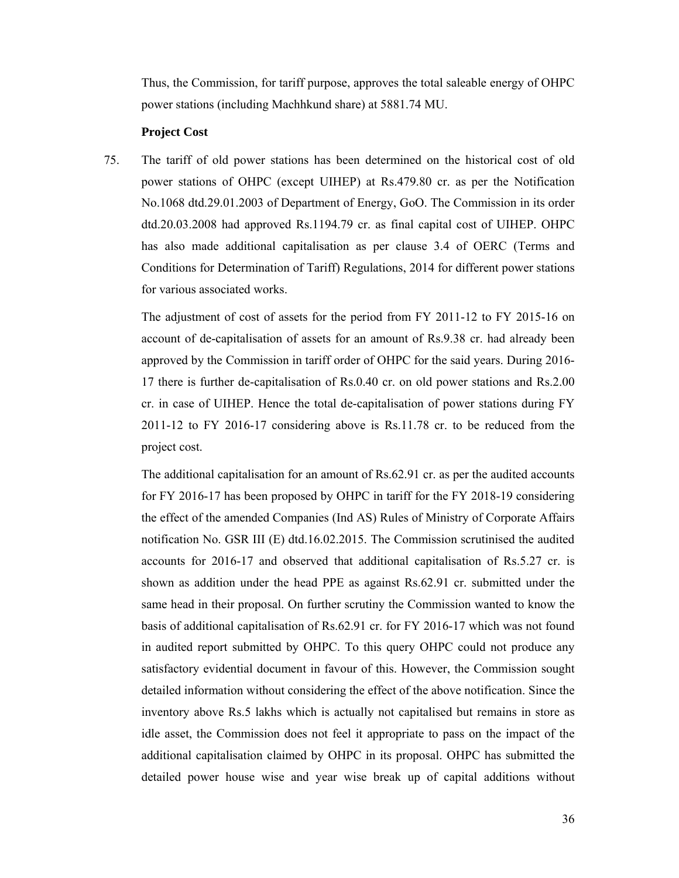Thus, the Commission, for tariff purpose, approves the total saleable energy of OHPC power stations (including Machhkund share) at 5881.74 MU.

#### **Project Cost**

75. The tariff of old power stations has been determined on the historical cost of old power stations of OHPC (except UIHEP) at Rs.479.80 cr. as per the Notification No.1068 dtd.29.01.2003 of Department of Energy, GoO. The Commission in its order dtd.20.03.2008 had approved Rs.1194.79 cr. as final capital cost of UIHEP. OHPC has also made additional capitalisation as per clause 3.4 of OERC (Terms and Conditions for Determination of Tariff) Regulations, 2014 for different power stations for various associated works.

The adjustment of cost of assets for the period from FY 2011-12 to FY 2015-16 on account of de-capitalisation of assets for an amount of Rs.9.38 cr. had already been approved by the Commission in tariff order of OHPC for the said years. During 2016- 17 there is further de-capitalisation of Rs.0.40 cr. on old power stations and Rs.2.00 cr. in case of UIHEP. Hence the total de-capitalisation of power stations during FY 2011-12 to FY 2016-17 considering above is Rs.11.78 cr. to be reduced from the project cost.

The additional capitalisation for an amount of Rs.62.91 cr. as per the audited accounts for FY 2016-17 has been proposed by OHPC in tariff for the FY 2018-19 considering the effect of the amended Companies (Ind AS) Rules of Ministry of Corporate Affairs notification No. GSR III (E) dtd.16.02.2015. The Commission scrutinised the audited accounts for 2016-17 and observed that additional capitalisation of Rs.5.27 cr. is shown as addition under the head PPE as against Rs.62.91 cr. submitted under the same head in their proposal. On further scrutiny the Commission wanted to know the basis of additional capitalisation of Rs.62.91 cr. for FY 2016-17 which was not found in audited report submitted by OHPC. To this query OHPC could not produce any satisfactory evidential document in favour of this. However, the Commission sought detailed information without considering the effect of the above notification. Since the inventory above Rs.5 lakhs which is actually not capitalised but remains in store as idle asset, the Commission does not feel it appropriate to pass on the impact of the additional capitalisation claimed by OHPC in its proposal. OHPC has submitted the detailed power house wise and year wise break up of capital additions without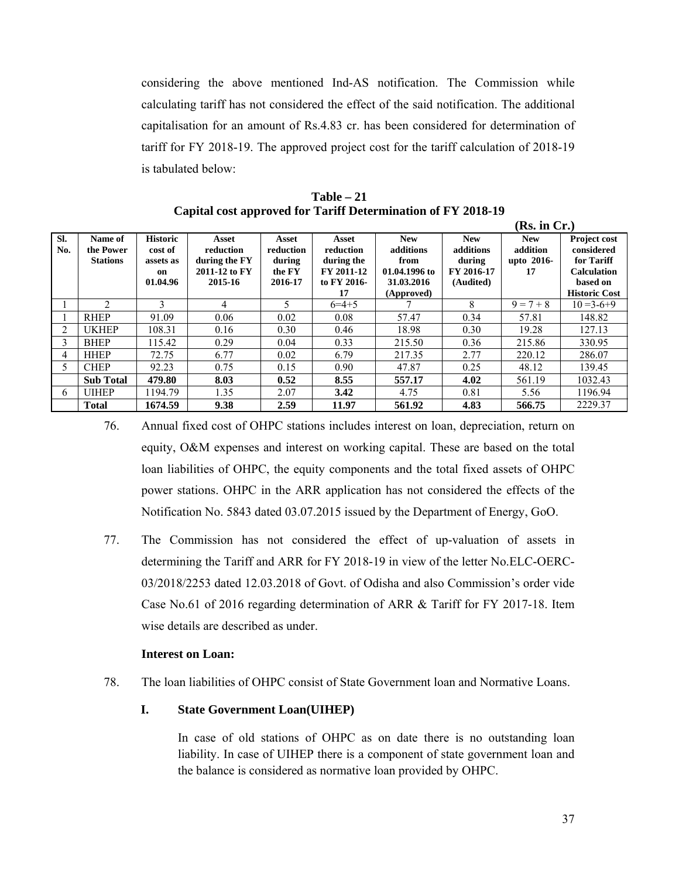considering the above mentioned Ind-AS notification. The Commission while calculating tariff has not considered the effect of the said notification. The additional capitalisation for an amount of Rs.4.83 cr. has been considered for determination of tariff for FY 2018-19. The approved project cost for the tariff calculation of 2018-19 is tabulated below:

**Table – 21 Capital cost approved for Tariff Determination of FY 2018-19** 

|            |                                         |                                                           |                                                                 |                                                   |                                                                     |                                                                              |                                                              | (Rs. in Cr.)                               |                                                                                                           |
|------------|-----------------------------------------|-----------------------------------------------------------|-----------------------------------------------------------------|---------------------------------------------------|---------------------------------------------------------------------|------------------------------------------------------------------------------|--------------------------------------------------------------|--------------------------------------------|-----------------------------------------------------------------------------------------------------------|
| SI.<br>No. | Name of<br>the Power<br><b>Stations</b> | <b>Historic</b><br>cost of<br>assets as<br>on<br>01.04.96 | Asset<br>reduction<br>during the FY<br>2011-12 to FY<br>2015-16 | Asset<br>reduction<br>during<br>the FY<br>2016-17 | Asset<br>reduction<br>during the<br>FY 2011-12<br>to FY 2016-<br>17 | <b>New</b><br>additions<br>from<br>01.04.1996 to<br>31.03.2016<br>(Approved) | <b>New</b><br>additions<br>during<br>FY 2016-17<br>(Audited) | <b>New</b><br>addition<br>upto 2016-<br>17 | <b>Project cost</b><br>considered<br>for Tariff<br><b>Calculation</b><br>based on<br><b>Historic Cost</b> |
|            | $\mathfrak{D}$                          | 3                                                         | 4                                                               | 5                                                 | $6=4+5$                                                             |                                                                              | 8                                                            | $9 = 7 + 8$                                | $10=3-6+9$                                                                                                |
|            | <b>RHEP</b>                             | 91.09                                                     | 0.06                                                            | 0.02                                              | 0.08                                                                | 57.47                                                                        | 0.34                                                         | 57.81                                      | 148.82                                                                                                    |
| 2          | <b>UKHEP</b>                            | 108.31                                                    | 0.16                                                            | 0.30                                              | 0.46                                                                | 18.98                                                                        | 0.30                                                         | 19.28                                      | 127.13                                                                                                    |
| 3          | <b>BHEP</b>                             | 115.42                                                    | 0.29                                                            | 0.04                                              | 0.33                                                                | 215.50                                                                       | 0.36                                                         | 215.86                                     | 330.95                                                                                                    |
| 4          | <b>HHEP</b>                             | 72.75                                                     | 6.77                                                            | 0.02                                              | 6.79                                                                | 217.35                                                                       | 2.77                                                         | 220.12                                     | 286.07                                                                                                    |
| 5          | <b>CHEP</b>                             | 92.23                                                     | 0.75                                                            | 0.15                                              | 0.90                                                                | 47.87                                                                        | 0.25                                                         | 48.12                                      | 139.45                                                                                                    |
|            | <b>Sub Total</b>                        | 479.80                                                    | 8.03                                                            | 0.52                                              | 8.55                                                                | 557.17                                                                       | 4.02                                                         | 561.19                                     | 1032.43                                                                                                   |
| 6          | <b>UIHEP</b>                            | 1194.79                                                   | 1.35                                                            | 2.07                                              | 3.42                                                                | 4.75                                                                         | 0.81                                                         | 5.56                                       | 1196.94                                                                                                   |
|            | <b>Total</b>                            | 1674.59                                                   | 9.38                                                            | 2.59                                              | 11.97                                                               | 561.92                                                                       | 4.83                                                         | 566.75                                     | 2229.37                                                                                                   |

76. Annual fixed cost of OHPC stations includes interest on loan, depreciation, return on equity, O&M expenses and interest on working capital. These are based on the total loan liabilities of OHPC, the equity components and the total fixed assets of OHPC power stations. OHPC in the ARR application has not considered the effects of the Notification No. 5843 dated 03.07.2015 issued by the Department of Energy, GoO.

77. The Commission has not considered the effect of up-valuation of assets in determining the Tariff and ARR for FY 2018-19 in view of the letter No.ELC-OERC-03/2018/2253 dated 12.03.2018 of Govt. of Odisha and also Commission's order vide Case No.61 of 2016 regarding determination of ARR & Tariff for FY 2017-18. Item wise details are described as under.

# **Interest on Loan:**

78. The loan liabilities of OHPC consist of State Government loan and Normative Loans.

# **I. State Government Loan(UIHEP)**

In case of old stations of OHPC as on date there is no outstanding loan liability. In case of UIHEP there is a component of state government loan and the balance is considered as normative loan provided by OHPC.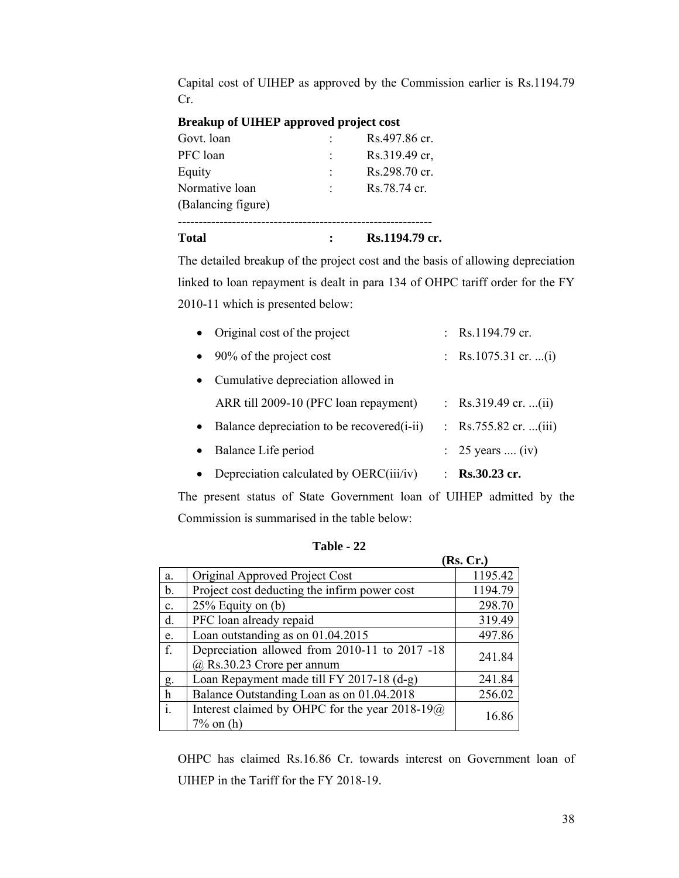Capital cost of UIHEP as approved by the Commission earlier is Rs.1194.79 Cr.

# **Breakup of UIHEP approved project cost**

| <b>Total</b>       | Rs.1194.79 cr. |
|--------------------|----------------|
| (Balancing figure) |                |
| Normative loan     | Rs.78.74 cr.   |
| Equity             | Rs.298.70 cr.  |
| PFC loan           | Rs.319.49 cr.  |
| Govt. loan         | Rs.497.86 cr.  |

The detailed breakup of the project cost and the basis of allowing depreciation linked to loan repayment is dealt in para 134 of OHPC tariff order for the FY 2010-11 which is presented below:

| Depreciation calculated by OERC(iii/iv)     | ٠ | <b>Rs.30.23 cr.</b>   |
|---------------------------------------------|---|-----------------------|
| Balance Life period                         |   | : 25 years  (iv)      |
| Balance depreciation to be recovered (i-ii) |   | : Rs.755.82 cr. (iii) |
| ARR till 2009-10 (PFC loan repayment)       |   | : Rs.319.49 cr. (ii)  |
| Cumulative depreciation allowed in          |   |                       |
| 90% of the project cost                     |   | : Rs.1075.31 cr. (i)  |
| • Original cost of the project              |   | : Rs.1194.79 cr.      |

The present status of State Government loan of UIHEP admitted by the Commission is summarised in the table below:

|                |                                                       | (Rs. Cr.) |
|----------------|-------------------------------------------------------|-----------|
| a.             | Original Approved Project Cost                        | 1195.42   |
| b.             | Project cost deducting the infirm power cost          | 1194.79   |
| $\mathbf{c}$ . | $25\%$ Equity on (b)                                  | 298.70    |
| d.             | PFC loan already repaid                               | 319.49    |
| e.             | Loan outstanding as on 01.04.2015                     | 497.86    |
| f.             | Depreciation allowed from 2010-11 to 2017 -18         | 241.84    |
|                | $@$ Rs.30.23 Crore per annum                          |           |
| g.             | Loan Repayment made till FY 2017-18 (d-g)             | 241.84    |
| $\mathbf h$    | Balance Outstanding Loan as on 01.04.2018             | 256.02    |
| $\mathbf{i}$ . | Interest claimed by OHPC for the year $2018-19\omega$ | 16.86     |
|                | $7\%$ on (h)                                          |           |

**Table - 22**

OHPC has claimed Rs.16.86 Cr. towards interest on Government loan of UIHEP in the Tariff for the FY 2018-19.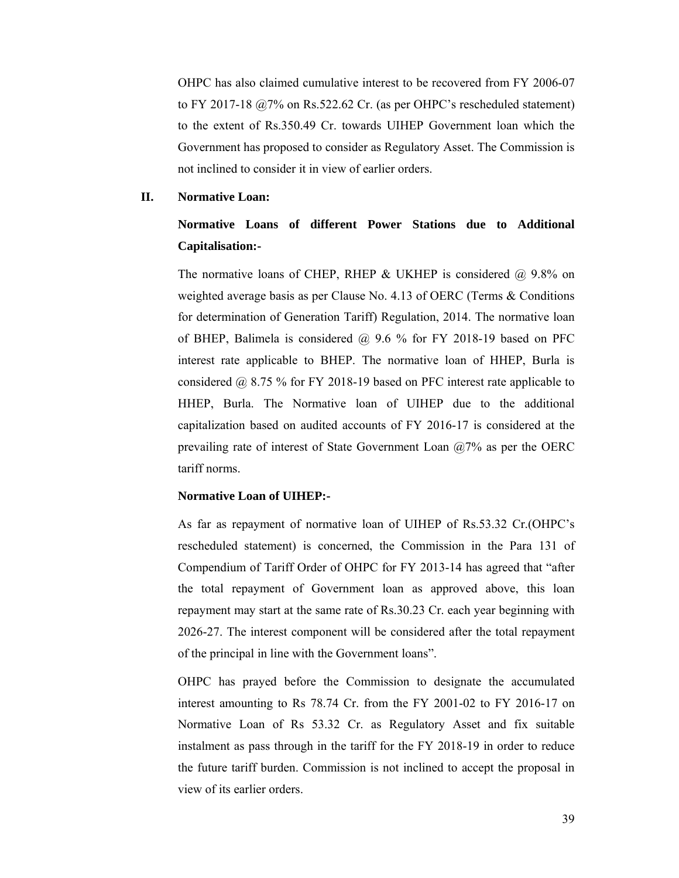OHPC has also claimed cumulative interest to be recovered from FY 2006-07 to FY 2017-18 @7% on Rs.522.62 Cr. (as per OHPC's rescheduled statement) to the extent of Rs.350.49 Cr. towards UIHEP Government loan which the Government has proposed to consider as Regulatory Asset. The Commission is not inclined to consider it in view of earlier orders.

#### **II. Normative Loan:**

# **Normative Loans of different Power Stations due to Additional Capitalisation:-**

The normative loans of CHEP, RHEP & UKHEP is considered  $\omega$  9.8% on weighted average basis as per Clause No. 4.13 of OERC (Terms & Conditions for determination of Generation Tariff) Regulation, 2014. The normative loan of BHEP, Balimela is considered  $\omega$  9.6 % for FY 2018-19 based on PFC interest rate applicable to BHEP. The normative loan of HHEP, Burla is considered @ 8.75 % for FY 2018-19 based on PFC interest rate applicable to HHEP, Burla. The Normative loan of UIHEP due to the additional capitalization based on audited accounts of FY 2016-17 is considered at the prevailing rate of interest of State Government Loan  $(2,7)$ % as per the OERC tariff norms.

## **Normative Loan of UIHEP:-**

As far as repayment of normative loan of UIHEP of Rs.53.32 Cr.(OHPC's rescheduled statement) is concerned, the Commission in the Para 131 of Compendium of Tariff Order of OHPC for FY 2013-14 has agreed that "after the total repayment of Government loan as approved above, this loan repayment may start at the same rate of Rs.30.23 Cr. each year beginning with 2026-27. The interest component will be considered after the total repayment of the principal in line with the Government loans".

OHPC has prayed before the Commission to designate the accumulated interest amounting to Rs 78.74 Cr. from the FY 2001-02 to FY 2016-17 on Normative Loan of Rs 53.32 Cr. as Regulatory Asset and fix suitable instalment as pass through in the tariff for the FY 2018-19 in order to reduce the future tariff burden. Commission is not inclined to accept the proposal in view of its earlier orders.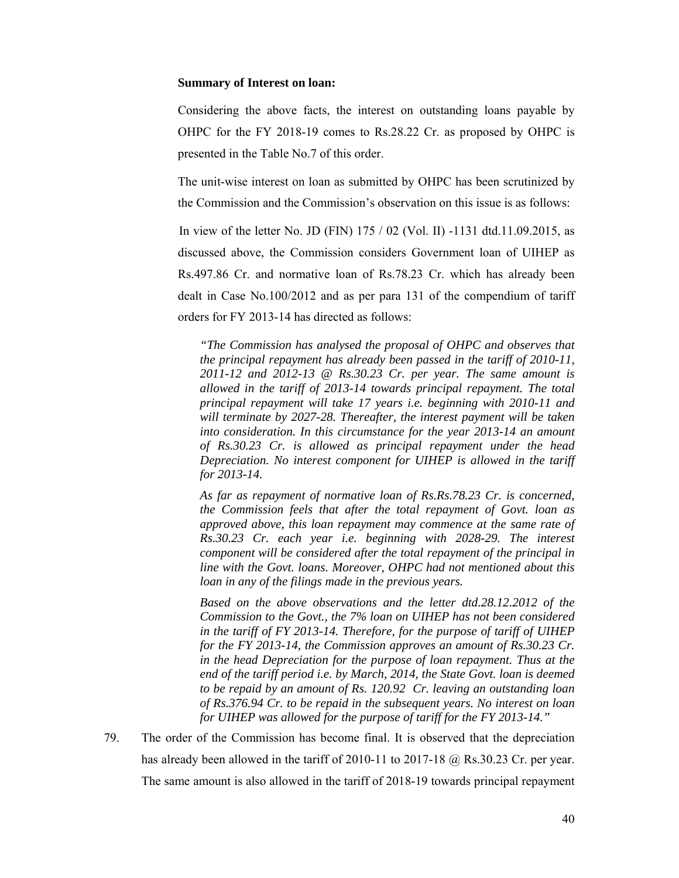#### **Summary of Interest on loan:**

Considering the above facts, the interest on outstanding loans payable by OHPC for the FY 2018-19 comes to Rs.28.22 Cr. as proposed by OHPC is presented in the Table No.7 of this order.

The unit-wise interest on loan as submitted by OHPC has been scrutinized by the Commission and the Commission's observation on this issue is as follows:

In view of the letter No. JD (FIN) 175 / 02 (Vol. II) -1131 dtd.11.09.2015, as discussed above, the Commission considers Government loan of UIHEP as Rs.497.86 Cr. and normative loan of Rs.78.23 Cr. which has already been dealt in Case No.100/2012 and as per para 131 of the compendium of tariff orders for FY 2013-14 has directed as follows:

*"The Commission has analysed the proposal of OHPC and observes that the principal repayment has already been passed in the tariff of 2010-11, 2011-12 and 2012-13 @ Rs.30.23 Cr. per year. The same amount is allowed in the tariff of 2013-14 towards principal repayment. The total principal repayment will take 17 years i.e. beginning with 2010-11 and will terminate by 2027-28. Thereafter, the interest payment will be taken into consideration. In this circumstance for the year 2013-14 an amount of Rs.30.23 Cr. is allowed as principal repayment under the head Depreciation. No interest component for UIHEP is allowed in the tariff for 2013-14.* 

*As far as repayment of normative loan of Rs.Rs.78.23 Cr. is concerned, the Commission feels that after the total repayment of Govt. loan as approved above, this loan repayment may commence at the same rate of Rs.30.23 Cr. each year i.e. beginning with 2028-29. The interest component will be considered after the total repayment of the principal in line with the Govt. loans. Moreover, OHPC had not mentioned about this loan in any of the filings made in the previous years.* 

*Based on the above observations and the letter dtd.28.12.2012 of the Commission to the Govt., the 7% loan on UIHEP has not been considered in the tariff of FY 2013-14. Therefore, for the purpose of tariff of UIHEP for the FY 2013-14, the Commission approves an amount of Rs.30.23 Cr. in the head Depreciation for the purpose of loan repayment. Thus at the end of the tariff period i.e. by March, 2014, the State Govt. loan is deemed to be repaid by an amount of Rs. 120.92 Cr. leaving an outstanding loan of Rs.376.94 Cr. to be repaid in the subsequent years. No interest on loan for UIHEP was allowed for the purpose of tariff for the FY 2013-14."*

79. The order of the Commission has become final. It is observed that the depreciation has already been allowed in the tariff of 2010-11 to 2017-18 @ Rs.30.23 Cr. per year. The same amount is also allowed in the tariff of 2018-19 towards principal repayment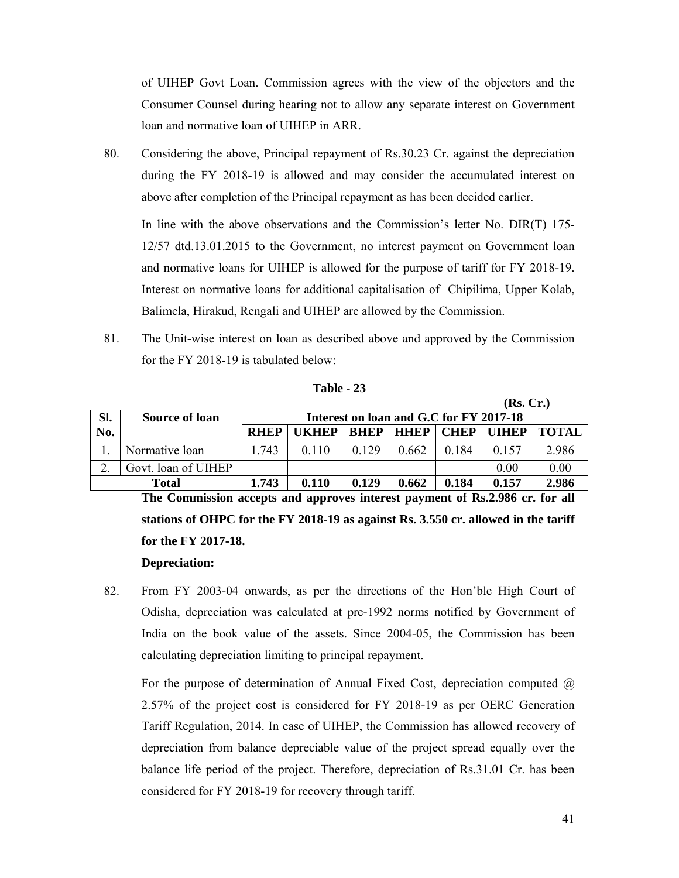of UIHEP Govt Loan. Commission agrees with the view of the objectors and the Consumer Counsel during hearing not to allow any separate interest on Government loan and normative loan of UIHEP in ARR.

80. Considering the above, Principal repayment of Rs.30.23 Cr. against the depreciation during the FY 2018-19 is allowed and may consider the accumulated interest on above after completion of the Principal repayment as has been decided earlier.

In line with the above observations and the Commission's letter No. DIR(T) 175- 12/57 dtd.13.01.2015 to the Government, no interest payment on Government loan and normative loans for UIHEP is allowed for the purpose of tariff for FY 2018-19. Interest on normative loans for additional capitalisation of Chipilima, Upper Kolab, Balimela, Hirakud, Rengali and UIHEP are allowed by the Commission.

81. The Unit-wise interest on loan as described above and approved by the Commission for the FY 2018-19 is tabulated below:

|       |                       |             |                                         |             |             |             | (ns, CI.)    |              |
|-------|-----------------------|-------------|-----------------------------------------|-------------|-------------|-------------|--------------|--------------|
| Sl.   | <b>Source of loan</b> |             | Interest on loan and G.C for FY 2017-18 |             |             |             |              |              |
| No.   |                       | <b>RHEP</b> | UKHEP                                   | <b>BHEP</b> | <b>HHEP</b> | <b>CHEP</b> | <b>UIHEP</b> | <b>TOTAL</b> |
|       | Normative loan        | 1.743       | 0110                                    | 0.129       | 0.662       | 0.184       | 0.157        | 2.986        |
|       | Govt. loan of UIHEP   |             |                                         |             |             |             | 0.00         | 0.00         |
| Total |                       | 1.743       | 0.110                                   | 0.129       | 0.662       | 0.184       | 0.157        | 2.986        |

**Table - 23**

**The Commission accepts and approves interest payment of Rs.2.986 cr. for all stations of OHPC for the FY 2018-19 as against Rs. 3.550 cr. allowed in the tariff for the FY 2017-18.** 

#### **Depreciation:**

82. From FY 2003-04 onwards, as per the directions of the Hon'ble High Court of Odisha, depreciation was calculated at pre-1992 norms notified by Government of India on the book value of the assets. Since 2004-05, the Commission has been calculating depreciation limiting to principal repayment.

For the purpose of determination of Annual Fixed Cost, depreciation computed  $\omega$ 2.57% of the project cost is considered for FY 2018-19 as per OERC Generation Tariff Regulation, 2014. In case of UIHEP, the Commission has allowed recovery of depreciation from balance depreciable value of the project spread equally over the balance life period of the project. Therefore, depreciation of Rs.31.01 Cr. has been considered for FY 2018-19 for recovery through tariff.

 $(\mathbf{D} \cdot \mathbf{C}_m)$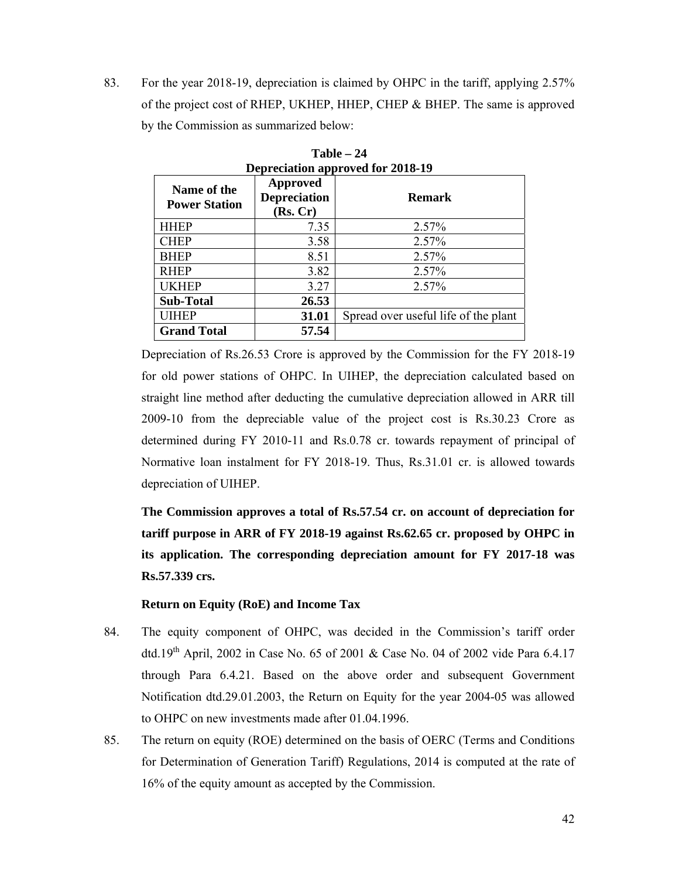83. For the year 2018-19, depreciation is claimed by OHPC in the tariff, applying 2.57% of the project cost of RHEP, UKHEP, HHEP, CHEP & BHEP. The same is approved by the Commission as summarized below:

**Table – 24** 

| <b>Depreciation approved for 2018-19</b> |                                             |                                      |  |  |  |  |  |  |
|------------------------------------------|---------------------------------------------|--------------------------------------|--|--|--|--|--|--|
| Name of the<br><b>Power Station</b>      | Approved<br><b>Depreciation</b><br>(Rs, Cr) | <b>Remark</b>                        |  |  |  |  |  |  |
| <b>HHEP</b>                              | 7.35                                        | 2.57%                                |  |  |  |  |  |  |
| <b>CHEP</b>                              | 3.58                                        | 2.57%                                |  |  |  |  |  |  |
| <b>BHEP</b>                              | 8.51                                        | 2.57%                                |  |  |  |  |  |  |
| <b>RHEP</b>                              | 3.82                                        | 2.57%                                |  |  |  |  |  |  |
| <b>UKHEP</b>                             | 3.27                                        | 2.57%                                |  |  |  |  |  |  |
| <b>Sub-Total</b>                         | 26.53                                       |                                      |  |  |  |  |  |  |
| UIHEP                                    | 31.01                                       | Spread over useful life of the plant |  |  |  |  |  |  |
| <b>Grand Total</b>                       | 57.54                                       |                                      |  |  |  |  |  |  |

Depreciation of Rs.26.53 Crore is approved by the Commission for the FY 2018-19 for old power stations of OHPC. In UIHEP, the depreciation calculated based on straight line method after deducting the cumulative depreciation allowed in ARR till 2009-10 from the depreciable value of the project cost is Rs.30.23 Crore as determined during FY 2010-11 and Rs.0.78 cr. towards repayment of principal of Normative loan instalment for FY 2018-19. Thus, Rs.31.01 cr. is allowed towards depreciation of UIHEP.

**The Commission approves a total of Rs.57.54 cr. on account of depreciation for tariff purpose in ARR of FY 2018-19 against Rs.62.65 cr. proposed by OHPC in its application. The corresponding depreciation amount for FY 2017-18 was Rs.57.339 crs.** 

# **Return on Equity (RoE) and Income Tax**

- 84. The equity component of OHPC, was decided in the Commission's tariff order dtd.19th April, 2002 in Case No. 65 of 2001 & Case No. 04 of 2002 vide Para 6.4.17 through Para 6.4.21. Based on the above order and subsequent Government Notification dtd.29.01.2003, the Return on Equity for the year 2004-05 was allowed to OHPC on new investments made after 01.04.1996.
- 85. The return on equity (ROE) determined on the basis of OERC (Terms and Conditions for Determination of Generation Tariff) Regulations, 2014 is computed at the rate of 16% of the equity amount as accepted by the Commission.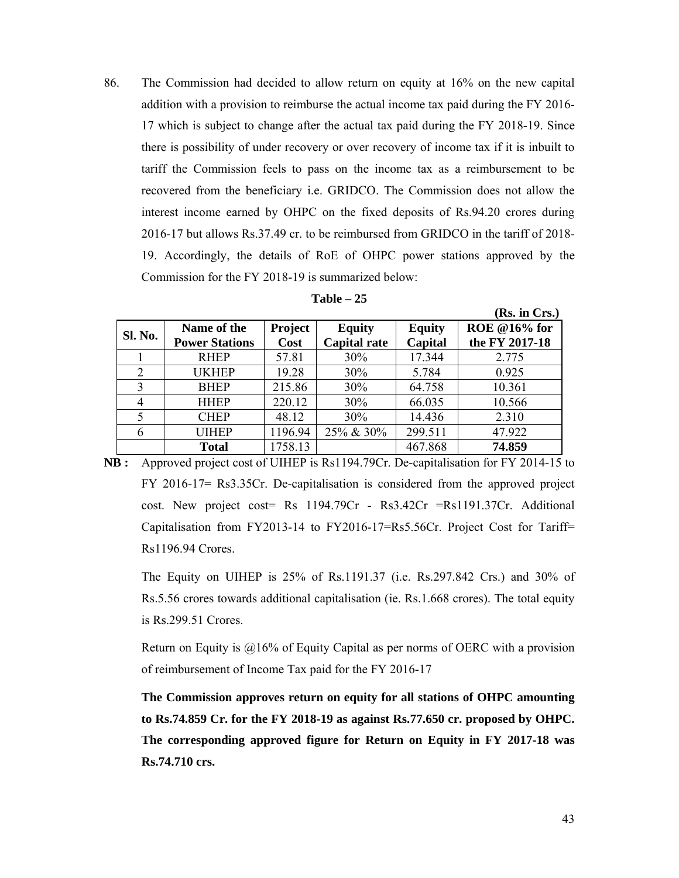86. The Commission had decided to allow return on equity at 16% on the new capital addition with a provision to reimburse the actual income tax paid during the FY 2016- 17 which is subject to change after the actual tax paid during the FY 2018-19. Since there is possibility of under recovery or over recovery of income tax if it is inbuilt to tariff the Commission feels to pass on the income tax as a reimbursement to be recovered from the beneficiary i.e. GRIDCO. The Commission does not allow the interest income earned by OHPC on the fixed deposits of Rs.94.20 crores during 2016-17 but allows Rs.37.49 cr. to be reimbursed from GRIDCO in the tariff of 2018- 19. Accordingly, the details of RoE of OHPC power stations approved by the Commission for the FY 2018-19 is summarized below:

| 'able |  |
|-------|--|
|-------|--|

|                |                       |         |                     |               | (Rs. in Crs.)       |
|----------------|-----------------------|---------|---------------------|---------------|---------------------|
| Sl. No.        | Name of the           | Project | <b>Equity</b>       | <b>Equity</b> | <b>ROE</b> @16% for |
|                | <b>Power Stations</b> | Cost    | <b>Capital rate</b> | Capital       | the FY 2017-18      |
|                | <b>RHEP</b>           | 57.81   | 30%                 | 17.344        | 2.775               |
| 2              | <b>UKHEP</b>          | 19.28   | 30%                 | 5.784         | 0.925               |
| 3              | <b>BHEP</b>           | 215.86  | 30%                 | 64.758        | 10.361              |
| $\overline{4}$ | <b>HHEP</b>           | 220.12  | 30%                 | 66.035        | 10.566              |
| 5              | <b>CHEP</b>           | 48.12   | 30%                 | 14.436        | 2.310               |
| 6              | <b>UIHEP</b>          | 1196.94 | 25% & 30%           | 299.511       | 47.922              |
|                | <b>Total</b>          | 1758.13 |                     | 467.868       | 74.859              |

**NB :** Approved project cost of UIHEP is Rs1194.79Cr. De-capitalisation for FY 2014-15 to FY 2016-17= Rs3.35Cr. De-capitalisation is considered from the approved project cost. New project cost= Rs 1194.79Cr - Rs3.42Cr =Rs1191.37Cr. Additional Capitalisation from FY2013-14 to FY2016-17=Rs5.56Cr. Project Cost for Tariff= Rs1196.94 Crores.

The Equity on UIHEP is 25% of Rs.1191.37 (i.e. Rs.297.842 Crs.) and 30% of Rs.5.56 crores towards additional capitalisation (ie. Rs.1.668 crores). The total equity is Rs.299.51 Crores.

Return on Equity is  $@16\%$  of Equity Capital as per norms of OERC with a provision of reimbursement of Income Tax paid for the FY 2016-17

**The Commission approves return on equity for all stations of OHPC amounting to Rs.74.859 Cr. for the FY 2018-19 as against Rs.77.650 cr. proposed by OHPC. The corresponding approved figure for Return on Equity in FY 2017-18 was Rs.74.710 crs.**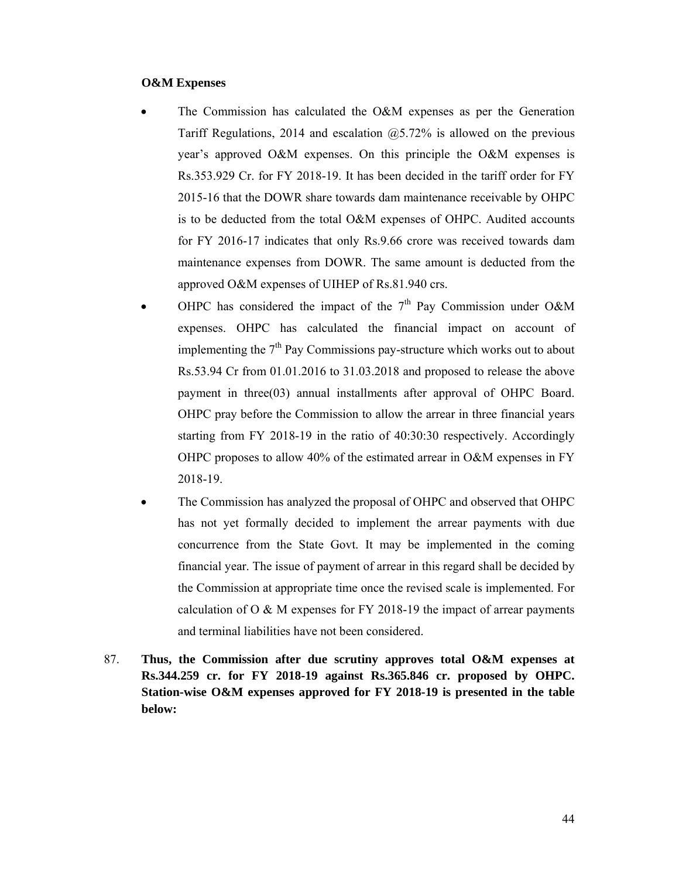#### **O&M Expenses**

- The Commission has calculated the O&M expenses as per the Generation Tariff Regulations, 2014 and escalation  $(20.5 \times 72\%)$  is allowed on the previous year's approved O&M expenses. On this principle the O&M expenses is Rs.353.929 Cr. for FY 2018-19. It has been decided in the tariff order for FY 2015-16 that the DOWR share towards dam maintenance receivable by OHPC is to be deducted from the total O&M expenses of OHPC. Audited accounts for FY 2016-17 indicates that only Rs.9.66 crore was received towards dam maintenance expenses from DOWR. The same amount is deducted from the approved O&M expenses of UIHEP of Rs.81.940 crs.
- OHPC has considered the impact of the  $7<sup>th</sup>$  Pay Commission under O&M expenses. OHPC has calculated the financial impact on account of implementing the  $7<sup>th</sup>$  Pay Commissions pay-structure which works out to about Rs.53.94 Cr from 01.01.2016 to 31.03.2018 and proposed to release the above payment in three(03) annual installments after approval of OHPC Board. OHPC pray before the Commission to allow the arrear in three financial years starting from FY 2018-19 in the ratio of 40:30:30 respectively. Accordingly OHPC proposes to allow 40% of the estimated arrear in O&M expenses in FY 2018-19.
- The Commission has analyzed the proposal of OHPC and observed that OHPC has not yet formally decided to implement the arrear payments with due concurrence from the State Govt. It may be implemented in the coming financial year. The issue of payment of arrear in this regard shall be decided by the Commission at appropriate time once the revised scale is implemented. For calculation of O & M expenses for FY 2018-19 the impact of arrear payments and terminal liabilities have not been considered.
- 87. **Thus, the Commission after due scrutiny approves total O&M expenses at Rs.344.259 cr. for FY 2018-19 against Rs.365.846 cr. proposed by OHPC. Station-wise O&M expenses approved for FY 2018-19 is presented in the table below:**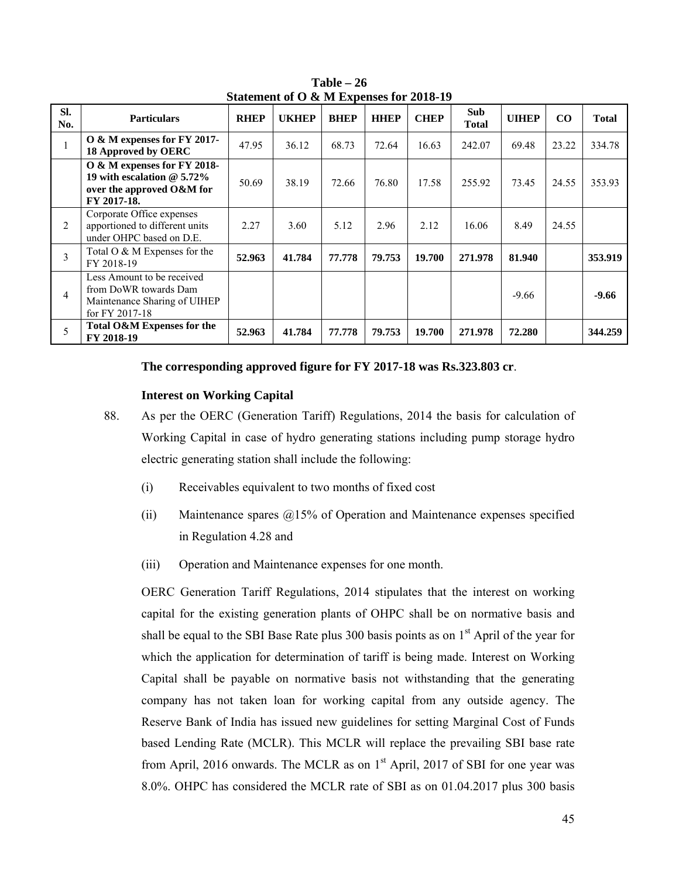| SI.<br>No. | <b>Particulars</b>                                                                                      | <b>RHEP</b> | <b>UKHEP</b> | <b>BHEP</b> | <b>HHEP</b> | <b>CHEP</b> | <b>Sub</b><br><b>Total</b> | <b>UIHEP</b> | $\bf{CO}$ | <b>Total</b> |
|------------|---------------------------------------------------------------------------------------------------------|-------------|--------------|-------------|-------------|-------------|----------------------------|--------------|-----------|--------------|
| 1          | O & M expenses for FY 2017-<br>18 Approved by OERC                                                      | 47.95       | 36.12        | 68.73       | 72.64       | 16.63       | 242.07                     | 69.48        | 23.22     | 334.78       |
|            | O & M expenses for FY 2018-<br>19 with escalation $@5.72\%$<br>over the approved O&M for<br>FY 2017-18. | 50.69       | 38.19        | 72.66       | 76.80       | 17.58       | 255.92                     | 73.45        | 24.55     | 353.93       |
| 2          | Corporate Office expenses<br>apportioned to different units<br>under OHPC based on D.E.                 | 2.27        | 3.60         | 5.12        | 2.96        | 2.12        | 16.06                      | 8.49         | 24.55     |              |
| 3          | Total O & M Expenses for the<br>FY 2018-19                                                              | 52.963      | 41.784       | 77.778      | 79.753      | 19.700      | 271.978                    | 81.940       |           | 353.919      |
| 4          | Less Amount to be received<br>from DoWR towards Dam<br>Maintenance Sharing of UIHEP<br>for FY 2017-18   |             |              |             |             |             |                            | $-9.66$      |           | $-9.66$      |
| 5          | Total O&M Expenses for the<br>FY 2018-19                                                                | 52.963      | 41.784       | 77.778      | 79.753      | 19.700      | 271.978                    | 72.280       |           | 344.259      |

**Table – 26 Statement of O & M Expenses for 2018-19** 

#### **The corresponding approved figure for FY 2017-18 was Rs.323.803 cr**.

#### **Interest on Working Capital**

- 88. As per the OERC (Generation Tariff) Regulations, 2014 the basis for calculation of Working Capital in case of hydro generating stations including pump storage hydro electric generating station shall include the following:
	- (i) Receivables equivalent to two months of fixed cost
	- (ii) Maintenance spares  $\omega$ 15% of Operation and Maintenance expenses specified in Regulation 4.28 and
	- (iii) Operation and Maintenance expenses for one month.

OERC Generation Tariff Regulations, 2014 stipulates that the interest on working capital for the existing generation plants of OHPC shall be on normative basis and shall be equal to the SBI Base Rate plus 300 basis points as on  $1<sup>st</sup>$  April of the year for which the application for determination of tariff is being made. Interest on Working Capital shall be payable on normative basis not withstanding that the generating company has not taken loan for working capital from any outside agency. The Reserve Bank of India has issued new guidelines for setting Marginal Cost of Funds based Lending Rate (MCLR). This MCLR will replace the prevailing SBI base rate from April, 2016 onwards. The MCLR as on 1<sup>st</sup> April, 2017 of SBI for one year was 8.0%. OHPC has considered the MCLR rate of SBI as on 01.04.2017 plus 300 basis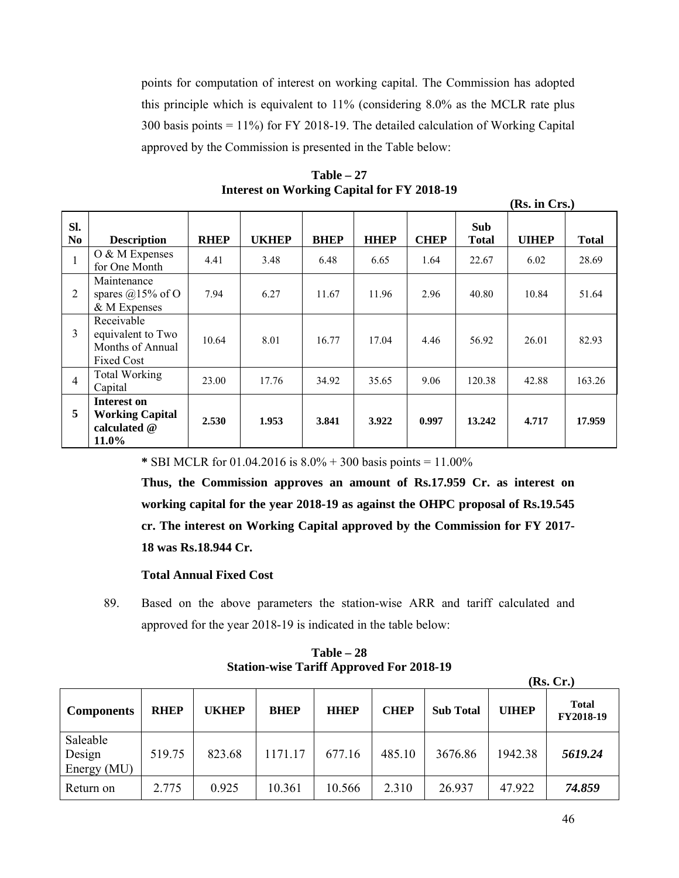points for computation of interest on working capital. The Commission has adopted this principle which is equivalent to 11% (considering 8.0% as the MCLR rate plus 300 basis points = 11%) for FY 2018-19. The detailed calculation of Working Capital approved by the Commission is presented in the Table below:

| $Table - 27$                                      |  |
|---------------------------------------------------|--|
| <b>Interest on Working Capital for FY 2018-19</b> |  |

| Sl.<br>N <sub>0</sub> | <b>Description</b>                                                       | <b>RHEP</b> | <b>UKHEP</b> | <b>BHEP</b> | <b>HHEP</b> | <b>CHEP</b> | <b>Sub</b><br><b>Total</b> | <b>UIHEP</b> | <b>Total</b> |
|-----------------------|--------------------------------------------------------------------------|-------------|--------------|-------------|-------------|-------------|----------------------------|--------------|--------------|
|                       | $O & M$ Expenses<br>for One Month                                        | 4.41        | 3.48         | 6.48        | 6.65        | 1.64        | 22.67                      | 6.02         | 28.69        |
| 2                     | Maintenance<br>spares @15% of O<br>& M Expenses                          | 7.94        | 6.27         | 11.67       | 11.96       | 2.96        | 40.80                      | 10.84        | 51.64        |
| 3                     | Receivable<br>equivalent to Two<br>Months of Annual<br><b>Fixed Cost</b> | 10.64       | 8.01         | 16.77       | 17.04       | 4.46        | 56.92                      | 26.01        | 82.93        |
| $\overline{4}$        | <b>Total Working</b><br>Capital                                          | 23.00       | 17.76        | 34.92       | 35.65       | 9.06        | 120.38                     | 42.88        | 163.26       |
| 5                     | Interest on<br><b>Working Capital</b><br>calculated @<br>11.0%           | 2.530       | 1.953        | 3.841       | 3.922       | 0.997       | 13.242                     | 4.717        | 17.959       |

 **\*** SBI MCLR for 01.04.2016 is 8.0% + 300 basis points = 11.00%

**Thus, the Commission approves an amount of Rs.17.959 Cr. as interest on working capital for the year 2018-19 as against the OHPC proposal of Rs.19.545 cr. The interest on Working Capital approved by the Commission for FY 2017- 18 was Rs.18.944 Cr.** 

#### **Total Annual Fixed Cost**

89. Based on the above parameters the station-wise ARR and tariff calculated and approved for the year 2018-19 is indicated in the table below:

| $Table - 28$                                    |
|-------------------------------------------------|
| <b>Station-wise Tariff Approved For 2018-19</b> |

|                                   |             |              |             |             |             |                  |              | (Rs, Cr.)                 |
|-----------------------------------|-------------|--------------|-------------|-------------|-------------|------------------|--------------|---------------------------|
| <b>Components</b>                 | <b>RHEP</b> | <b>UKHEP</b> | <b>BHEP</b> | <b>HHEP</b> | <b>CHEP</b> | <b>Sub Total</b> | <b>UIHEP</b> | <b>Total</b><br>FY2018-19 |
| Saleable<br>Design<br>Energy (MU) | 519.75      | 823.68       | 1171.17     | 677.16      | 485.10      | 3676.86          | 1942.38      | 5619.24                   |
| Return on                         | 2.775       | 0.925        | 10.361      | 10.566      | 2.310       | 26.937           | 47.922       | 74.859                    |

**(Rs. in Crs.)**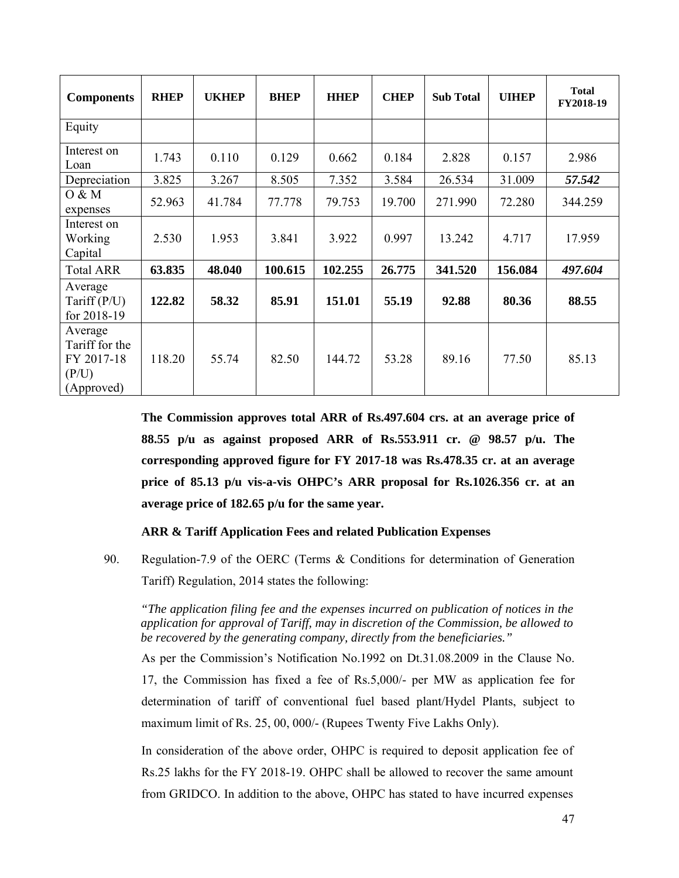| <b>Components</b>                                              | <b>RHEP</b> | <b>UKHEP</b> | <b>BHEP</b> | <b>HHEP</b> | <b>CHEP</b> | <b>Sub Total</b> | <b>UIHEP</b> | <b>Total</b><br>FY2018-19 |
|----------------------------------------------------------------|-------------|--------------|-------------|-------------|-------------|------------------|--------------|---------------------------|
| Equity                                                         |             |              |             |             |             |                  |              |                           |
| Interest on<br>Loan                                            | 1.743       | 0.110        | 0.129       | 0.662       | 0.184       | 2.828            | 0.157        | 2.986                     |
| Depreciation                                                   | 3.825       | 3.267        | 8.505       | 7.352       | 3.584       | 26.534           | 31.009       | 57.542                    |
| 0 & M<br>expenses                                              | 52.963      | 41.784       | 77.778      | 79.753      | 19.700      | 271.990          | 72.280       | 344.259                   |
| Interest on<br>Working<br>Capital                              | 2.530       | 1.953        | 3.841       | 3.922       | 0.997       | 13.242           | 4.717        | 17.959                    |
| <b>Total ARR</b>                                               | 63.835      | 48.040       | 100.615     | 102.255     | 26.775      | 341.520          | 156.084      | 497.604                   |
| Average<br>Tariff $(P/U)$<br>for 2018-19                       | 122.82      | 58.32        | 85.91       | 151.01      | 55.19       | 92.88            | 80.36        | 88.55                     |
| Average<br>Tariff for the<br>FY 2017-18<br>(P/U)<br>(Approved) | 118.20      | 55.74        | 82.50       | 144.72      | 53.28       | 89.16            | 77.50        | 85.13                     |

**The Commission approves total ARR of Rs.497.604 crs. at an average price of 88.55 p/u as against proposed ARR of Rs.553.911 cr. @ 98.57 p/u. The corresponding approved figure for FY 2017-18 was Rs.478.35 cr. at an average price of 85.13 p/u vis-a-vis OHPC's ARR proposal for Rs.1026.356 cr. at an average price of 182.65 p/u for the same year.** 

# **ARR & Tariff Application Fees and related Publication Expenses**

90. Regulation-7.9 of the OERC (Terms & Conditions for determination of Generation Tariff) Regulation, 2014 states the following:

*"The application filing fee and the expenses incurred on publication of notices in the application for approval of Tariff, may in discretion of the Commission, be allowed to be recovered by the generating company, directly from the beneficiaries."* 

As per the Commission's Notification No.1992 on Dt.31.08.2009 in the Clause No. 17, the Commission has fixed a fee of Rs.5,000/- per MW as application fee for determination of tariff of conventional fuel based plant/Hydel Plants, subject to maximum limit of Rs. 25, 00, 000/- (Rupees Twenty Five Lakhs Only).

In consideration of the above order, OHPC is required to deposit application fee of Rs.25 lakhs for the FY 2018-19. OHPC shall be allowed to recover the same amount from GRIDCO. In addition to the above, OHPC has stated to have incurred expenses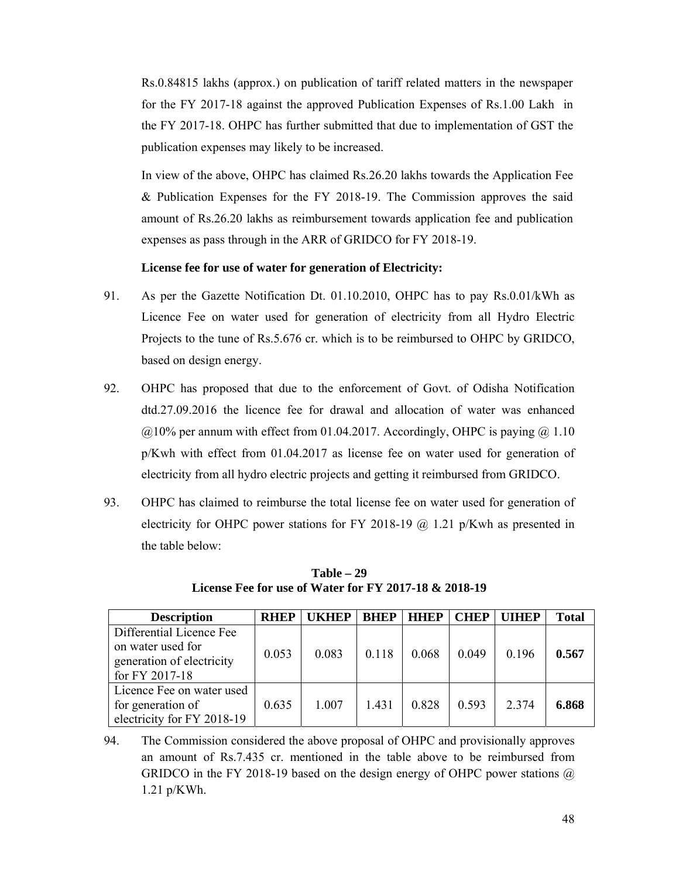Rs.0.84815 lakhs (approx.) on publication of tariff related matters in the newspaper for the FY 2017-18 against the approved Publication Expenses of Rs.1.00 Lakh in the FY 2017-18. OHPC has further submitted that due to implementation of GST the publication expenses may likely to be increased.

In view of the above, OHPC has claimed Rs.26.20 lakhs towards the Application Fee & Publication Expenses for the FY 2018-19. The Commission approves the said amount of Rs.26.20 lakhs as reimbursement towards application fee and publication expenses as pass through in the ARR of GRIDCO for FY 2018-19.

# **License fee for use of water for generation of Electricity:**

- 91. As per the Gazette Notification Dt. 01.10.2010, OHPC has to pay Rs.0.01/kWh as Licence Fee on water used for generation of electricity from all Hydro Electric Projects to the tune of Rs.5.676 cr. which is to be reimbursed to OHPC by GRIDCO, based on design energy.
- 92. OHPC has proposed that due to the enforcement of Govt. of Odisha Notification dtd.27.09.2016 the licence fee for drawal and allocation of water was enhanced  $@10\%$  per annum with effect from 01.04.2017. Accordingly, OHPC is paying  $@1.10$ p/Kwh with effect from 01.04.2017 as license fee on water used for generation of electricity from all hydro electric projects and getting it reimbursed from GRIDCO.
- 93. OHPC has claimed to reimburse the total license fee on water used for generation of electricity for OHPC power stations for FY 2018-19 @ 1.21 p/Kwh as presented in the table below:

| <b>Description</b>                                                                           | <b>RHEP</b> | <b>UKHEP</b> | <b>BHEP</b> | <b>HHEP</b> | <b>CHEP</b> | <b>UIHEP</b> | <b>Total</b> |
|----------------------------------------------------------------------------------------------|-------------|--------------|-------------|-------------|-------------|--------------|--------------|
| Differential Licence Fee<br>on water used for<br>generation of electricity<br>for FY 2017-18 | 0.053       | 0.083        | 0.118       | 0.068       | 0.049       | 0.196        | 0.567        |
| Licence Fee on water used<br>for generation of<br>electricity for FY 2018-19                 | 0.635       | 1.007        | 1.431       | 0.828       | 0.593       | 2 3 7 4      | 6.868        |

**Table – 29 License Fee for use of Water for FY 2017-18 & 2018-19** 

94. The Commission considered the above proposal of OHPC and provisionally approves an amount of Rs.7.435 cr. mentioned in the table above to be reimbursed from GRIDCO in the FY 2018-19 based on the design energy of OHPC power stations  $\omega$ 1.21 p/KWh.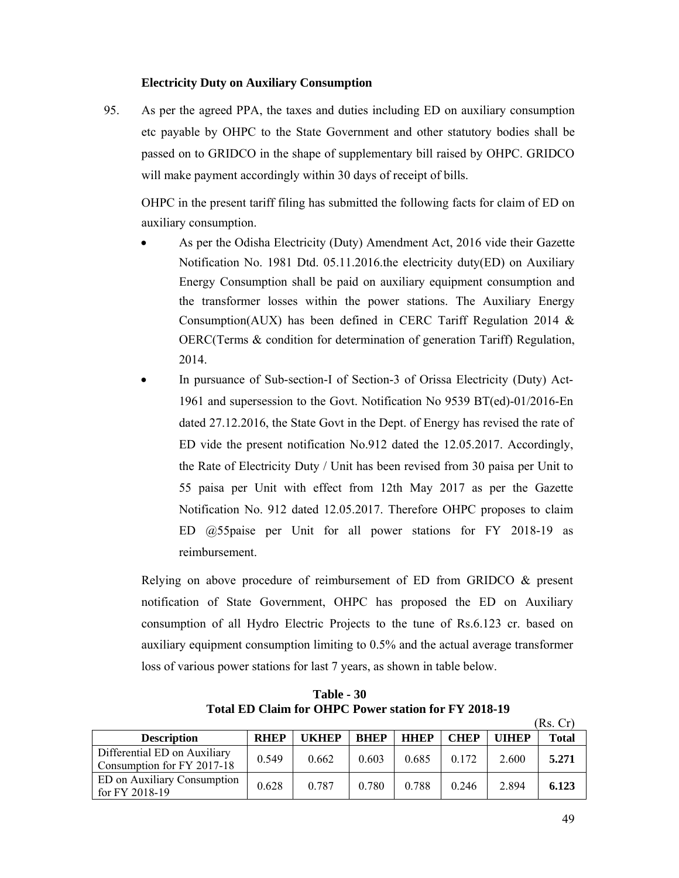# **Electricity Duty on Auxiliary Consumption**

95. As per the agreed PPA, the taxes and duties including ED on auxiliary consumption etc payable by OHPC to the State Government and other statutory bodies shall be passed on to GRIDCO in the shape of supplementary bill raised by OHPC. GRIDCO will make payment accordingly within 30 days of receipt of bills.

OHPC in the present tariff filing has submitted the following facts for claim of ED on auxiliary consumption.

- As per the Odisha Electricity (Duty) Amendment Act, 2016 vide their Gazette Notification No. 1981 Dtd. 05.11.2016.the electricity duty(ED) on Auxiliary Energy Consumption shall be paid on auxiliary equipment consumption and the transformer losses within the power stations. The Auxiliary Energy Consumption(AUX) has been defined in CERC Tariff Regulation 2014 & OERC(Terms & condition for determination of generation Tariff) Regulation, 2014.
- In pursuance of Sub-section-I of Section-3 of Orissa Electricity (Duty) Act-1961 and supersession to the Govt. Notification No 9539 BT(ed)-01/2016-En dated 27.12.2016, the State Govt in the Dept. of Energy has revised the rate of ED vide the present notification No.912 dated the 12.05.2017. Accordingly, the Rate of Electricity Duty / Unit has been revised from 30 paisa per Unit to 55 paisa per Unit with effect from 12th May 2017 as per the Gazette Notification No. 912 dated 12.05.2017. Therefore OHPC proposes to claim ED @55paise per Unit for all power stations for FY 2018-19 as reimbursement.

Relying on above procedure of reimbursement of ED from GRIDCO & present notification of State Government, OHPC has proposed the ED on Auxiliary consumption of all Hydro Electric Projects to the tune of Rs.6.123 cr. based on auxiliary equipment consumption limiting to 0.5% and the actual average transformer loss of various power stations for last 7 years, as shown in table below.

**Table - 30 Total ED Claim for OHPC Power station for FY 2018-19** 

|                                                            |             |       |             |             |             |              | (Rs. Cr) |
|------------------------------------------------------------|-------------|-------|-------------|-------------|-------------|--------------|----------|
| <b>Description</b>                                         | <b>RHEP</b> | UKHEP | <b>BHEP</b> | <b>HHEP</b> | <b>CHEP</b> | <b>UIHEP</b> | Total    |
| Differential ED on Auxiliary<br>Consumption for FY 2017-18 | 0.549       | 0.662 | 0.603       | 0.685       | 0.172       | 2.600        | 5.271    |
| <b>ED</b> on Auxiliary Consumption<br>for FY 2018-19       | 0.628       | 0.787 | 0.780       | 0.788       | 0.246       | 2.894        | 6.123    |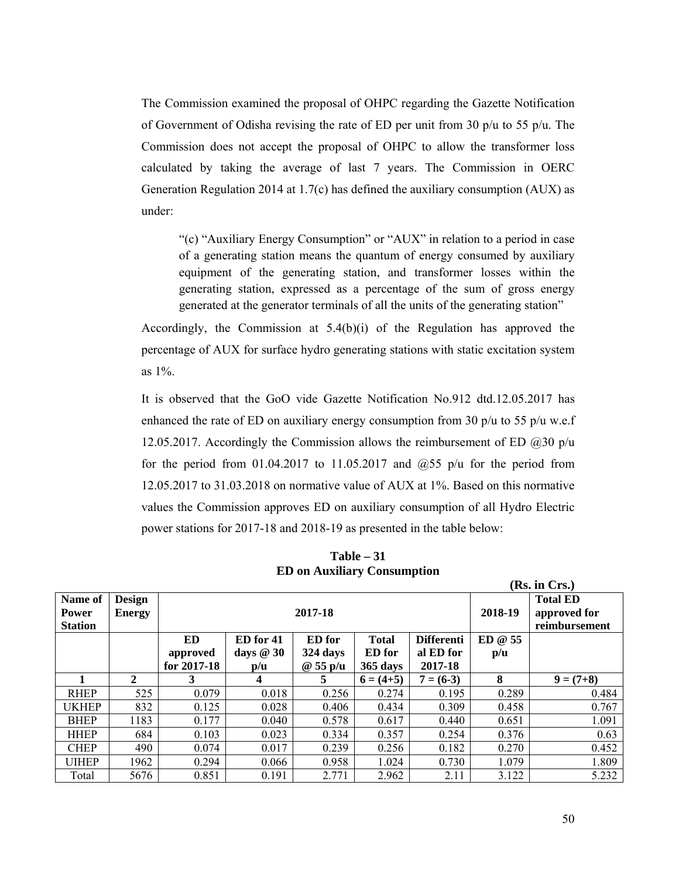The Commission examined the proposal of OHPC regarding the Gazette Notification of Government of Odisha revising the rate of ED per unit from 30 p/u to 55 p/u. The Commission does not accept the proposal of OHPC to allow the transformer loss calculated by taking the average of last 7 years. The Commission in OERC Generation Regulation 2014 at 1.7(c) has defined the auxiliary consumption (AUX) as under:

"(c) "Auxiliary Energy Consumption" or "AUX" in relation to a period in case of a generating station means the quantum of energy consumed by auxiliary equipment of the generating station, and transformer losses within the generating station, expressed as a percentage of the sum of gross energy generated at the generator terminals of all the units of the generating station"

Accordingly, the Commission at 5.4(b)(i) of the Regulation has approved the percentage of AUX for surface hydro generating stations with static excitation system as 1%.

It is observed that the GoO vide Gazette Notification No.912 dtd.12.05.2017 has enhanced the rate of ED on auxiliary energy consumption from 30  $p/u$  to 55  $p/u$  w.e.f 12.05.2017. Accordingly the Commission allows the reimbursement of ED  $(a)30 p/u$ for the period from 01.04.2017 to 11.05.2017 and  $(2,55)$  p/u for the period from 12.05.2017 to 31.03.2018 on normative value of AUX at 1%. Based on this normative values the Commission approves ED on auxiliary consumption of all Hydro Electric power stations for 2017-18 and 2018-19 as presented in the table below:

|                                           |                                |             |                            |          |               |                   |                                                  | (IS). III UI 3.7 |
|-------------------------------------------|--------------------------------|-------------|----------------------------|----------|---------------|-------------------|--------------------------------------------------|------------------|
| Name of<br><b>Power</b><br><b>Station</b> | <b>Design</b><br><b>Energy</b> |             |                            | 2017-18  |               | 2018-19           | <b>Total ED</b><br>approved for<br>reimbursement |                  |
|                                           |                                | ED          | ED for 41<br><b>ED</b> for |          | <b>Total</b>  | <b>Differenti</b> | ED @ 55                                          |                  |
|                                           |                                | approved    | days $@30$                 | 324 days | <b>ED</b> for | al ED for         | p/u                                              |                  |
|                                           |                                | for 2017-18 | $\mathbf{p}/\mathbf{u}$    | @55p/u   | $365$ days    | 2017-18           |                                                  |                  |
|                                           | 2                              | 3           | $\overline{4}$             | 5.       | $6 = (4+5)$   | $7 = (6-3)$       | 8                                                | $9 = (7+8)$      |
| <b>RHEP</b>                               | 525                            | 0.079       | 0.018                      | 0.256    | 0.274         | 0.195             | 0.289                                            | 0.484            |
| <b>UKHEP</b>                              | 832                            | 0.125       | 0.028                      | 0.406    | 0.434         | 0.309             | 0.458                                            | 0.767            |
| <b>BHEP</b>                               | 1183                           | 0.177       | 0.040                      | 0.578    | 0.617         | 0.440             | 0.651                                            | 1.091            |
| <b>HHEP</b>                               | 684                            | 0.103       | 0.023                      | 0.334    | 0.357         | 0.254             | 0.376                                            | 0.63             |
| <b>CHEP</b>                               | 490                            | 0.074       | 0.017                      | 0.239    | 0.256         | 0.182             | 0.270                                            | 0.452            |
| <b>UIHEP</b>                              | 1962                           | 0.294       | 0.066                      | 0.958    | 1.024         | 0.730             | 1.079                                            | 1.809            |
| Total                                     | 5676                           | 0.851       | 0.191                      | 2.771    | 2.962         | 2.11              | 3.122                                            | 5.232            |

**Table – 31 ED on Auxiliary Consumption** 

 $(\mathbf{D}_c, \mathbf{in} \mathbf{C}_{\mathbf{m}})$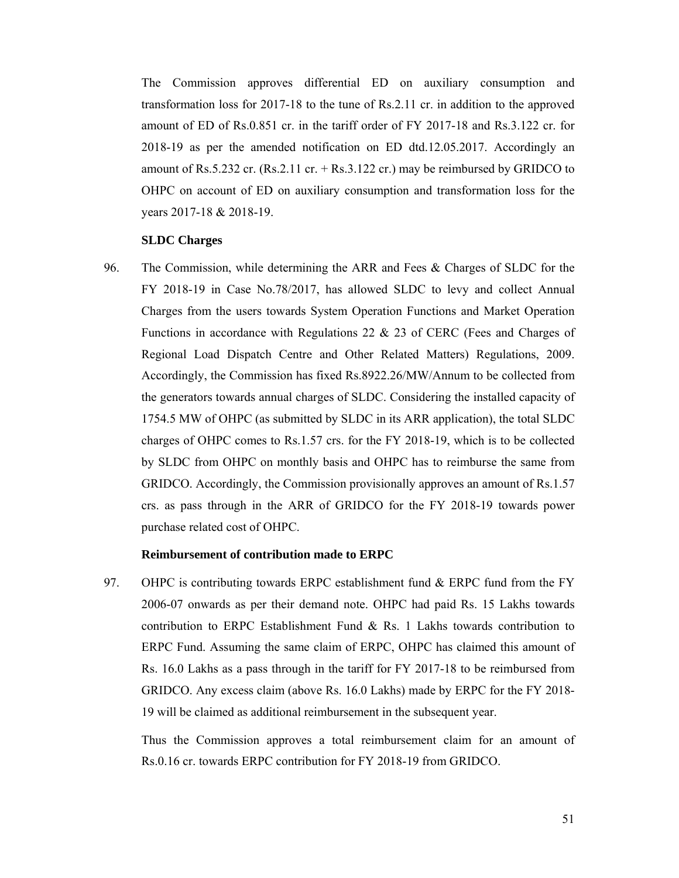The Commission approves differential ED on auxiliary consumption and transformation loss for 2017-18 to the tune of Rs.2.11 cr. in addition to the approved amount of ED of Rs.0.851 cr. in the tariff order of FY 2017-18 and Rs.3.122 cr. for 2018-19 as per the amended notification on ED dtd.12.05.2017. Accordingly an amount of Rs.5.232 cr. (Rs.2.11 cr.  $+$  Rs.3.122 cr.) may be reimbursed by GRIDCO to OHPC on account of ED on auxiliary consumption and transformation loss for the years 2017-18 & 2018-19.

#### **SLDC Charges**

96. The Commission, while determining the ARR and Fees & Charges of SLDC for the FY 2018-19 in Case No.78/2017, has allowed SLDC to levy and collect Annual Charges from the users towards System Operation Functions and Market Operation Functions in accordance with Regulations 22 & 23 of CERC (Fees and Charges of Regional Load Dispatch Centre and Other Related Matters) Regulations, 2009. Accordingly, the Commission has fixed Rs.8922.26/MW/Annum to be collected from the generators towards annual charges of SLDC. Considering the installed capacity of 1754.5 MW of OHPC (as submitted by SLDC in its ARR application), the total SLDC charges of OHPC comes to Rs.1.57 crs. for the FY 2018-19, which is to be collected by SLDC from OHPC on monthly basis and OHPC has to reimburse the same from GRIDCO. Accordingly, the Commission provisionally approves an amount of Rs.1.57 crs. as pass through in the ARR of GRIDCO for the FY 2018-19 towards power purchase related cost of OHPC.

#### **Reimbursement of contribution made to ERPC**

97. OHPC is contributing towards ERPC establishment fund & ERPC fund from the FY 2006-07 onwards as per their demand note. OHPC had paid Rs. 15 Lakhs towards contribution to ERPC Establishment Fund  $\&$  Rs. 1 Lakhs towards contribution to ERPC Fund. Assuming the same claim of ERPC, OHPC has claimed this amount of Rs. 16.0 Lakhs as a pass through in the tariff for FY 2017-18 to be reimbursed from GRIDCO. Any excess claim (above Rs. 16.0 Lakhs) made by ERPC for the FY 2018- 19 will be claimed as additional reimbursement in the subsequent year.

Thus the Commission approves a total reimbursement claim for an amount of Rs.0.16 cr. towards ERPC contribution for FY 2018-19 from GRIDCO.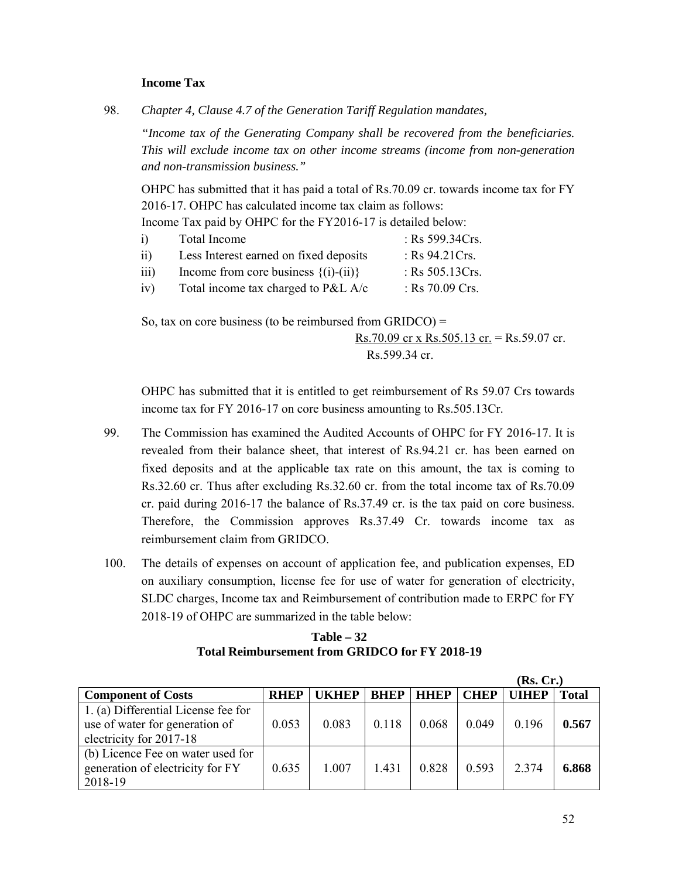## **Income Tax**

98. *Chapter 4, Clause 4.7 of the Generation Tariff Regulation mandates,* 

*"Income tax of the Generating Company shall be recovered from the beneficiaries. This will exclude income tax on other income streams (income from non-generation and non-transmission business."* 

OHPC has submitted that it has paid a total of Rs.70.09 cr. towards income tax for FY 2016-17. OHPC has calculated income tax claim as follows:

Income Tax paid by OHPC for the FY2016-17 is detailed below:

| $\overline{1}$   | Total Income                             | : Rs $599.34Crs$ . |
|------------------|------------------------------------------|--------------------|
| 11)              | Less Interest earned on fixed deposits   | : Rs $94.21Crs$ .  |
| $\overline{111}$ | Income from core business $\{(i)-(ii)\}$ | : Rs $505.13Crs$ . |
| iv)              | Total income tax charged to P&L $A/c$    | : Rs $70.09$ Crs.  |

So, tax on core business (to be reimbursed from GRIDCO) = Rs.70.09 cr x Rs.505.13 cr. = Rs.59.07 cr. Rs.599.34 cr.

OHPC has submitted that it is entitled to get reimbursement of Rs 59.07 Crs towards income tax for FY 2016-17 on core business amounting to Rs.505.13Cr.

- 99. The Commission has examined the Audited Accounts of OHPC for FY 2016-17. It is revealed from their balance sheet, that interest of Rs.94.21 cr. has been earned on fixed deposits and at the applicable tax rate on this amount, the tax is coming to Rs.32.60 cr. Thus after excluding Rs.32.60 cr. from the total income tax of Rs.70.09 cr. paid during 2016-17 the balance of Rs.37.49 cr. is the tax paid on core business. Therefore, the Commission approves Rs.37.49 Cr. towards income tax as reimbursement claim from GRIDCO.
- 100. The details of expenses on account of application fee, and publication expenses, ED on auxiliary consumption, license fee for use of water for generation of electricity, SLDC charges, Income tax and Reimbursement of contribution made to ERPC for FY 2018-19 of OHPC are summarized in the table below:

**Table – 32 Total Reimbursement from GRIDCO for FY 2018-19** 

|                                                                                                  |             |              |             |             |             | (Rs, Cr.)    |              |
|--------------------------------------------------------------------------------------------------|-------------|--------------|-------------|-------------|-------------|--------------|--------------|
| <b>Component of Costs</b>                                                                        | <b>RHEP</b> | <b>UKHEP</b> | <b>BHEP</b> | <b>HHEP</b> | <b>CHEP</b> | <b>UIHEP</b> | <b>Total</b> |
| 1. (a) Differential License fee for<br>use of water for generation of<br>electricity for 2017-18 | 0.053       | 0.083        | 0.118       | 0.068       | 0.049       | 0.196        | 0.567        |
| (b) Licence Fee on water used for<br>generation of electricity for FY<br>2018-19                 | 0.635       | 1.007        | 1.431       | 0.828       | 0.593       | 2.374        | 6.868        |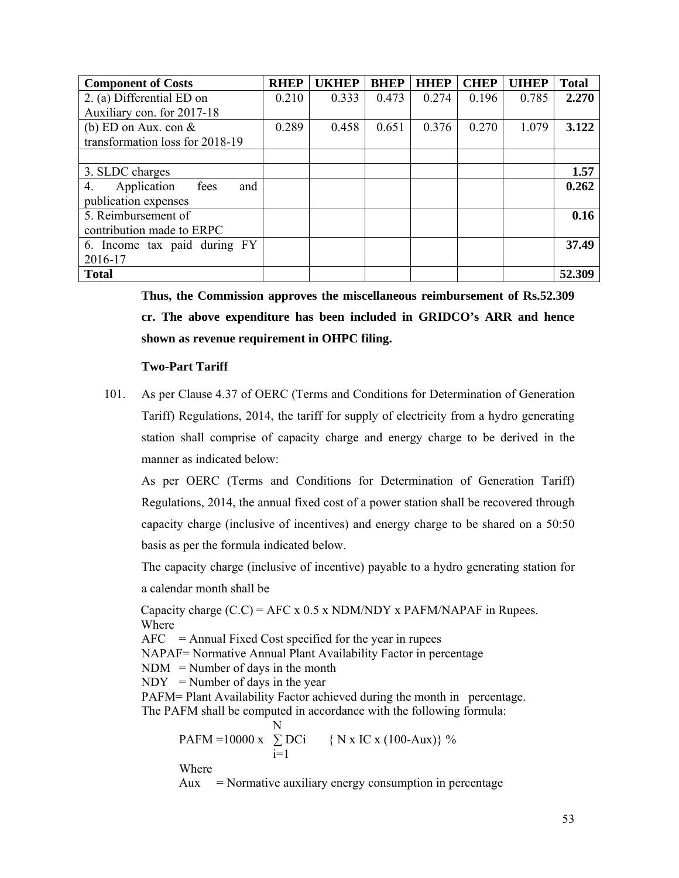| <b>Component of Costs</b>        | <b>RHEP</b> | <b>UKHEP</b> | <b>BHEP</b> | <b>HHEP</b> | <b>CHEP</b> | <b>UIHEP</b> | <b>Total</b> |
|----------------------------------|-------------|--------------|-------------|-------------|-------------|--------------|--------------|
| 2. (a) Differential ED on        | 0.210       | 0.333        | 0.473       | 0.274       | 0.196       | 0.785        | 2.270        |
| Auxiliary con. for 2017-18       |             |              |             |             |             |              |              |
| (b) ED on Aux. con $\&$          | 0.289       | 0.458        | 0.651       | 0.376       | 0.270       | 1.079        | 3.122        |
| transformation loss for 2018-19  |             |              |             |             |             |              |              |
|                                  |             |              |             |             |             |              |              |
| 3. SLDC charges                  |             |              |             |             |             |              | 1.57         |
| Application<br>fees<br>and<br>4. |             |              |             |             |             |              | 0.262        |
| publication expenses             |             |              |             |             |             |              |              |
| 5. Reimbursement of              |             |              |             |             |             |              | 0.16         |
| contribution made to ERPC        |             |              |             |             |             |              |              |
| 6. Income tax paid during FY     |             |              |             |             |             |              | 37.49        |
| 2016-17                          |             |              |             |             |             |              |              |
| <b>Total</b>                     |             |              |             |             |             |              | 52.309       |

**Thus, the Commission approves the miscellaneous reimbursement of Rs.52.309 cr. The above expenditure has been included in GRIDCO's ARR and hence shown as revenue requirement in OHPC filing.** 

## **Two-Part Tariff**

101. As per Clause 4.37 of OERC (Terms and Conditions for Determination of Generation Tariff) Regulations, 2014, the tariff for supply of electricity from a hydro generating station shall comprise of capacity charge and energy charge to be derived in the manner as indicated below:

As per OERC (Terms and Conditions for Determination of Generation Tariff) Regulations, 2014, the annual fixed cost of a power station shall be recovered through capacity charge (inclusive of incentives) and energy charge to be shared on a 50:50 basis as per the formula indicated below.

The capacity charge (inclusive of incentive) payable to a hydro generating station for a calendar month shall be

Capacity charge  $(C.C) =$  AFC x 0.5 x NDM/NDY x PAFM/NAPAF in Rupees. Where  $AFC = Annual Fixed Cost specified for the year in rupees$  NAPAF= Normative Annual Plant Availability Factor in percentage  $NDM = Number of days in the month$  $NDY = Number of days in the year$ 

PAFM= Plant Availability Factor achieved during the month in percentage. The PAFM shall be computed in accordance with the following formula:

$$
PAFM = 10000 x \sum_{i=1}^{N} DCi \quad \{ N x IC x (100-Aux) \} %
$$

Where

 $Aux$  = Normative auxiliary energy consumption in percentage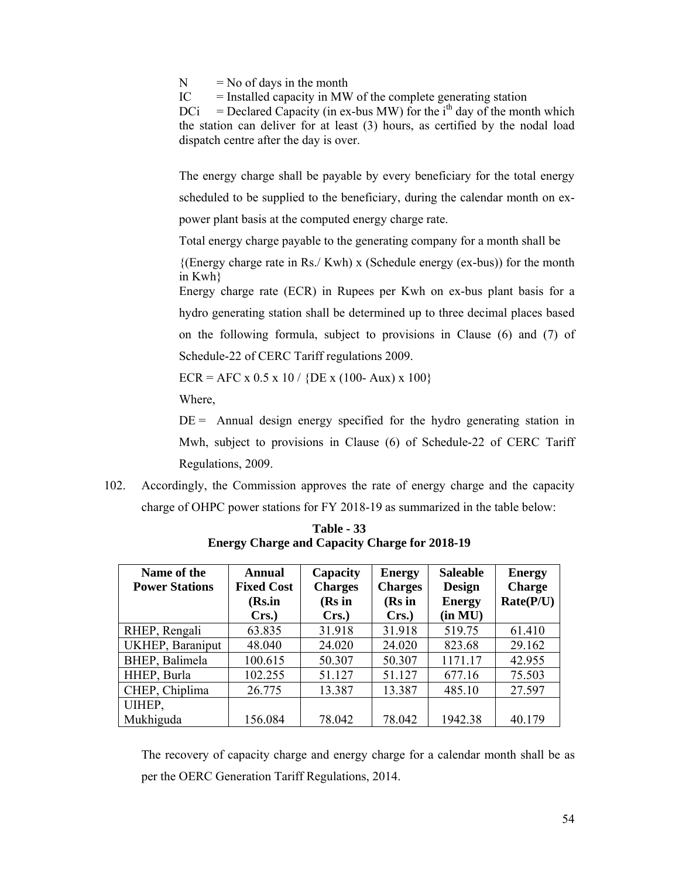$N = No$  of days in the month

 $IC =$  Installed capacity in MW of the complete generating station

 $DCi = DedCapacity (in ex-bus MW) for the i<sup>th</sup> day of the month which$ the station can deliver for at least (3) hours, as certified by the nodal load dispatch centre after the day is over.

The energy charge shall be payable by every beneficiary for the total energy scheduled to be supplied to the beneficiary, during the calendar month on expower plant basis at the computed energy charge rate.

Total energy charge payable to the generating company for a month shall be

 ${(\text{Energy charge rate in Rs./ Kwh)} \times (\text{Scheduling energy (ex-bus))}$  for the month in Kwh}

Energy charge rate (ECR) in Rupees per Kwh on ex-bus plant basis for a hydro generating station shall be determined up to three decimal places based on the following formula, subject to provisions in Clause (6) and (7) of Schedule-22 of CERC Tariff regulations 2009.

 $ECR = AFC \times 0.5 \times 10 / \{DE \times (100 - Aux) \times 100\}$ 

Where,

 $DE =$  Annual design energy specified for the hydro generating station in Mwh, subject to provisions in Clause (6) of Schedule-22 of CERC Tariff Regulations, 2009.

102. Accordingly, the Commission approves the rate of energy charge and the capacity charge of OHPC power stations for FY 2018-19 as summarized in the table below:

| Name of the<br><b>Power Stations</b> | Annual<br><b>Fixed Cost</b><br>(Rs.in<br>Crs. | Capacity<br><b>Charges</b><br>(Rs in<br>Crs. | <b>Energy</b><br><b>Charges</b><br>(Rs in<br>Crs. | <b>Saleable</b><br><b>Design</b><br><b>Energy</b><br>(in MU) | <b>Energy</b><br><b>Charge</b><br>Rate(P/U) |
|--------------------------------------|-----------------------------------------------|----------------------------------------------|---------------------------------------------------|--------------------------------------------------------------|---------------------------------------------|
| RHEP, Rengali                        | 63.835                                        | 31.918                                       | 31.918                                            | 519.75                                                       | 61.410                                      |
| UKHEP, Baraniput                     | 48.040                                        | 24.020                                       | 24.020                                            | 823.68                                                       | 29.162                                      |
| BHEP, Balimela                       | 100.615                                       | 50.307                                       | 50.307                                            | 1171.17                                                      | 42.955                                      |
| HHEP, Burla                          | 102.255                                       | 51.127                                       | 51.127                                            | 677.16                                                       | 75.503                                      |
| CHEP, Chiplima                       | 26.775                                        | 13.387                                       | 13.387                                            | 485.10                                                       | 27.597                                      |
| UIHEP,                               |                                               |                                              |                                                   |                                                              |                                             |
| Mukhiguda                            | 156.084                                       | 78.042                                       | 78.042                                            | 1942.38                                                      | 40.179                                      |

**Table - 33 Energy Charge and Capacity Charge for 2018-19** 

The recovery of capacity charge and energy charge for a calendar month shall be as per the OERC Generation Tariff Regulations, 2014.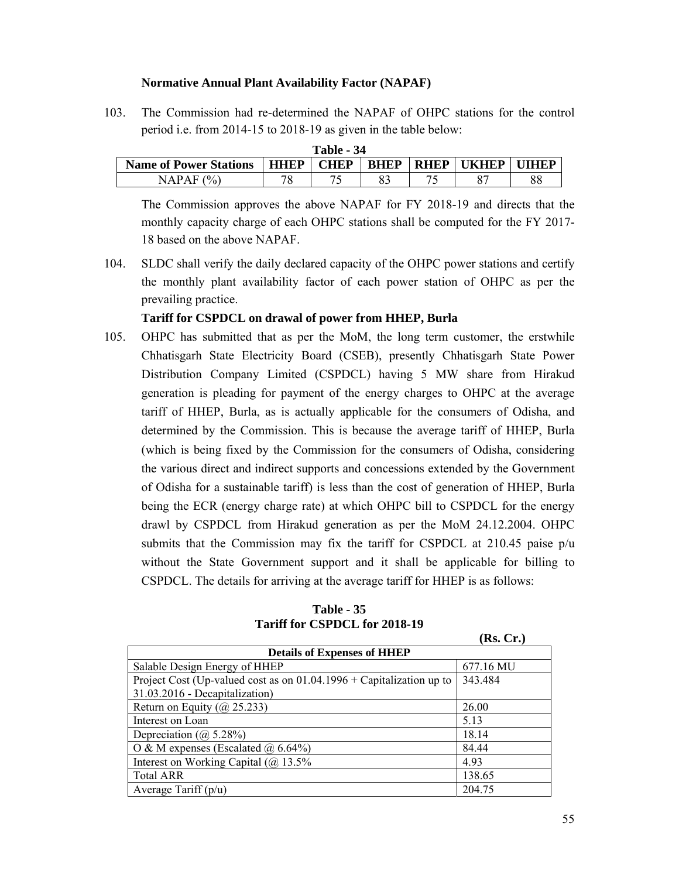#### **Normative Annual Plant Availability Factor (NAPAF)**

103. The Commission had re-determined the NAPAF of OHPC stations for the control period i.e. from 2014-15 to 2018-19 as given in the table below:

| <b>Table - 34</b>             |             |             |             |             |              |      |  |  |  |
|-------------------------------|-------------|-------------|-------------|-------------|--------------|------|--|--|--|
| <b>Name of Power Stations</b> | <b>HHEP</b> | <b>CHEP</b> | <b>BHEP</b> | <b>RHEP</b> | <b>UKHEP</b> | iihp |  |  |  |
| (%<br>NAPAF-                  | $\pi$ c     |             |             |             |              | 88   |  |  |  |

The Commission approves the above NAPAF for FY 2018-19 and directs that the monthly capacity charge of each OHPC stations shall be computed for the FY 2017- 18 based on the above NAPAF.

104. SLDC shall verify the daily declared capacity of the OHPC power stations and certify the monthly plant availability factor of each power station of OHPC as per the prevailing practice.

# **Tariff for CSPDCL on drawal of power from HHEP, Burla**

105. OHPC has submitted that as per the MoM, the long term customer, the erstwhile Chhatisgarh State Electricity Board (CSEB), presently Chhatisgarh State Power Distribution Company Limited (CSPDCL) having 5 MW share from Hirakud generation is pleading for payment of the energy charges to OHPC at the average tariff of HHEP, Burla, as is actually applicable for the consumers of Odisha, and determined by the Commission. This is because the average tariff of HHEP, Burla (which is being fixed by the Commission for the consumers of Odisha, considering the various direct and indirect supports and concessions extended by the Government of Odisha for a sustainable tariff) is less than the cost of generation of HHEP, Burla being the ECR (energy charge rate) at which OHPC bill to CSPDCL for the energy drawl by CSPDCL from Hirakud generation as per the MoM 24.12.2004. OHPC submits that the Commission may fix the tariff for CSPDCL at 210.45 paise p/u without the State Government support and it shall be applicable for billing to CSPDCL. The details for arriving at the average tariff for HHEP is as follows:

| <b>Table - 35</b>             |  |  |  |  |
|-------------------------------|--|--|--|--|
| Tariff for CSPDCL for 2018-19 |  |  |  |  |

|                                                                        | (AW) CL 0 |  |  |  |  |
|------------------------------------------------------------------------|-----------|--|--|--|--|
| <b>Details of Expenses of HHEP</b>                                     |           |  |  |  |  |
| Salable Design Energy of HHEP                                          | 677.16 MU |  |  |  |  |
| Project Cost (Up-valued cost as on $01.04.1996 +$ Capitalization up to | 343.484   |  |  |  |  |
| 31.03.2016 - Decapitalization)                                         |           |  |  |  |  |
| Return on Equity ( $\omega$ 25.233)                                    | 26.00     |  |  |  |  |
| Interest on Loan                                                       | 5.13      |  |  |  |  |
| Depreciation $(a)$ 5.28%)                                              | 18.14     |  |  |  |  |
| O & M expenses (Escalated $\omega$ 6.64%)                              | 84.44     |  |  |  |  |
| Interest on Working Capital ( $\omega$ ) 13.5%                         | 4.93      |  |  |  |  |
| <b>Total ARR</b>                                                       | 138.65    |  |  |  |  |
| Average Tariff $(p/u)$                                                 | 204.75    |  |  |  |  |

**(Rs. Cr.)**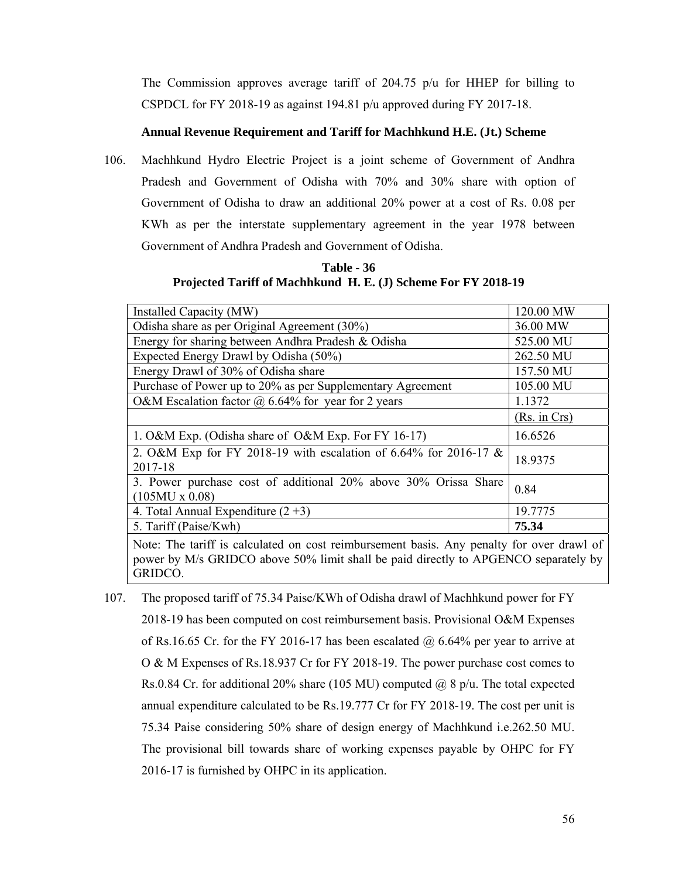The Commission approves average tariff of 204.75  $p/u$  for HHEP for billing to CSPDCL for FY 2018-19 as against 194.81 p/u approved during FY 2017-18.

#### **Annual Revenue Requirement and Tariff for Machhkund H.E. (Jt.) Scheme**

106. Machhkund Hydro Electric Project is a joint scheme of Government of Andhra Pradesh and Government of Odisha with 70% and 30% share with option of Government of Odisha to draw an additional 20% power at a cost of Rs. 0.08 per KWh as per the interstate supplementary agreement in the year 1978 between Government of Andhra Pradesh and Government of Odisha.

**Table - 36 Projected Tariff of Machhkund H. E. (J) Scheme For FY 2018-19** 

| Installed Capacity (MW)                                                                  | 120.00 MW    |
|------------------------------------------------------------------------------------------|--------------|
| Odisha share as per Original Agreement (30%)                                             | 36.00 MW     |
| Energy for sharing between Andhra Pradesh & Odisha                                       | 525.00 MU    |
| Expected Energy Drawl by Odisha (50%)                                                    | 262.50 MU    |
| Energy Drawl of 30% of Odisha share                                                      | 157.50 MU    |
| Purchase of Power up to 20% as per Supplementary Agreement                               | 105.00 MU    |
| O&M Escalation factor $\omega$ 6.64% for year for 2 years                                | 1.1372       |
|                                                                                          | (Rs. in Crs) |
| 1. O&M Exp. (Odisha share of O&M Exp. For FY 16-17)                                      | 16.6526      |
| 2. O&M Exp for FY 2018-19 with escalation of 6.64% for 2016-17 $\&$<br>2017-18           | 18.9375      |
| 3. Power purchase cost of additional 20% above 30% Orissa Share<br>$(105MU \times 0.08)$ | 0.84         |
| 4. Total Annual Expenditure $(2+3)$                                                      | 19.7775      |
| 5. Tariff (Paise/Kwh)                                                                    | 75.34        |

Note: The tariff is calculated on cost reimbursement basis. Any penalty for over drawl of power by M/s GRIDCO above 50% limit shall be paid directly to APGENCO separately by GRIDCO.

107. The proposed tariff of 75.34 Paise/KWh of Odisha drawl of Machhkund power for FY 2018-19 has been computed on cost reimbursement basis. Provisional O&M Expenses of Rs.16.65 Cr. for the FY 2016-17 has been escalated  $\omega$  6.64% per year to arrive at O & M Expenses of Rs.18.937 Cr for FY 2018-19. The power purchase cost comes to Rs.0.84 Cr. for additional 20% share (105 MU) computed  $\omega$  8 p/u. The total expected annual expenditure calculated to be Rs.19.777 Cr for FY 2018-19. The cost per unit is 75.34 Paise considering 50% share of design energy of Machhkund i.e.262.50 MU. The provisional bill towards share of working expenses payable by OHPC for FY 2016-17 is furnished by OHPC in its application.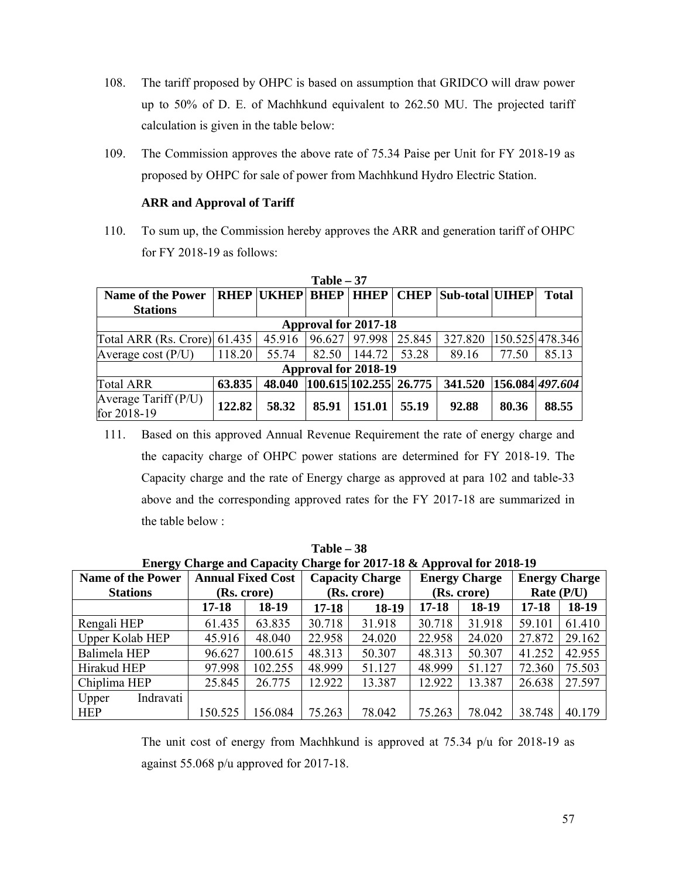- 108. The tariff proposed by OHPC is based on assumption that GRIDCO will draw power up to 50% of D. E. of Machhkund equivalent to 262.50 MU. The projected tariff calculation is given in the table below:
- 109. The Commission approves the above rate of 75.34 Paise per Unit for FY 2018-19 as proposed by OHPC for sale of power from Machhkund Hydro Electric Station.

# **ARR and Approval of Tariff**

110. To sum up, the Commission hereby approves the ARR and generation tariff of OHPC for FY 2018-19 as follows:

| $1$ apie $-$ 3/                     |        |                   |                            |             |             |                 |       |                 |
|-------------------------------------|--------|-------------------|----------------------------|-------------|-------------|-----------------|-------|-----------------|
| <b>Name of the Power</b>            |        | <b>RHEP UKHEP</b> | <b>BHEP</b>                | <b>HHEP</b> | <b>CHEP</b> | Sub-total UIHEP |       | <b>Total</b>    |
| <b>Stations</b>                     |        |                   |                            |             |             |                 |       |                 |
| <b>Approval for 2017-18</b>         |        |                   |                            |             |             |                 |       |                 |
| Total ARR (Rs. Crore) $61.435$      |        | 45.916            | 96.627 97.998              |             | 25.845      | 327.820         |       | 150.525 478.346 |
| Average cost $(P/U)$                | 118.20 | 55.74             | 82.50                      | 144.72      | 53.28       | 89.16           | 77.50 | 85.13           |
| Approval for 2018-19                |        |                   |                            |             |             |                 |       |                 |
| <b>Total ARR</b>                    | 63.835 | 48.040            | $ 100.615 102.255 $ 26.775 |             |             | 341.520         |       | 156.084 497.604 |
| Average Tariff (P/U)<br>for 2018-19 | 122.82 | 58.32             | 85.91                      | 151.01      | 55.19       | 92.88           | 80.36 | 88.55           |

**Table – 37** 

111. Based on this approved Annual Revenue Requirement the rate of energy charge and the capacity charge of OHPC power stations are determined for FY 2018-19. The Capacity charge and the rate of Energy charge as approved at para 102 and table-33 above and the corresponding approved rates for the FY 2017-18 are summarized in the table below :

| Energy Charge and Capacity Charge for 2017-18 & Approval for 2018-19 |                          |             |                        |        |                      |        |                      |        |
|----------------------------------------------------------------------|--------------------------|-------------|------------------------|--------|----------------------|--------|----------------------|--------|
| <b>Name of the Power</b>                                             | <b>Annual Fixed Cost</b> |             | <b>Capacity Charge</b> |        | <b>Energy Charge</b> |        | <b>Energy Charge</b> |        |
| <b>Stations</b>                                                      |                          | (Rs. crore) | (Rs. crore)            |        | (Rs. crore)          |        | Rate (P/U)           |        |
|                                                                      | $17 - 18$                | 18-19       | 17-18                  | 18-19  | $17 - 18$            | 18-19  | $17 - 18$            | 18-19  |
| Rengali HEP                                                          | 61.435                   | 63.835      | 30.718                 | 31.918 | 30.718               | 31.918 | 59.101               | 61.410 |
| Upper Kolab HEP                                                      | 45.916                   | 48.040      | 22.958                 | 24.020 | 22.958               | 24.020 | 27.872               | 29.162 |
| Balimela HEP                                                         | 96.627                   | 100.615     | 48.313                 | 50.307 | 48.313               | 50.307 | 41.252               | 42.955 |
| Hirakud HEP                                                          | 97.998                   | 102.255     | 48.999                 | 51.127 | 48.999               | 51.127 | 72.360               | 75.503 |
| Chiplima HEP                                                         | 25.845                   | 26.775      | 12.922                 | 13.387 | 12.922               | 13.387 | 26.638               | 27.597 |
| Indravati<br>Upper                                                   |                          |             |                        |        |                      |        |                      |        |
| <b>HEP</b>                                                           | 150.525                  | 156.084     | 75.263                 | 78.042 | 75.263               | 78.042 | 38.748               | 40.179 |

**Table – 38** 

The unit cost of energy from Machhkund is approved at 75.34 p/u for 2018-19 as against 55.068 p/u approved for 2017-18.